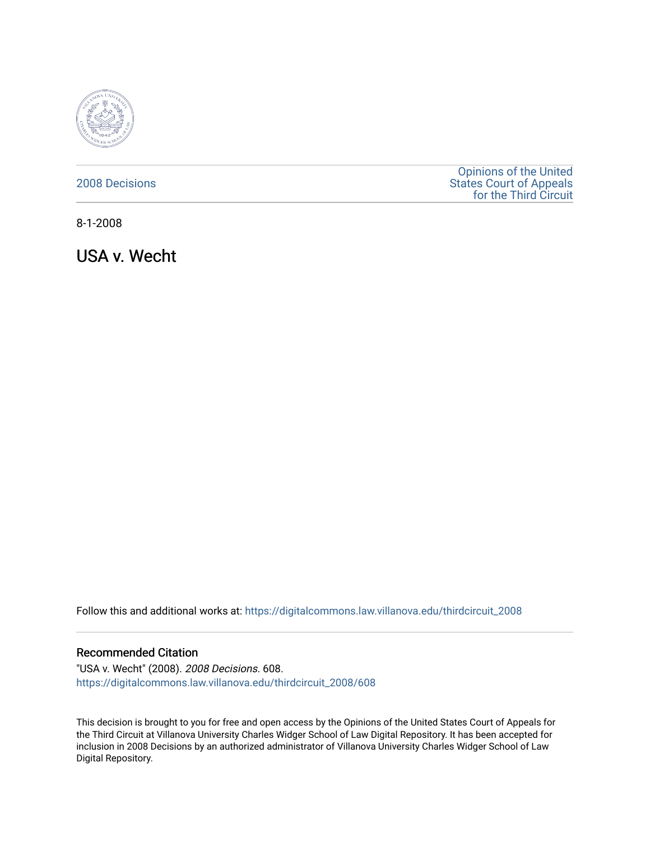

## [2008 Decisions](https://digitalcommons.law.villanova.edu/thirdcircuit_2008)

[Opinions of the United](https://digitalcommons.law.villanova.edu/thirdcircuit)  [States Court of Appeals](https://digitalcommons.law.villanova.edu/thirdcircuit)  [for the Third Circuit](https://digitalcommons.law.villanova.edu/thirdcircuit) 

8-1-2008

USA v. Wecht

Follow this and additional works at: [https://digitalcommons.law.villanova.edu/thirdcircuit\\_2008](https://digitalcommons.law.villanova.edu/thirdcircuit_2008?utm_source=digitalcommons.law.villanova.edu%2Fthirdcircuit_2008%2F608&utm_medium=PDF&utm_campaign=PDFCoverPages) 

### Recommended Citation

"USA v. Wecht" (2008). 2008 Decisions. 608. [https://digitalcommons.law.villanova.edu/thirdcircuit\\_2008/608](https://digitalcommons.law.villanova.edu/thirdcircuit_2008/608?utm_source=digitalcommons.law.villanova.edu%2Fthirdcircuit_2008%2F608&utm_medium=PDF&utm_campaign=PDFCoverPages)

This decision is brought to you for free and open access by the Opinions of the United States Court of Appeals for the Third Circuit at Villanova University Charles Widger School of Law Digital Repository. It has been accepted for inclusion in 2008 Decisions by an authorized administrator of Villanova University Charles Widger School of Law Digital Repository.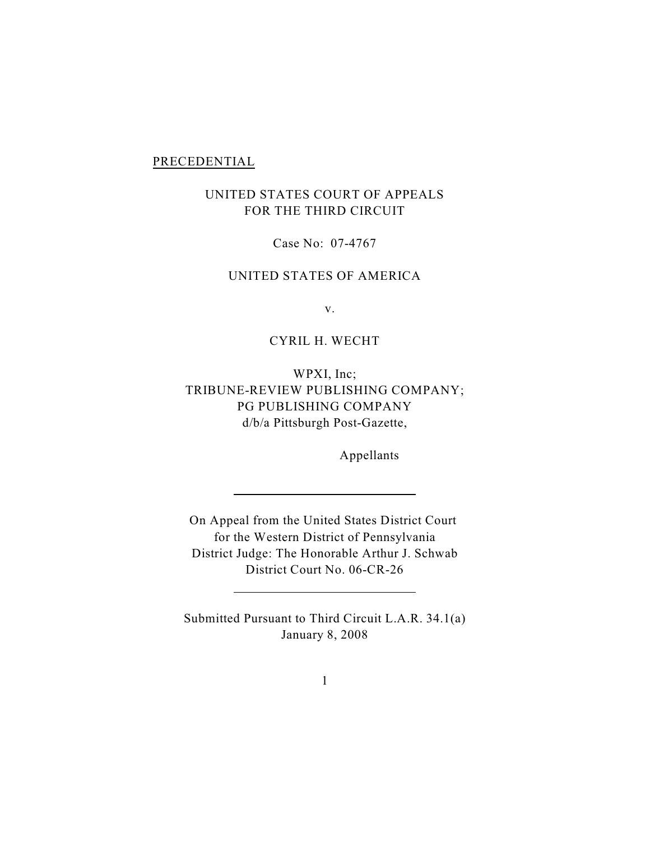# **PRECEDENTIAL**

 $\overline{a}$ 

 $\overline{a}$ 

# UNITED STATES COURT OF APPEALS FOR THE THIRD CIRCUIT

Case No: 07-4767

### UNITED STATES OF AMERICA

v.

## CYRIL H. WECHT

WPXI, Inc; TRIBUNE-REVIEW PUBLISHING COMPANY; PG PUBLISHING COMPANY d/b/a Pittsburgh Post-Gazette,

Appellants

On Appeal from the United States District Court for the Western District of Pennsylvania District Judge: The Honorable Arthur J. Schwab District Court No. 06-CR-26

Submitted Pursuant to Third Circuit L.A.R. 34.1(a) January 8, 2008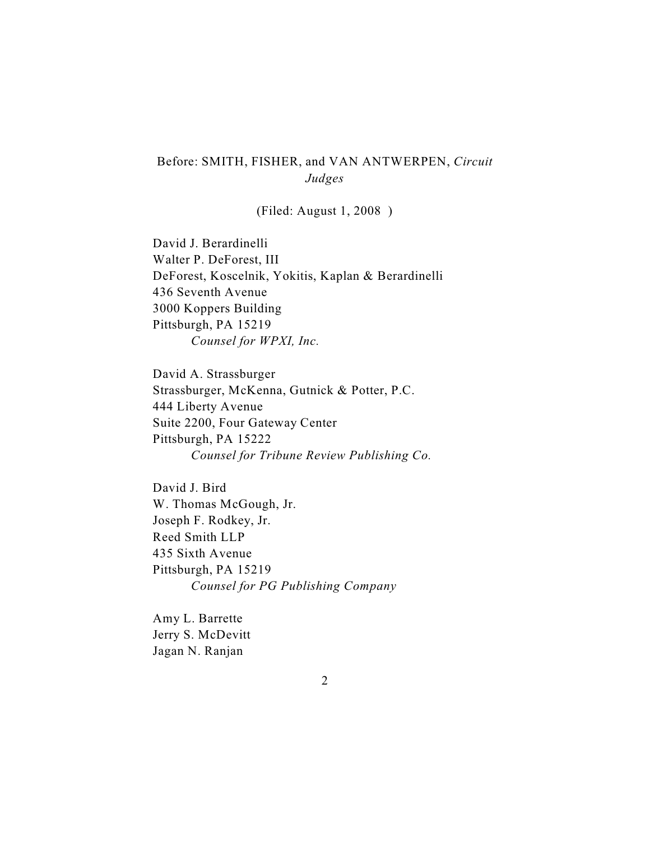# Before: SMITH, FISHER, and VAN ANTWERPEN, *Circuit Judges*

(Filed: August 1, 2008 )

David J. Berardinelli Walter P. DeForest, III DeForest, Koscelnik, Yokitis, Kaplan & Berardinelli 436 Seventh Avenue 3000 Koppers Building Pittsburgh, PA 15219 *Counsel for WPXI, Inc.*

David A. Strassburger Strassburger, McKenna, Gutnick & Potter, P.C. 444 Liberty Avenue Suite 2200, Four Gateway Center Pittsburgh, PA 15222 *Counsel for Tribune Review Publishing Co.*

David J. Bird W. Thomas McGough, Jr. Joseph F. Rodkey, Jr. Reed Smith LLP 435 Sixth Avenue Pittsburgh, PA 15219 *Counsel for PG Publishing Company*

Amy L. Barrette Jerry S. McDevitt Jagan N. Ranjan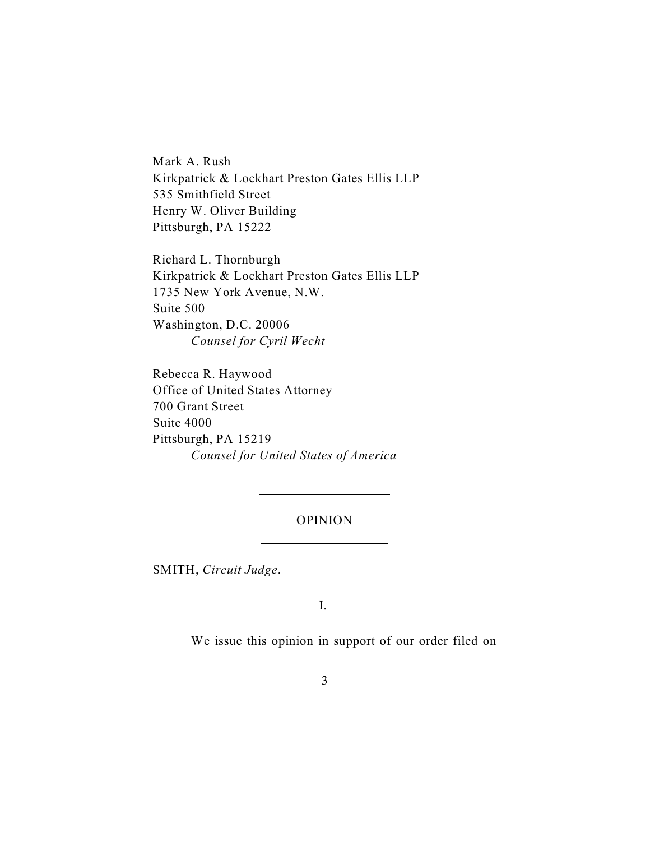Mark A. Rush Kirkpatrick & Lockhart Preston Gates Ellis LLP 535 Smithfield Street Henry W. Oliver Building Pittsburgh, PA 15222

Richard L. Thornburgh Kirkpatrick & Lockhart Preston Gates Ellis LLP 1735 New York Avenue, N.W. Suite 500 Washington, D.C. 20006 *Counsel for Cyril Wecht*

Rebecca R. Haywood Office of United States Attorney 700 Grant Street Suite 4000 Pittsburgh, PA 15219 *Counsel for United States of America*

 $\overline{a}$ 

 $\overline{a}$ 

### OPINION

SMITH, *Circuit Judge*.

I.

We issue this opinion in support of our order filed on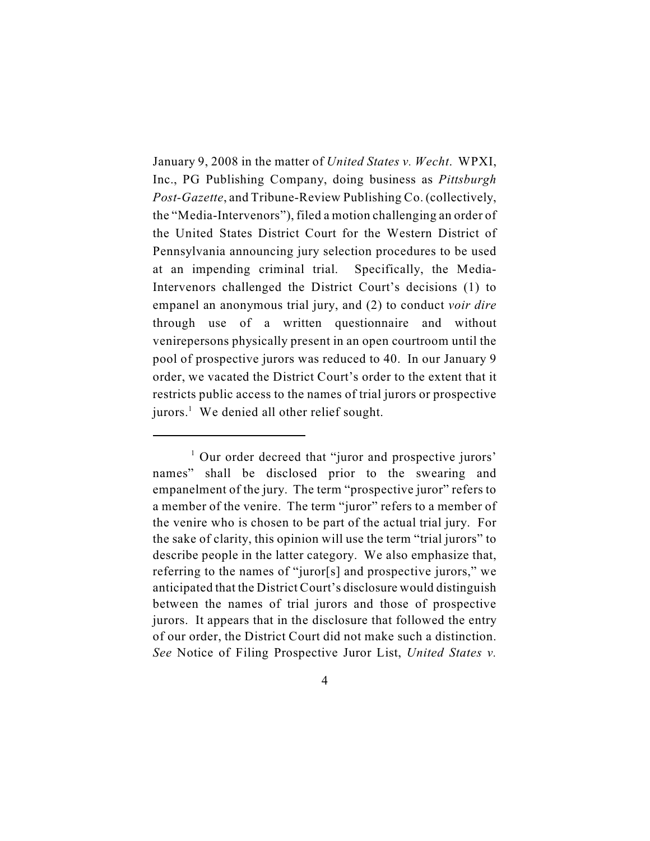January 9, 2008 in the matter of *United States v. Wecht*. WPXI, Inc., PG Publishing Company, doing business as *Pittsburgh Post-Gazette*, and Tribune-Review Publishing Co. (collectively, the "Media-Intervenors"), filed a motion challenging an order of the United States District Court for the Western District of Pennsylvania announcing jury selection procedures to be used at an impending criminal trial. Specifically, the Media-Intervenors challenged the District Court's decisions (1) to empanel an anonymous trial jury, and (2) to conduct *voir dire* through use of a written questionnaire and without venirepersons physically present in an open courtroom until the pool of prospective jurors was reduced to 40. In our January 9 order, we vacated the District Court's order to the extent that it restricts public access to the names of trial jurors or prospective  $jurors<sup>1</sup>$  We denied all other relief sought.

<sup>&</sup>lt;sup>1</sup> Our order decreed that "juror and prospective jurors" names" shall be disclosed prior to the swearing and empanelment of the jury. The term "prospective juror" refers to a member of the venire. The term "juror" refers to a member of the venire who is chosen to be part of the actual trial jury. For the sake of clarity, this opinion will use the term "trial jurors" to describe people in the latter category. We also emphasize that, referring to the names of "juror[s] and prospective jurors," we anticipated that the District Court's disclosure would distinguish between the names of trial jurors and those of prospective jurors. It appears that in the disclosure that followed the entry of our order, the District Court did not make such a distinction. *See* Notice of Filing Prospective Juror List, *United States v.*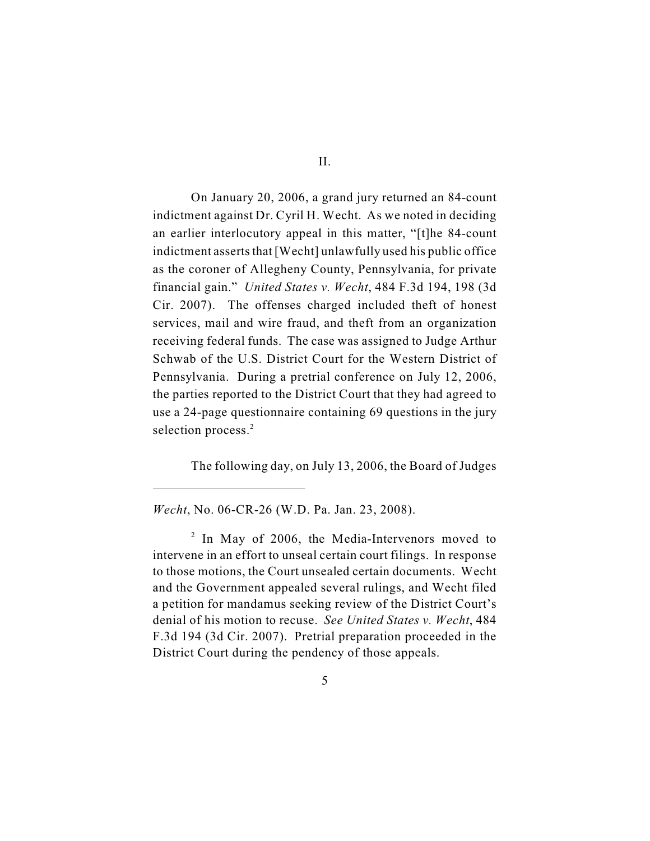II.

On January 20, 2006, a grand jury returned an 84-count indictment against Dr. Cyril H. Wecht. As we noted in deciding an earlier interlocutory appeal in this matter, "[t]he 84-count indictment asserts that [Wecht] unlawfully used his public office as the coroner of Allegheny County, Pennsylvania, for private financial gain." *United States v. Wecht*, 484 F.3d 194, 198 (3d Cir. 2007). The offenses charged included theft of honest services, mail and wire fraud, and theft from an organization receiving federal funds. The case was assigned to Judge Arthur Schwab of the U.S. District Court for the Western District of Pennsylvania. During a pretrial conference on July 12, 2006, the parties reported to the District Court that they had agreed to use a 24-page questionnaire containing 69 questions in the jury selection process.<sup>2</sup>

The following day, on July 13, 2006, the Board of Judges

*Wecht*, No. 06-CR-26 (W.D. Pa. Jan. 23, 2008).

 $2$  In May of 2006, the Media-Intervenors moved to intervene in an effort to unseal certain court filings. In response to those motions, the Court unsealed certain documents. Wecht and the Government appealed several rulings, and Wecht filed a petition for mandamus seeking review of the District Court's denial of his motion to recuse. *See United States v. Wecht*, 484 F.3d 194 (3d Cir. 2007). Pretrial preparation proceeded in the District Court during the pendency of those appeals.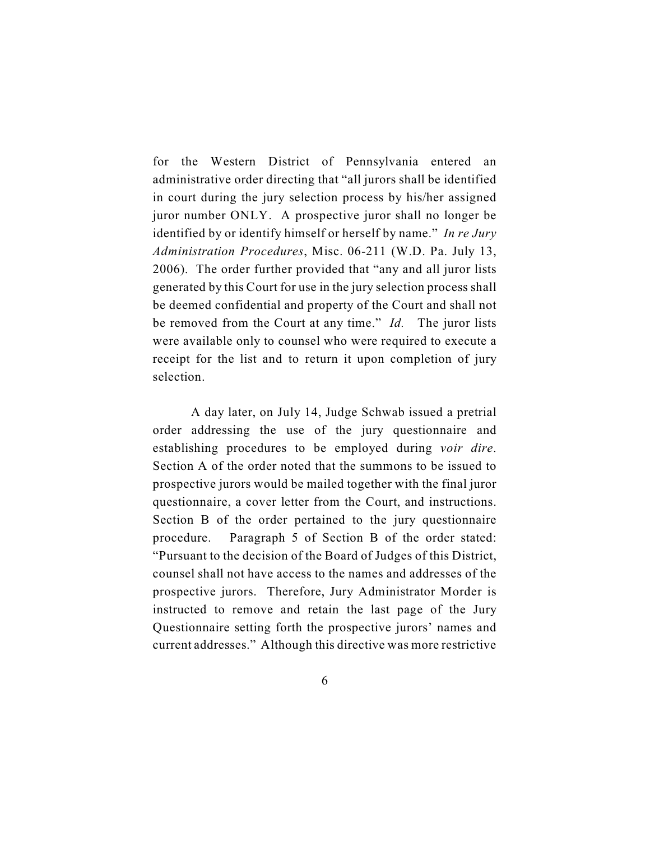for the Western District of Pennsylvania entered an administrative order directing that "all jurors shall be identified in court during the jury selection process by his/her assigned juror number ONLY. A prospective juror shall no longer be identified by or identify himself or herself by name." *In re Jury Administration Procedures*, Misc. 06-211 (W.D. Pa. July 13, 2006). The order further provided that "any and all juror lists generated by this Court for use in the jury selection process shall be deemed confidential and property of the Court and shall not be removed from the Court at any time." *Id.* The juror lists were available only to counsel who were required to execute a receipt for the list and to return it upon completion of jury selection.

A day later, on July 14, Judge Schwab issued a pretrial order addressing the use of the jury questionnaire and establishing procedures to be employed during *voir dire*. Section A of the order noted that the summons to be issued to prospective jurors would be mailed together with the final juror questionnaire, a cover letter from the Court, and instructions. Section B of the order pertained to the jury questionnaire procedure. Paragraph 5 of Section B of the order stated: "Pursuant to the decision of the Board of Judges of this District, counsel shall not have access to the names and addresses of the prospective jurors. Therefore, Jury Administrator Morder is instructed to remove and retain the last page of the Jury Questionnaire setting forth the prospective jurors' names and current addresses." Although this directive was more restrictive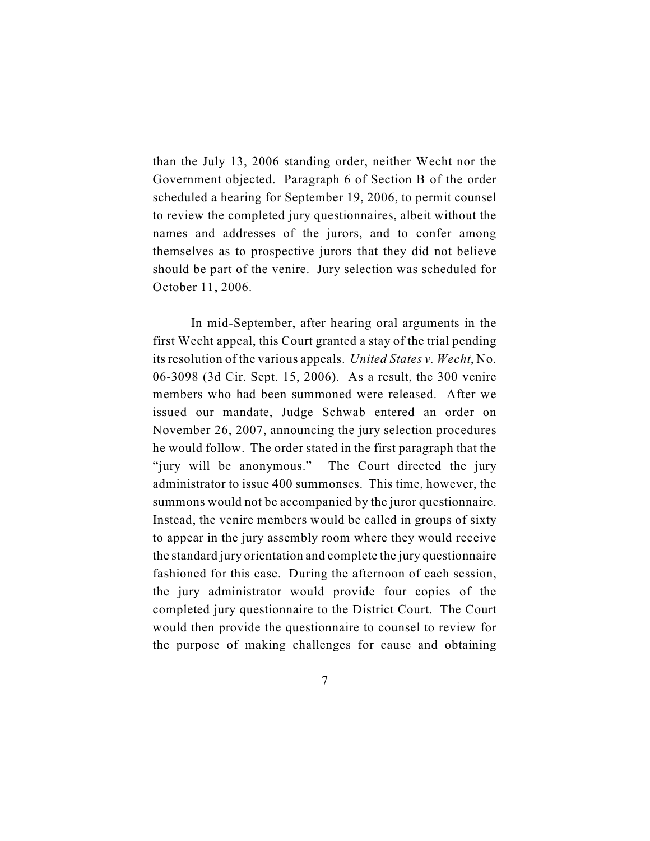than the July 13, 2006 standing order, neither Wecht nor the Government objected. Paragraph 6 of Section B of the order scheduled a hearing for September 19, 2006, to permit counsel to review the completed jury questionnaires, albeit without the names and addresses of the jurors, and to confer among themselves as to prospective jurors that they did not believe should be part of the venire. Jury selection was scheduled for October 11, 2006.

In mid-September, after hearing oral arguments in the first Wecht appeal, this Court granted a stay of the trial pending its resolution of the various appeals. *United States v. Wecht*, No. 06-3098 (3d Cir. Sept. 15, 2006). As a result, the 300 venire members who had been summoned were released. After we issued our mandate, Judge Schwab entered an order on November 26, 2007, announcing the jury selection procedures he would follow. The order stated in the first paragraph that the "jury will be anonymous." The Court directed the jury administrator to issue 400 summonses. This time, however, the summons would not be accompanied by the juror questionnaire. Instead, the venire members would be called in groups of sixty to appear in the jury assembly room where they would receive the standard jury orientation and complete the jury questionnaire fashioned for this case. During the afternoon of each session, the jury administrator would provide four copies of the completed jury questionnaire to the District Court. The Court would then provide the questionnaire to counsel to review for the purpose of making challenges for cause and obtaining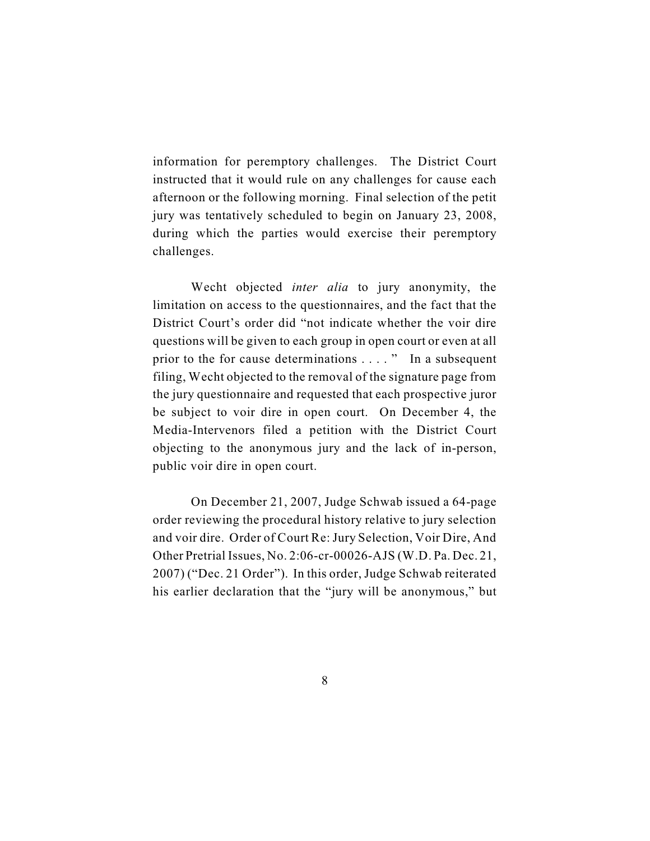information for peremptory challenges. The District Court instructed that it would rule on any challenges for cause each afternoon or the following morning. Final selection of the petit jury was tentatively scheduled to begin on January 23, 2008, during which the parties would exercise their peremptory challenges.

Wecht objected *inter alia* to jury anonymity, the limitation on access to the questionnaires, and the fact that the District Court's order did "not indicate whether the voir dire questions will be given to each group in open court or even at all prior to the for cause determinations . . . . " In a subsequent filing, Wecht objected to the removal of the signature page from the jury questionnaire and requested that each prospective juror be subject to voir dire in open court. On December 4, the Media-Intervenors filed a petition with the District Court objecting to the anonymous jury and the lack of in-person, public voir dire in open court.

On December 21, 2007, Judge Schwab issued a 64-page order reviewing the procedural history relative to jury selection and voir dire. Order of Court Re: Jury Selection, Voir Dire, And Other Pretrial Issues, No. 2:06-cr-00026-AJS (W.D. Pa. Dec. 21, 2007) ("Dec. 21 Order"). In this order, Judge Schwab reiterated his earlier declaration that the "jury will be anonymous," but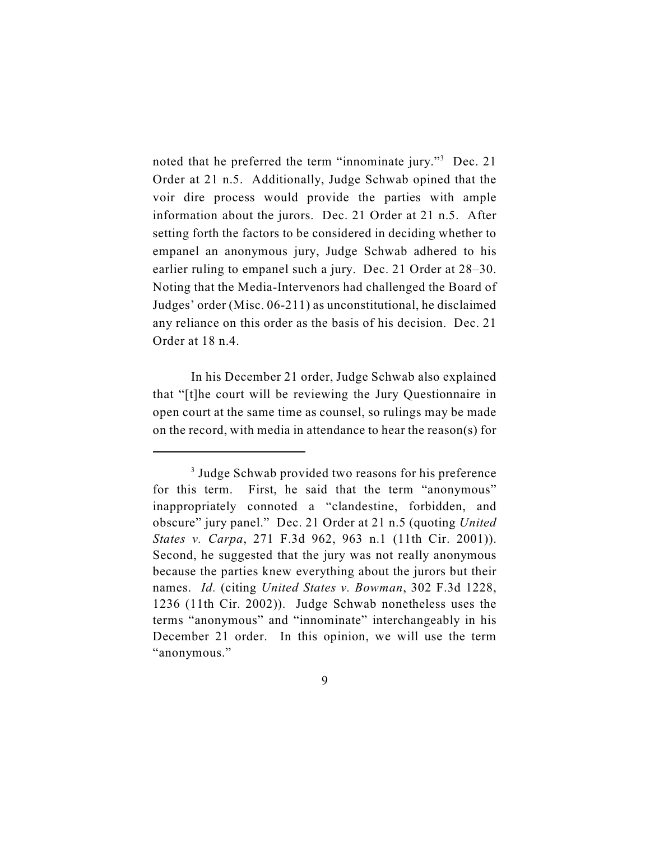noted that he preferred the term "innominate jury."<sup>3</sup> Dec. 21 Order at 21 n.5. Additionally, Judge Schwab opined that the voir dire process would provide the parties with ample information about the jurors. Dec. 21 Order at 21 n.5. After setting forth the factors to be considered in deciding whether to empanel an anonymous jury, Judge Schwab adhered to his earlier ruling to empanel such a jury. Dec. 21 Order at 28–30. Noting that the Media-Intervenors had challenged the Board of Judges' order (Misc. 06-211) as unconstitutional, he disclaimed any reliance on this order as the basis of his decision. Dec. 21 Order at 18 n.4.

In his December 21 order, Judge Schwab also explained that "[t]he court will be reviewing the Jury Questionnaire in open court at the same time as counsel, so rulings may be made on the record, with media in attendance to hear the reason(s) for

<sup>&</sup>lt;sup>3</sup> Judge Schwab provided two reasons for his preference for this term. First, he said that the term "anonymous" inappropriately connoted a "clandestine, forbidden, and obscure" jury panel." Dec. 21 Order at 21 n.5 (quoting *United States v. Carpa*, 271 F.3d 962, 963 n.1 (11th Cir. 2001)). Second, he suggested that the jury was not really anonymous because the parties knew everything about the jurors but their names. *Id.* (citing *United States v. Bowman*, 302 F.3d 1228, 1236 (11th Cir. 2002)). Judge Schwab nonetheless uses the terms "anonymous" and "innominate" interchangeably in his December 21 order. In this opinion, we will use the term "anonymous."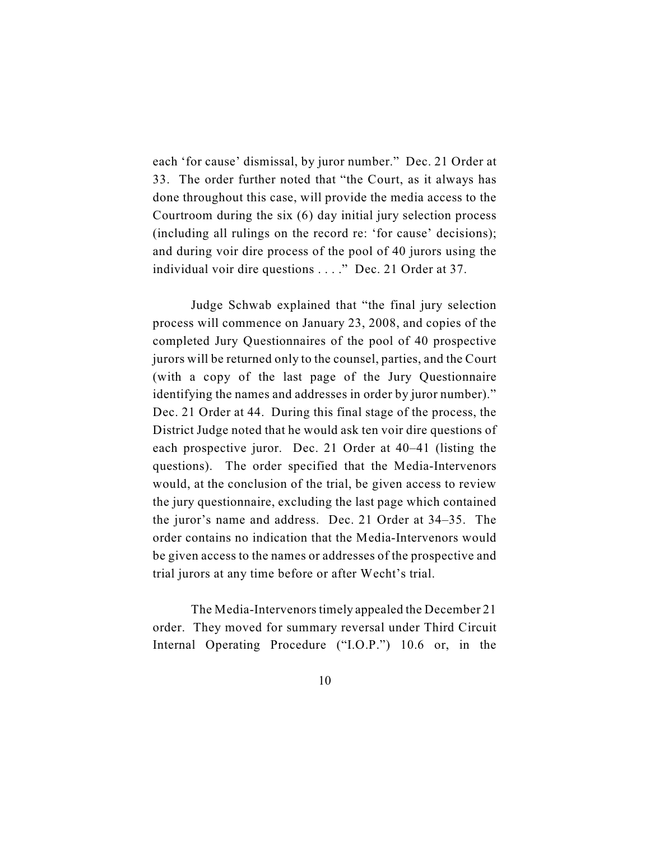each 'for cause' dismissal, by juror number." Dec. 21 Order at 33. The order further noted that "the Court, as it always has done throughout this case, will provide the media access to the Courtroom during the six (6) day initial jury selection process (including all rulings on the record re: 'for cause' decisions); and during voir dire process of the pool of 40 jurors using the individual voir dire questions . . . ." Dec. 21 Order at 37.

Judge Schwab explained that "the final jury selection process will commence on January 23, 2008, and copies of the completed Jury Questionnaires of the pool of 40 prospective jurors will be returned only to the counsel, parties, and the Court (with a copy of the last page of the Jury Questionnaire identifying the names and addresses in order by juror number)." Dec. 21 Order at 44. During this final stage of the process, the District Judge noted that he would ask ten voir dire questions of each prospective juror. Dec. 21 Order at 40–41 (listing the questions). The order specified that the Media-Intervenors would, at the conclusion of the trial, be given access to review the jury questionnaire, excluding the last page which contained the juror's name and address. Dec. 21 Order at 34–35. The order contains no indication that the Media-Intervenors would be given access to the names or addresses of the prospective and trial jurors at any time before or after Wecht's trial.

The Media-Intervenors timely appealed the December 21 order. They moved for summary reversal under Third Circuit Internal Operating Procedure ("I.O.P.") 10.6 or, in the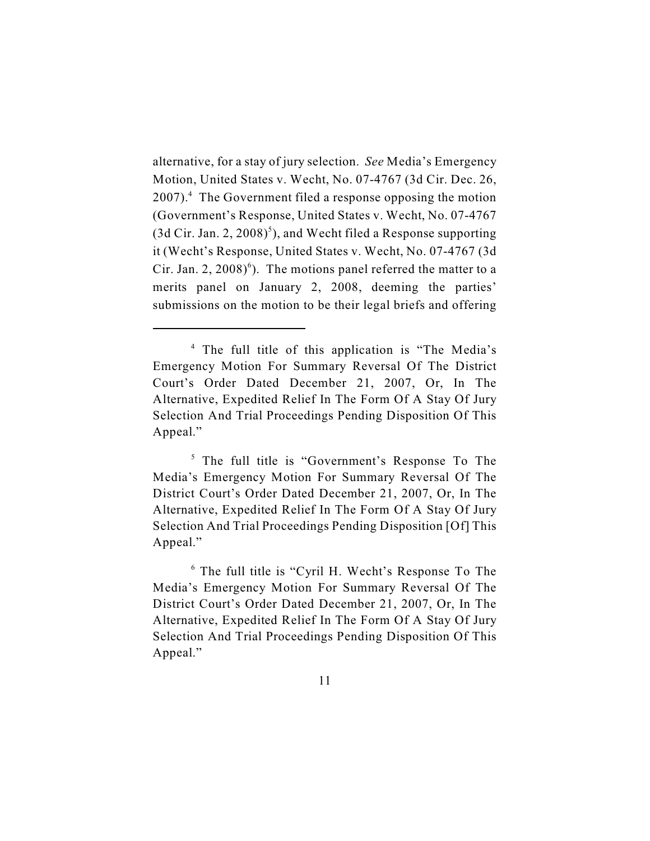alternative, for a stay of jury selection. *See* Media's Emergency Motion, United States v. Wecht, No. 07-4767 (3d Cir. Dec. 26,  $2007$ .<sup>4</sup> The Government filed a response opposing the motion (Government's Response, United States v. Wecht, No. 07-4767 (3d Cir. Jan. 2, 2008)<sup>5</sup>), and Wecht filed a Response supporting it (Wecht's Response, United States v. Wecht, No. 07-4767 (3d Cir. Jan. 2, 2008)<sup> $\degree$ </sup>). The motions panel referred the matter to a merits panel on January 2, 2008, deeming the parties' submissions on the motion to be their legal briefs and offering

 $<sup>4</sup>$  The full title of this application is "The Media's</sup> Emergency Motion For Summary Reversal Of The District Court's Order Dated December 21, 2007, Or, In The Alternative, Expedited Relief In The Form Of A Stay Of Jury Selection And Trial Proceedings Pending Disposition Of This Appeal."

 $<sup>5</sup>$  The full title is "Government's Response To The</sup> Media's Emergency Motion For Summary Reversal Of The District Court's Order Dated December 21, 2007, Or, In The Alternative, Expedited Relief In The Form Of A Stay Of Jury Selection And Trial Proceedings Pending Disposition [Of] This Appeal."

 $6$  The full title is "Cyril H. Wecht's Response To The Media's Emergency Motion For Summary Reversal Of The District Court's Order Dated December 21, 2007, Or, In The Alternative, Expedited Relief In The Form Of A Stay Of Jury Selection And Trial Proceedings Pending Disposition Of This Appeal."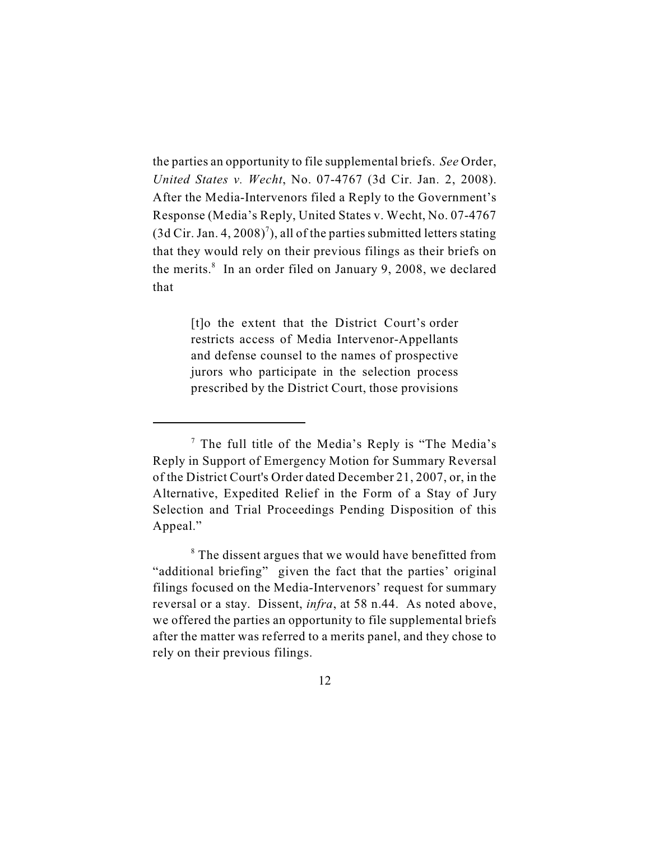the parties an opportunity to file supplemental briefs. *See* Order, *United States v. Wecht*, No. 07-4767 (3d Cir. Jan. 2, 2008). After the Media-Intervenors filed a Reply to the Government's Response (Media's Reply, United States v. Wecht, No. 07-4767  $(3d Cir. Jan. 4, 2008)^7$ , all of the parties submitted letters stating that they would rely on their previous filings as their briefs on the merits. $\delta$  In an order filed on January 9, 2008, we declared that

> [t]o the extent that the District Court's order restricts access of Media Intervenor-Appellants and defense counsel to the names of prospective jurors who participate in the selection process prescribed by the District Court, those provisions

 $\frac{7}{7}$  The full title of the Media's Reply is "The Media's Reply in Support of Emergency Motion for Summary Reversal of the District Court's Order dated December 21, 2007, or, in the Alternative, Expedited Relief in the Form of a Stay of Jury Selection and Trial Proceedings Pending Disposition of this Appeal."

<sup>&</sup>lt;sup>8</sup> The dissent argues that we would have benefitted from "additional briefing" given the fact that the parties' original filings focused on the Media-Intervenors' request for summary reversal or a stay. Dissent, *infra*, at 58 n.44. As noted above, we offered the parties an opportunity to file supplemental briefs after the matter was referred to a merits panel, and they chose to rely on their previous filings.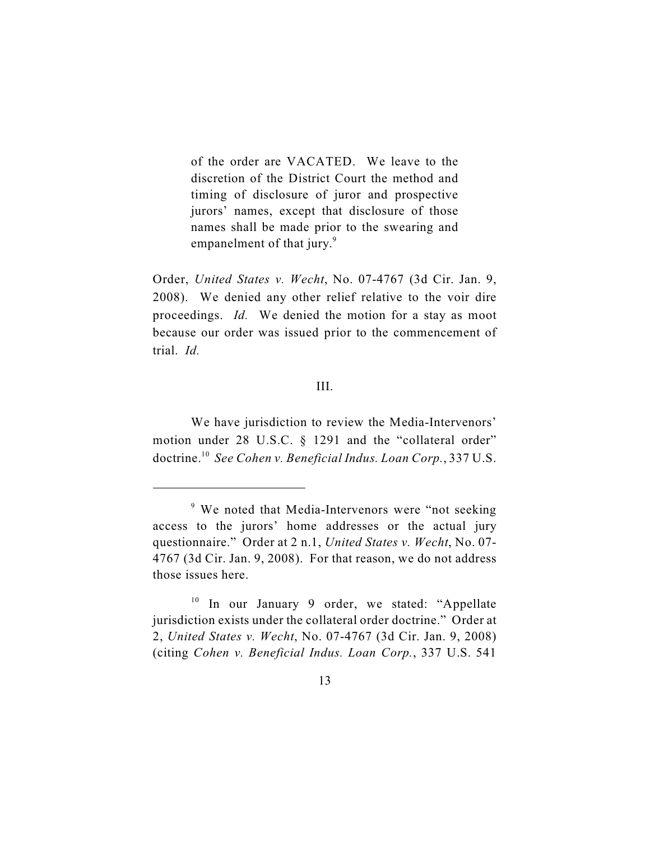of the order are VACATED. We leave to the discretion of the District Court the method and timing of disclosure of juror and prospective jurors' names, except that disclosure of those names shall be made prior to the swearing and empanelment of that jury.<sup>9</sup>

Order, *United States v. Wecht*, No. 07-4767 (3d Cir. Jan. 9, 2008). We denied any other relief relative to the voir dire proceedings. *Id.* We denied the motion for a stay as moot because our order was issued prior to the commencement of trial. *Id.*

### III.

We have jurisdiction to review the Media-Intervenors' motion under 28 U.S.C. § 1291 and the "collateral order" doctrine.<sup>10</sup> See Cohen v. Beneficial Indus. Loan Corp., 337 U.S.

<sup>&</sup>lt;sup>9</sup> We noted that Media-Intervenors were "not seeking" access to the jurors' home addresses or the actual jury questionnaire." Order at 2 n.1, *United States v. Wecht*, No. 07- 4767 (3d Cir. Jan. 9, 2008). For that reason, we do not address those issues here.

 $10$  In our January 9 order, we stated: "Appellate jurisdiction exists under the collateral order doctrine." Order at 2, *United States v. Wecht*, No. 07-4767 (3d Cir. Jan. 9, 2008) (citing *Cohen v. Beneficial Indus. Loan Corp.*, 337 U.S. 541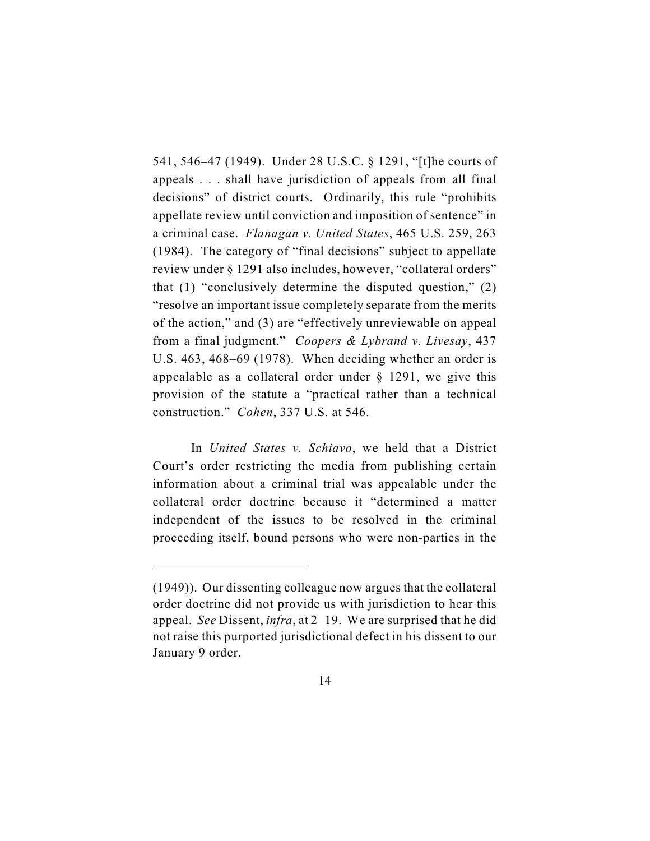541, 546–47 (1949). Under 28 U.S.C. § 1291, "[t]he courts of appeals . . . shall have jurisdiction of appeals from all final decisions" of district courts. Ordinarily, this rule "prohibits appellate review until conviction and imposition of sentence" in a criminal case. *Flanagan v. United States*, 465 U.S. 259, 263 (1984). The category of "final decisions" subject to appellate review under § 1291 also includes, however, "collateral orders" that (1) "conclusively determine the disputed question," (2) "resolve an important issue completely separate from the merits of the action," and (3) are "effectively unreviewable on appeal from a final judgment." *Coopers & Lybrand v. Livesay*, 437 U.S. 463, 468–69 (1978). When deciding whether an order is appealable as a collateral order under  $\S$  1291, we give this provision of the statute a "practical rather than a technical construction." *Cohen*, 337 U.S. at 546.

In *United States v. Schiavo*, we held that a District Court's order restricting the media from publishing certain information about a criminal trial was appealable under the collateral order doctrine because it "determined a matter independent of the issues to be resolved in the criminal proceeding itself, bound persons who were non-parties in the

<sup>(1949)).</sup> Our dissenting colleague now argues that the collateral order doctrine did not provide us with jurisdiction to hear this appeal. *See* Dissent, *infra*, at 2–19. We are surprised that he did not raise this purported jurisdictional defect in his dissent to our January 9 order.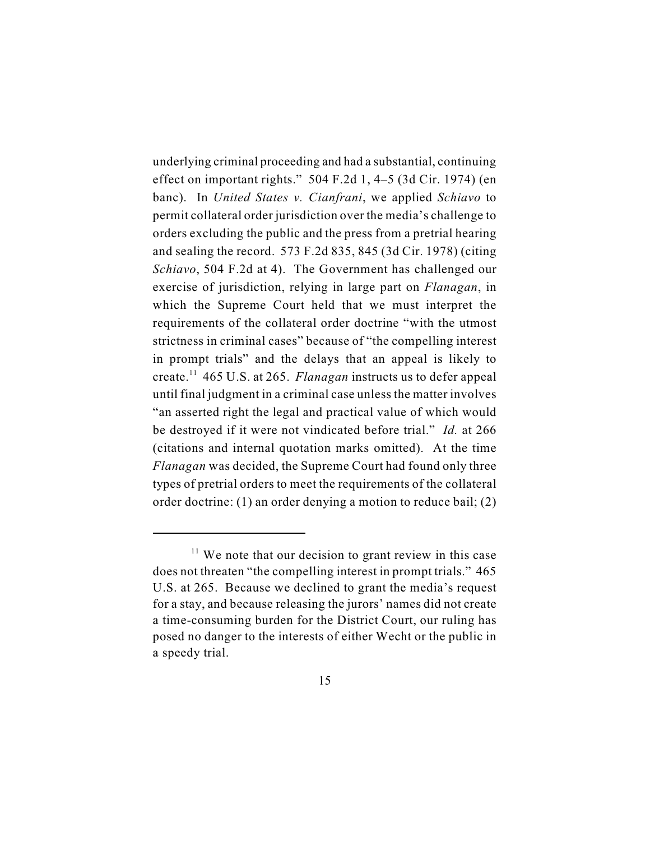underlying criminal proceeding and had a substantial, continuing effect on important rights." 504 F.2d 1, 4–5 (3d Cir. 1974) (en banc). In *United States v. Cianfrani*, we applied *Schiavo* to permit collateral order jurisdiction over the media's challenge to orders excluding the public and the press from a pretrial hearing and sealing the record. 573 F.2d 835, 845 (3d Cir. 1978) (citing *Schiavo*, 504 F.2d at 4). The Government has challenged our exercise of jurisdiction, relying in large part on *Flanagan*, in which the Supreme Court held that we must interpret the requirements of the collateral order doctrine "with the utmost strictness in criminal cases" because of "the compelling interest in prompt trials" and the delays that an appeal is likely to create.<sup>11</sup> 465 U.S. at 265. *Flanagan* instructs us to defer appeal until final judgment in a criminal case unless the matter involves "an asserted right the legal and practical value of which would be destroyed if it were not vindicated before trial." *Id.* at 266 (citations and internal quotation marks omitted). At the time *Flanagan* was decided, the Supreme Court had found only three types of pretrial orders to meet the requirements of the collateral order doctrine: (1) an order denying a motion to reduce bail; (2)

 $11$  We note that our decision to grant review in this case does not threaten "the compelling interest in prompt trials." 465 U.S. at 265. Because we declined to grant the media's request for a stay, and because releasing the jurors' names did not create a time-consuming burden for the District Court, our ruling has posed no danger to the interests of either Wecht or the public in a speedy trial.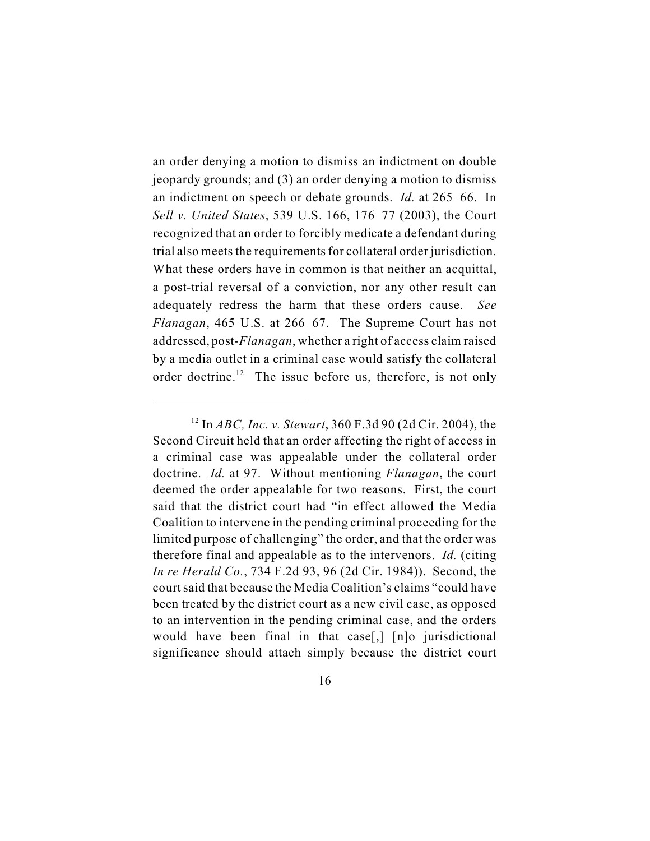an order denying a motion to dismiss an indictment on double jeopardy grounds; and (3) an order denying a motion to dismiss an indictment on speech or debate grounds. *Id.* at 265–66. In *Sell v. United States*, 539 U.S. 166, 176–77 (2003), the Court recognized that an order to forcibly medicate a defendant during trial also meets the requirements for collateral order jurisdiction. What these orders have in common is that neither an acquittal, a post-trial reversal of a conviction, nor any other result can adequately redress the harm that these orders cause. *See Flanagan*, 465 U.S. at 266–67. The Supreme Court has not addressed, post-*Flanagan*, whether a right of access claim raised by a media outlet in a criminal case would satisfy the collateral order doctrine.<sup> $12$ </sup> The issue before us, therefore, is not only

 $12$  In *ABC*, *Inc. v. Stewart*, 360 F.3d 90 (2d Cir. 2004), the Second Circuit held that an order affecting the right of access in a criminal case was appealable under the collateral order doctrine. *Id.* at 97. Without mentioning *Flanagan*, the court deemed the order appealable for two reasons. First, the court said that the district court had "in effect allowed the Media Coalition to intervene in the pending criminal proceeding for the limited purpose of challenging" the order, and that the order was therefore final and appealable as to the intervenors. *Id.* (citing *In re Herald Co.*, 734 F.2d 93, 96 (2d Cir. 1984)). Second, the court said that because the Media Coalition's claims "could have been treated by the district court as a new civil case, as opposed to an intervention in the pending criminal case, and the orders would have been final in that case[,] [n]o jurisdictional significance should attach simply because the district court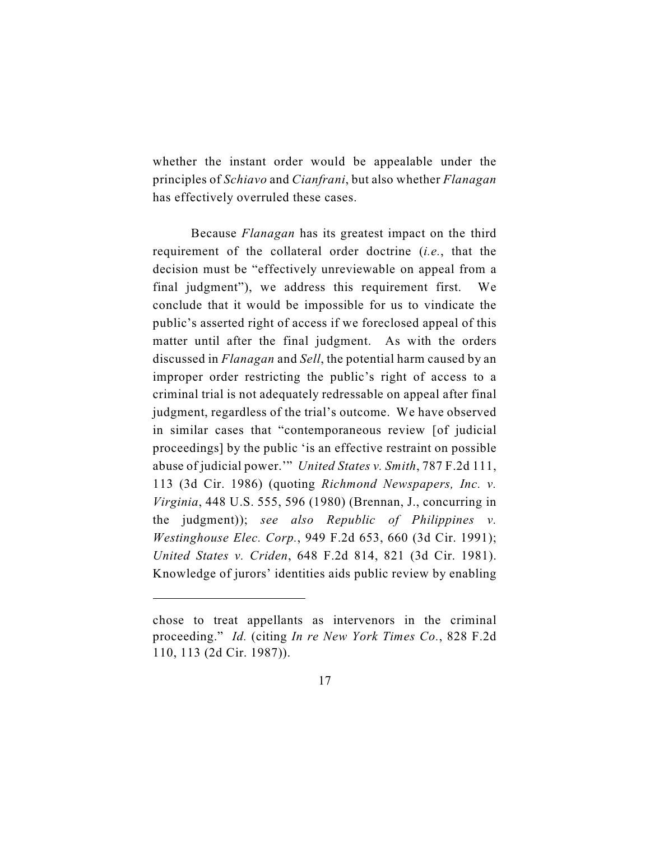whether the instant order would be appealable under the principles of *Schiavo* and *Cianfrani*, but also whether *Flanagan* has effectively overruled these cases.

Because *Flanagan* has its greatest impact on the third requirement of the collateral order doctrine (*i.e.*, that the decision must be "effectively unreviewable on appeal from a final judgment"), we address this requirement first. We conclude that it would be impossible for us to vindicate the public's asserted right of access if we foreclosed appeal of this matter until after the final judgment. As with the orders discussed in *Flanagan* and *Sell*, the potential harm caused by an improper order restricting the public's right of access to a criminal trial is not adequately redressable on appeal after final judgment, regardless of the trial's outcome. We have observed in similar cases that "contemporaneous review [of judicial proceedings] by the public 'is an effective restraint on possible abuse of judicial power.'" *United States v. Smith*, 787 F.2d 111, 113 (3d Cir. 1986) (quoting *Richmond Newspapers, Inc. v. Virginia*, 448 U.S. 555, 596 (1980) (Brennan, J., concurring in the judgment)); *see also Republic of Philippines v. Westinghouse Elec. Corp.*, 949 F.2d 653, 660 (3d Cir. 1991); *United States v. Criden*, 648 F.2d 814, 821 (3d Cir. 1981). Knowledge of jurors' identities aids public review by enabling

chose to treat appellants as intervenors in the criminal proceeding." *Id.* (citing *In re New York Times Co.*, 828 F.2d 110, 113 (2d Cir. 1987)).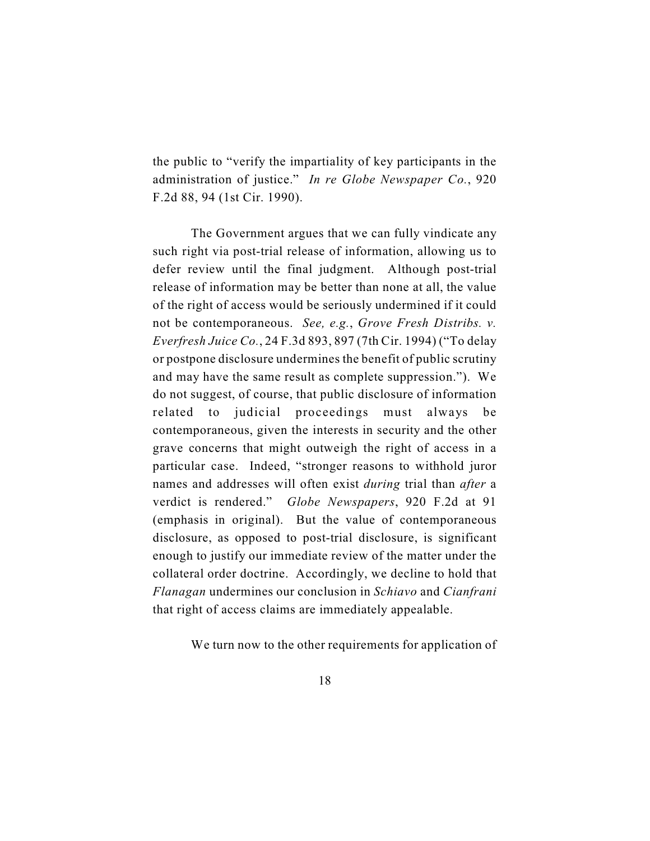the public to "verify the impartiality of key participants in the administration of justice." *In re Globe Newspaper Co.*, 920 F.2d 88, 94 (1st Cir. 1990).

The Government argues that we can fully vindicate any such right via post-trial release of information, allowing us to defer review until the final judgment. Although post-trial release of information may be better than none at all, the value of the right of access would be seriously undermined if it could not be contemporaneous. *See, e.g.*, *Grove Fresh Distribs. v. Everfresh Juice Co.*, 24 F.3d 893, 897 (7th Cir. 1994) ("To delay or postpone disclosure undermines the benefit of public scrutiny and may have the same result as complete suppression."). We do not suggest, of course, that public disclosure of information related to judicial proceedings must always be contemporaneous, given the interests in security and the other grave concerns that might outweigh the right of access in a particular case. Indeed, "stronger reasons to withhold juror names and addresses will often exist *during* trial than *after* a verdict is rendered." *Globe Newspapers*, 920 F.2d at 91 (emphasis in original). But the value of contemporaneous disclosure, as opposed to post-trial disclosure, is significant enough to justify our immediate review of the matter under the collateral order doctrine. Accordingly, we decline to hold that *Flanagan* undermines our conclusion in *Schiavo* and *Cianfrani* that right of access claims are immediately appealable.

We turn now to the other requirements for application of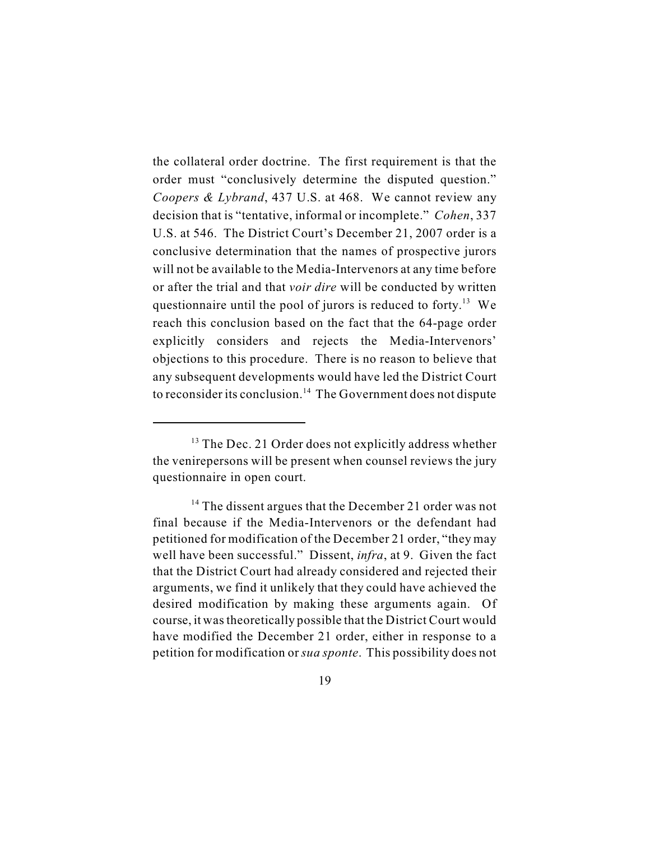the collateral order doctrine. The first requirement is that the order must "conclusively determine the disputed question." *Coopers & Lybrand*, 437 U.S. at 468. We cannot review any decision that is "tentative, informal or incomplete." *Cohen*, 337 U.S. at 546. The District Court's December 21, 2007 order is a conclusive determination that the names of prospective jurors will not be available to the Media-Intervenors at any time before or after the trial and that *voir dire* will be conducted by written questionnaire until the pool of jurors is reduced to forty.<sup>13</sup> We reach this conclusion based on the fact that the 64-page order explicitly considers and rejects the Media-Intervenors' objections to this procedure. There is no reason to believe that any subsequent developments would have led the District Court to reconsider its conclusion.<sup>14</sup> The Government does not dispute

 $13$  The Dec. 21 Order does not explicitly address whether the venirepersons will be present when counsel reviews the jury questionnaire in open court.

 $14$  The dissent argues that the December 21 order was not final because if the Media-Intervenors or the defendant had petitioned for modification of the December 21 order, "they may well have been successful." Dissent, *infra*, at 9. Given the fact that the District Court had already considered and rejected their arguments, we find it unlikely that they could have achieved the desired modification by making these arguments again. Of course, it was theoretically possible that the District Court would have modified the December 21 order, either in response to a petition for modification or *sua sponte*. This possibility does not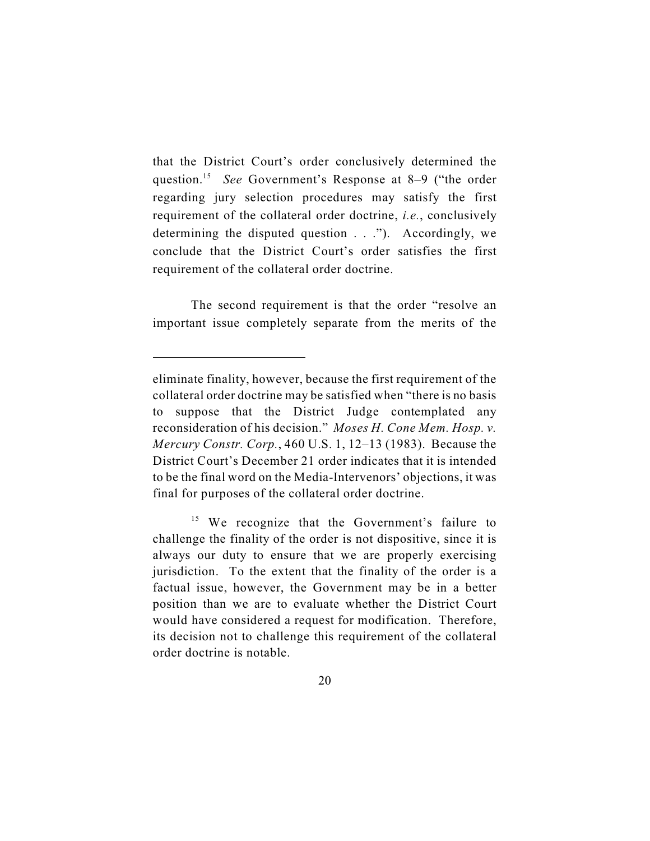that the District Court's order conclusively determined the question.<sup>15</sup> See Government's Response at 8–9 ("the order regarding jury selection procedures may satisfy the first requirement of the collateral order doctrine, *i.e.*, conclusively determining the disputed question . . ."). Accordingly, we conclude that the District Court's order satisfies the first requirement of the collateral order doctrine.

The second requirement is that the order "resolve an important issue completely separate from the merits of the

eliminate finality, however, because the first requirement of the collateral order doctrine may be satisfied when "there is no basis to suppose that the District Judge contemplated any reconsideration of his decision." *Moses H. Cone Mem. Hosp. v. Mercury Constr. Corp.*, 460 U.S. 1, 12–13 (1983). Because the District Court's December 21 order indicates that it is intended to be the final word on the Media-Intervenors' objections, it was final for purposes of the collateral order doctrine.

 $15$  We recognize that the Government's failure to challenge the finality of the order is not dispositive, since it is always our duty to ensure that we are properly exercising jurisdiction. To the extent that the finality of the order is a factual issue, however, the Government may be in a better position than we are to evaluate whether the District Court would have considered a request for modification. Therefore, its decision not to challenge this requirement of the collateral order doctrine is notable.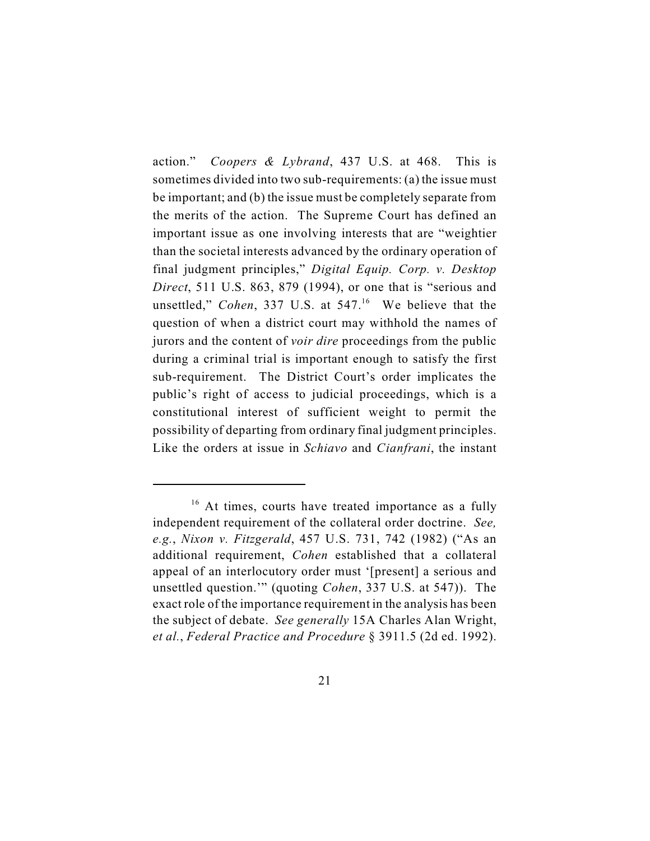action." *Coopers & Lybrand*, 437 U.S. at 468. This is sometimes divided into two sub-requirements: (a) the issue must be important; and (b) the issue must be completely separate from the merits of the action. The Supreme Court has defined an important issue as one involving interests that are "weightier than the societal interests advanced by the ordinary operation of final judgment principles," *Digital Equip. Corp. v. Desktop Direct*, 511 U.S. 863, 879 (1994), or one that is "serious and unsettled," *Cohen*, 337 U.S. at  $547<sup>16</sup>$  We believe that the question of when a district court may withhold the names of jurors and the content of *voir dire* proceedings from the public during a criminal trial is important enough to satisfy the first sub-requirement. The District Court's order implicates the public's right of access to judicial proceedings, which is a constitutional interest of sufficient weight to permit the possibility of departing from ordinary final judgment principles. Like the orders at issue in *Schiavo* and *Cianfrani*, the instant

 $16$  At times, courts have treated importance as a fully independent requirement of the collateral order doctrine. *See, e.g.*, *Nixon v. Fitzgerald*, 457 U.S. 731, 742 (1982) ("As an additional requirement, *Cohen* established that a collateral appeal of an interlocutory order must '[present] a serious and unsettled question.'" (quoting *Cohen*, 337 U.S. at 547)). The exact role of the importance requirement in the analysis has been the subject of debate. *See generally* 15A Charles Alan Wright, *et al.*, *Federal Practice and Procedure* § 3911.5 (2d ed. 1992).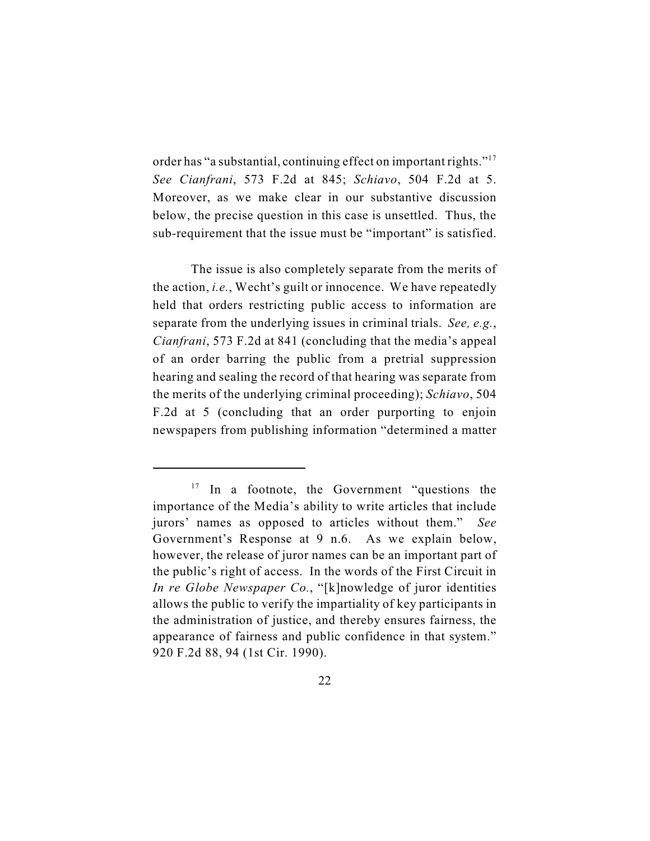order has "a substantial, continuing effect on important rights."<sup>17</sup> *See Cianfrani*, 573 F.2d at 845; *Schiavo*, 504 F.2d at 5. Moreover, as we make clear in our substantive discussion below, the precise question in this case is unsettled. Thus, the sub-requirement that the issue must be "important" is satisfied.

The issue is also completely separate from the merits of the action, *i.e.*, Wecht's guilt or innocence. We have repeatedly held that orders restricting public access to information are separate from the underlying issues in criminal trials. *See, e.g.*, *Cianfrani*, 573 F.2d at 841 (concluding that the media's appeal of an order barring the public from a pretrial suppression hearing and sealing the record of that hearing was separate from the merits of the underlying criminal proceeding); *Schiavo*, 504 F.2d at 5 (concluding that an order purporting to enjoin newspapers from publishing information "determined a matter

 $17$  In a footnote, the Government "questions the importance of the Media's ability to write articles that include jurors' names as opposed to articles without them." *See* Government's Response at 9 n.6. As we explain below, however, the release of juror names can be an important part of the public's right of access. In the words of the First Circuit in *In re Globe Newspaper Co.*, "[k]nowledge of juror identities allows the public to verify the impartiality of key participants in the administration of justice, and thereby ensures fairness, the appearance of fairness and public confidence in that system." 920 F.2d 88, 94 (1st Cir. 1990).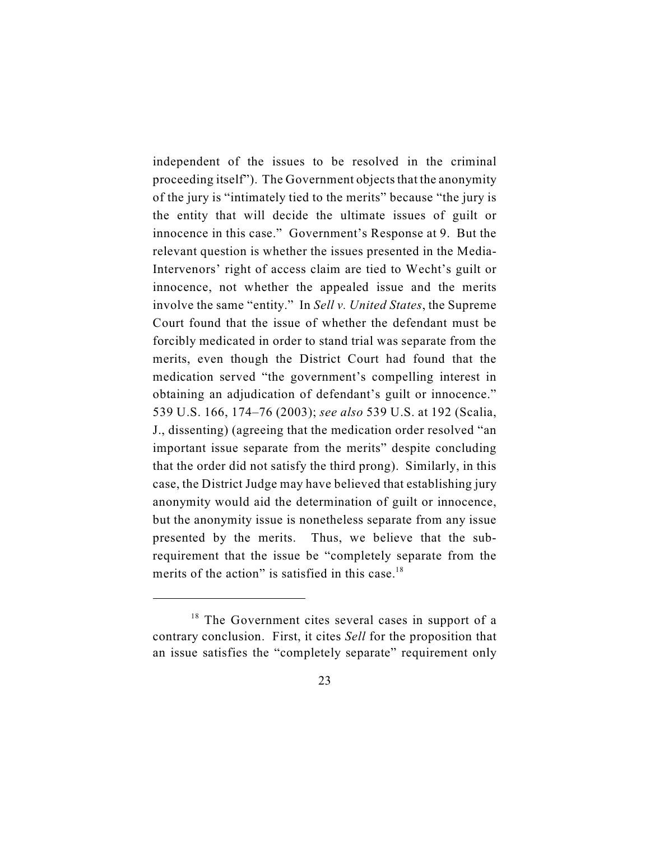independent of the issues to be resolved in the criminal proceeding itself"). The Government objects that the anonymity of the jury is "intimately tied to the merits" because "the jury is the entity that will decide the ultimate issues of guilt or innocence in this case." Government's Response at 9. But the relevant question is whether the issues presented in the Media-Intervenors' right of access claim are tied to Wecht's guilt or innocence, not whether the appealed issue and the merits involve the same "entity." In *Sell v. United States*, the Supreme Court found that the issue of whether the defendant must be forcibly medicated in order to stand trial was separate from the merits, even though the District Court had found that the medication served "the government's compelling interest in obtaining an adjudication of defendant's guilt or innocence." 539 U.S. 166, 174–76 (2003); *see also* 539 U.S. at 192 (Scalia, J., dissenting) (agreeing that the medication order resolved "an important issue separate from the merits" despite concluding that the order did not satisfy the third prong). Similarly, in this case, the District Judge may have believed that establishing jury anonymity would aid the determination of guilt or innocence, but the anonymity issue is nonetheless separate from any issue presented by the merits. Thus, we believe that the subrequirement that the issue be "completely separate from the merits of the action" is satisfied in this case. $18$ 

 $18$  The Government cites several cases in support of a contrary conclusion. First, it cites *Sell* for the proposition that an issue satisfies the "completely separate" requirement only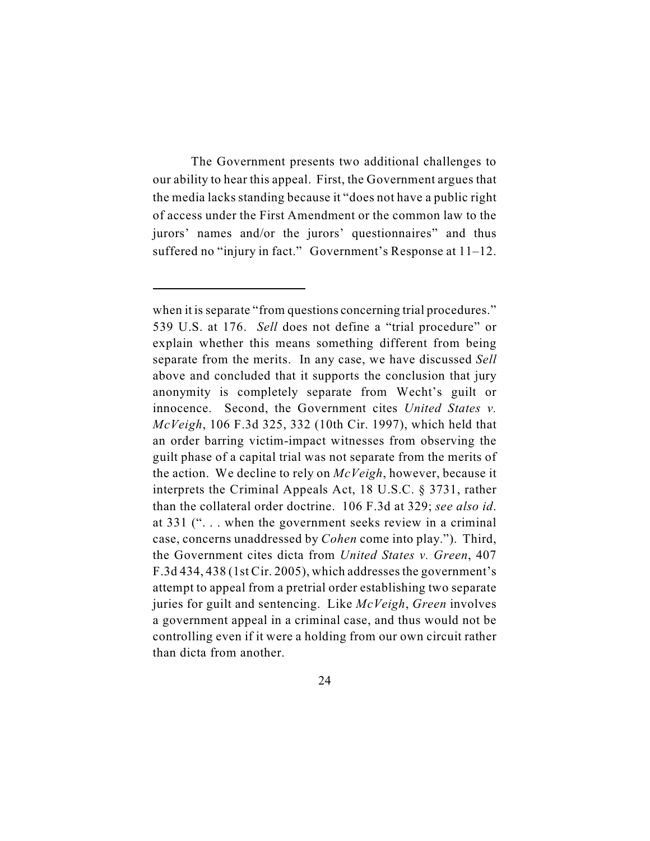The Government presents two additional challenges to our ability to hear this appeal. First, the Government argues that the media lacks standing because it "does not have a public right of access under the First Amendment or the common law to the jurors' names and/or the jurors' questionnaires" and thus suffered no "injury in fact." Government's Response at 11–12.

when it is separate "from questions concerning trial procedures." 539 U.S. at 176. *Sell* does not define a "trial procedure" or explain whether this means something different from being separate from the merits. In any case, we have discussed *Sell* above and concluded that it supports the conclusion that jury anonymity is completely separate from Wecht's guilt or innocence. Second, the Government cites *United States v. McVeigh*, 106 F.3d 325, 332 (10th Cir. 1997), which held that an order barring victim-impact witnesses from observing the guilt phase of a capital trial was not separate from the merits of the action. We decline to rely on *McVeigh*, however, because it interprets the Criminal Appeals Act, 18 U.S.C. § 3731, rather than the collateral order doctrine. 106 F.3d at 329; *see also id*. at 331 (". . . when the government seeks review in a criminal case, concerns unaddressed by *Cohen* come into play."). Third, the Government cites dicta from *United States v. Green*, 407 F.3d 434, 438 (1st Cir. 2005), which addresses the government's attempt to appeal from a pretrial order establishing two separate juries for guilt and sentencing. Like *McVeigh*, *Green* involves a government appeal in a criminal case, and thus would not be controlling even if it were a holding from our own circuit rather than dicta from another.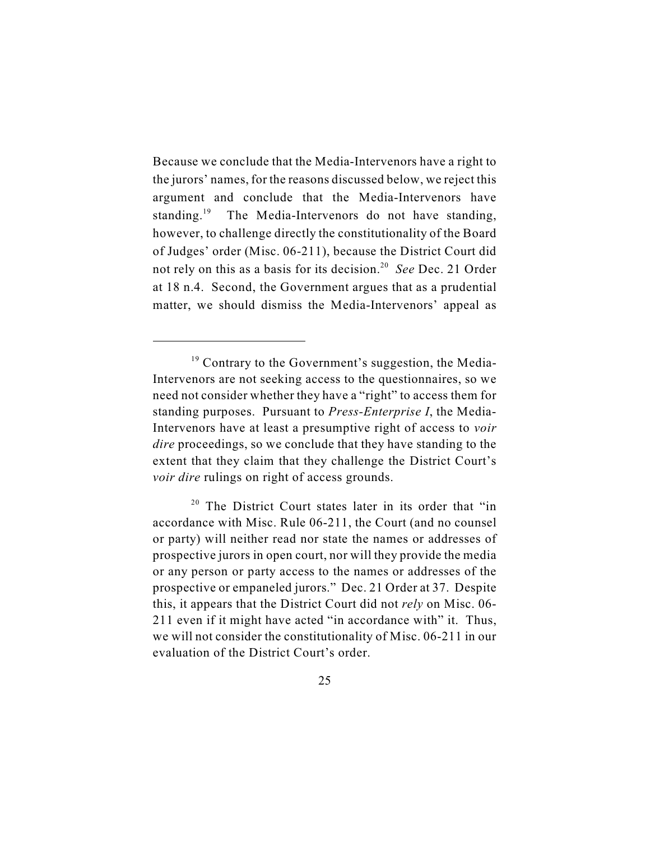Because we conclude that the Media-Intervenors have a right to the jurors' names, for the reasons discussed below, we reject this argument and conclude that the Media-Intervenors have standing. $^{19}$  The Media-Intervenors do not have standing, however, to challenge directly the constitutionality of the Board of Judges' order (Misc. 06-211), because the District Court did not rely on this as a basis for its decision.<sup>20</sup> See Dec. 21 Order at 18 n.4. Second, the Government argues that as a prudential matter, we should dismiss the Media-Intervenors' appeal as

 $19$  Contrary to the Government's suggestion, the Media-Intervenors are not seeking access to the questionnaires, so we need not consider whether they have a "right" to access them for standing purposes. Pursuant to *Press-Enterprise I*, the Media-Intervenors have at least a presumptive right of access to *voir dire* proceedings, so we conclude that they have standing to the extent that they claim that they challenge the District Court's *voir dire* rulings on right of access grounds.

 $20$  The District Court states later in its order that "in accordance with Misc. Rule 06-211, the Court (and no counsel or party) will neither read nor state the names or addresses of prospective jurors in open court, nor will they provide the media or any person or party access to the names or addresses of the prospective or empaneled jurors." Dec. 21 Order at 37. Despite this, it appears that the District Court did not *rely* on Misc. 06- 211 even if it might have acted "in accordance with" it. Thus, we will not consider the constitutionality of Misc. 06-211 in our evaluation of the District Court's order.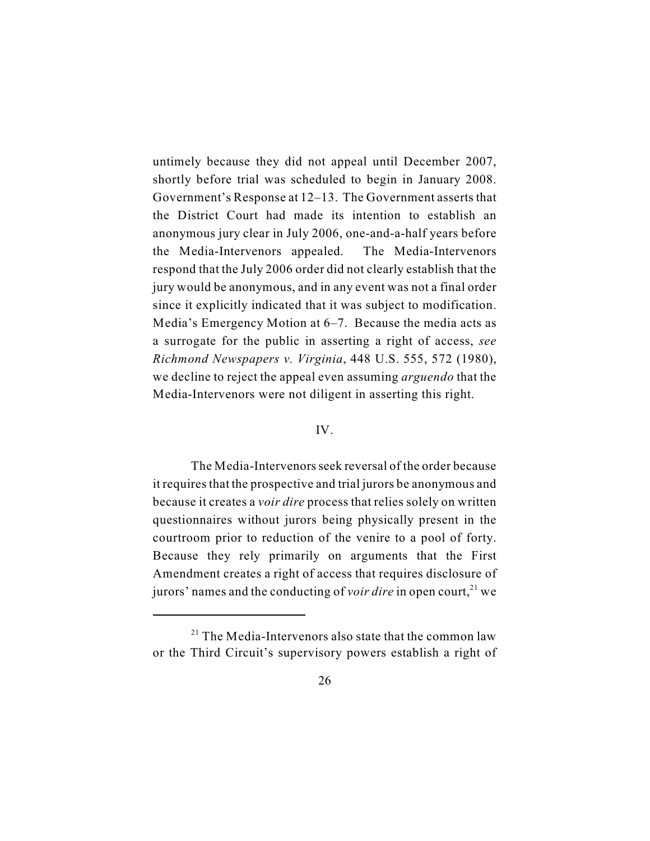untimely because they did not appeal until December 2007, shortly before trial was scheduled to begin in January 2008. Government's Response at 12–13. The Government asserts that the District Court had made its intention to establish an anonymous jury clear in July 2006, one-and-a-half years before the Media-Intervenors appealed. The Media-Intervenors respond that the July 2006 order did not clearly establish that the jury would be anonymous, and in any event was not a final order since it explicitly indicated that it was subject to modification. Media's Emergency Motion at 6–7. Because the media acts as a surrogate for the public in asserting a right of access, *see Richmond Newspapers v. Virginia*, 448 U.S. 555, 572 (1980), we decline to reject the appeal even assuming *arguendo* that the Media-Intervenors were not diligent in asserting this right.

### IV.

The Media-Intervenors seek reversal of the order because it requires that the prospective and trial jurors be anonymous and because it creates a *voir dire* process that relies solely on written questionnaires without jurors being physically present in the courtroom prior to reduction of the venire to a pool of forty. Because they rely primarily on arguments that the First Amendment creates a right of access that requires disclosure of jurors' names and the conducting of *voir dire* in open court,<sup>21</sup> we

 $21$  The Media-Intervenors also state that the common law or the Third Circuit's supervisory powers establish a right of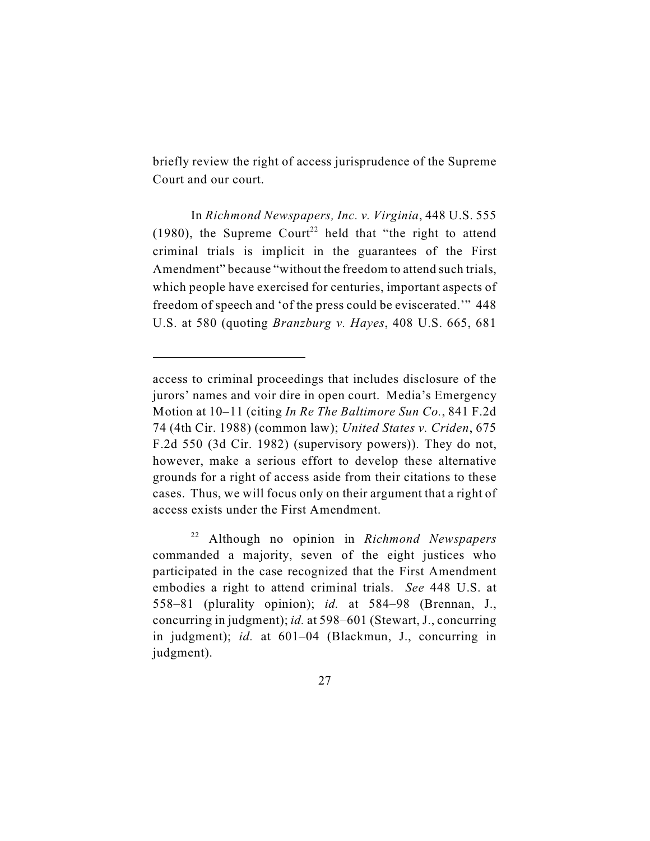briefly review the right of access jurisprudence of the Supreme Court and our court.

In *Richmond Newspapers, Inc. v. Virginia*, 448 U.S. 555 (1980), the Supreme Court<sup>22</sup> held that "the right to attend criminal trials is implicit in the guarantees of the First Amendment" because "without the freedom to attend such trials, which people have exercised for centuries, important aspects of freedom of speech and 'of the press could be eviscerated.'" 448 U.S. at 580 (quoting *Branzburg v. Hayes*, 408 U.S. 665, 681

access to criminal proceedings that includes disclosure of the jurors' names and voir dire in open court. Media's Emergency Motion at 10–11 (citing *In Re The Baltimore Sun Co.*, 841 F.2d 74 (4th Cir. 1988) (common law); *United States v. Criden*, 675 F.2d 550 (3d Cir. 1982) (supervisory powers)). They do not, however, make a serious effort to develop these alternative grounds for a right of access aside from their citations to these cases. Thus, we will focus only on their argument that a right of access exists under the First Amendment.

<sup>&</sup>lt;sup>22</sup> Although no opinion in *Richmond Newspapers* commanded a majority, seven of the eight justices who participated in the case recognized that the First Amendment embodies a right to attend criminal trials. *See* 448 U.S. at 558–81 (plurality opinion); *id.* at 584–98 (Brennan, J., concurring in judgment); *id.* at 598–601 (Stewart, J., concurring in judgment); *id.* at 601–04 (Blackmun, J., concurring in judgment).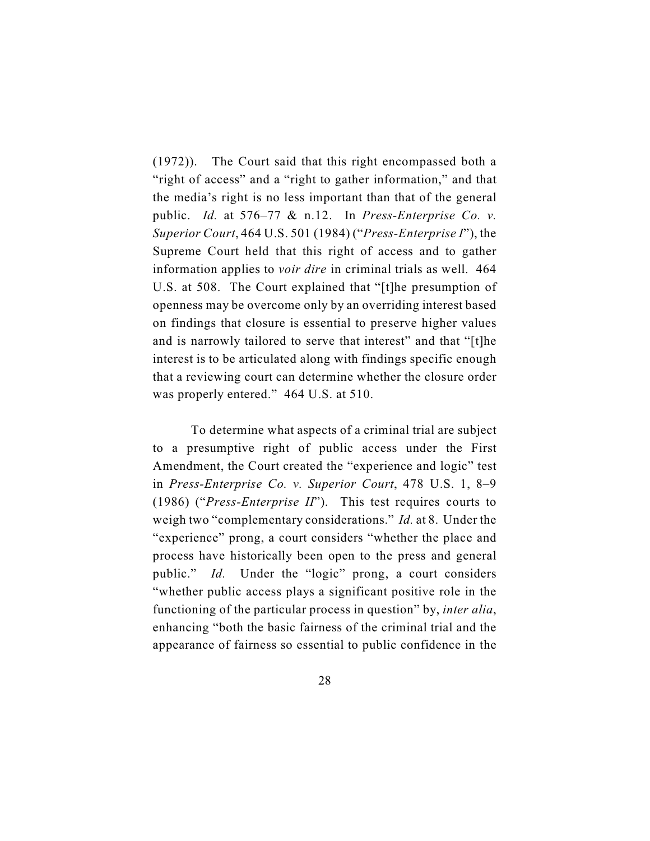(1972)). The Court said that this right encompassed both a "right of access" and a "right to gather information," and that the media's right is no less important than that of the general public. *Id.* at 576–77 & n.12. In *Press-Enterprise Co. v. Superior Court*, 464 U.S. 501 (1984) ("*Press-Enterprise I*"), the Supreme Court held that this right of access and to gather information applies to *voir dire* in criminal trials as well. 464 U.S. at 508. The Court explained that "[t]he presumption of openness may be overcome only by an overriding interest based on findings that closure is essential to preserve higher values and is narrowly tailored to serve that interest" and that "[t]he interest is to be articulated along with findings specific enough that a reviewing court can determine whether the closure order was properly entered." 464 U.S. at 510.

To determine what aspects of a criminal trial are subject to a presumptive right of public access under the First Amendment, the Court created the "experience and logic" test in *Press-Enterprise Co. v. Superior Court*, 478 U.S. 1, 8–9 (1986) ("*Press-Enterprise II*"). This test requires courts to weigh two "complementary considerations." *Id.* at 8. Under the "experience" prong, a court considers "whether the place and process have historically been open to the press and general public." *Id.* Under the "logic" prong, a court considers "whether public access plays a significant positive role in the functioning of the particular process in question" by, *inter alia*, enhancing "both the basic fairness of the criminal trial and the appearance of fairness so essential to public confidence in the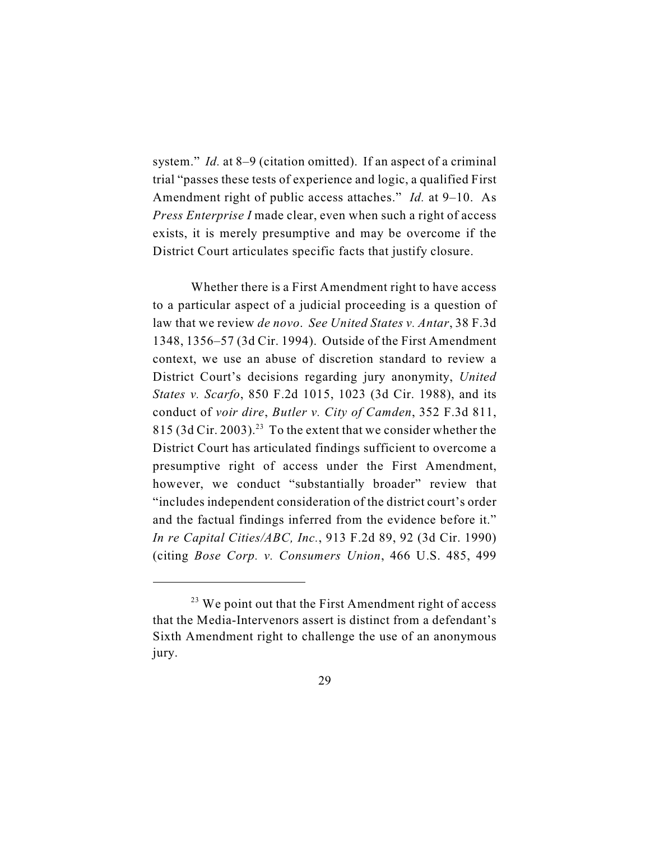system." *Id.* at 8–9 (citation omitted). If an aspect of a criminal trial "passes these tests of experience and logic, a qualified First Amendment right of public access attaches." *Id.* at 9–10. As *Press Enterprise I* made clear, even when such a right of access exists, it is merely presumptive and may be overcome if the District Court articulates specific facts that justify closure.

Whether there is a First Amendment right to have access to a particular aspect of a judicial proceeding is a question of law that we review *de novo*. *See United States v. Antar*, 38 F.3d 1348, 1356–57 (3d Cir. 1994). Outside of the First Amendment context, we use an abuse of discretion standard to review a District Court's decisions regarding jury anonymity, *United States v. Scarfo*, 850 F.2d 1015, 1023 (3d Cir. 1988), and its conduct of *voir dire*, *Butler v. City of Camden*, 352 F.3d 811, 815 (3d Cir. 2003).<sup>23</sup> To the extent that we consider whether the District Court has articulated findings sufficient to overcome a presumptive right of access under the First Amendment, however, we conduct "substantially broader" review that "includes independent consideration of the district court's order and the factual findings inferred from the evidence before it." *In re Capital Cities/ABC, Inc.*, 913 F.2d 89, 92 (3d Cir. 1990) (citing *Bose Corp. v. Consumers Union*, 466 U.S. 485, 499

 $23$  We point out that the First Amendment right of access that the Media-Intervenors assert is distinct from a defendant's Sixth Amendment right to challenge the use of an anonymous jury.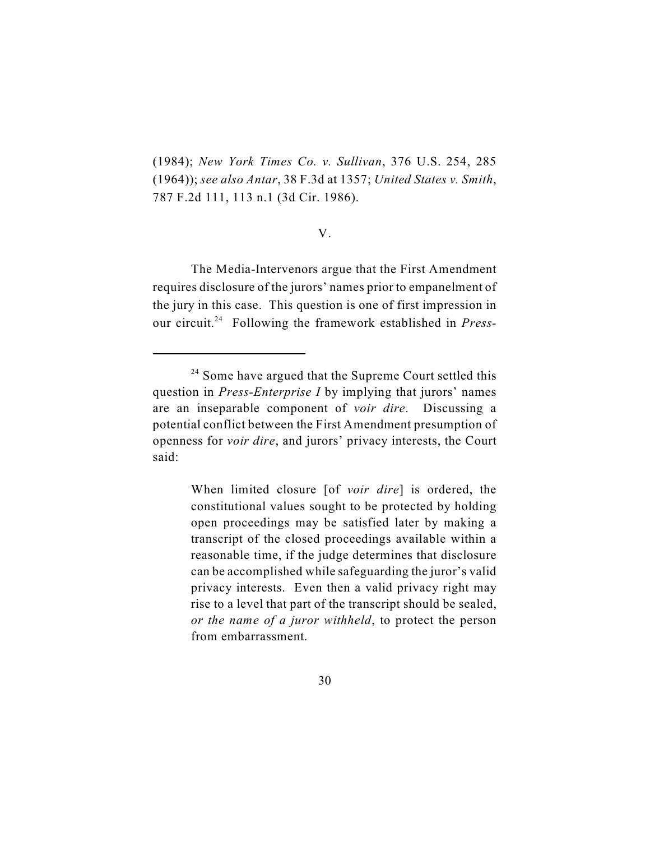(1984); *New York Times Co. v. Sullivan*, 376 U.S. 254, 285 (1964)); *see also Antar*, 38 F.3d at 1357; *United States v. Smith*, 787 F.2d 111, 113 n.1 (3d Cir. 1986).

### V.

The Media-Intervenors argue that the First Amendment requires disclosure of the jurors' names prior to empanelment of the jury in this case. This question is one of first impression in our circuit.<sup>24</sup> Following the framework established in *Press-*

When limited closure [of *voir dire*] is ordered, the constitutional values sought to be protected by holding open proceedings may be satisfied later by making a transcript of the closed proceedings available within a reasonable time, if the judge determines that disclosure can be accomplished while safeguarding the juror's valid privacy interests. Even then a valid privacy right may rise to a level that part of the transcript should be sealed, *or the name of a juror withheld*, to protect the person from embarrassment.

 $24$  Some have argued that the Supreme Court settled this question in *Press-Enterprise I* by implying that jurors' names are an inseparable component of *voir dire*. Discussing a potential conflict between the First Amendment presumption of openness for *voir dire*, and jurors' privacy interests, the Court said: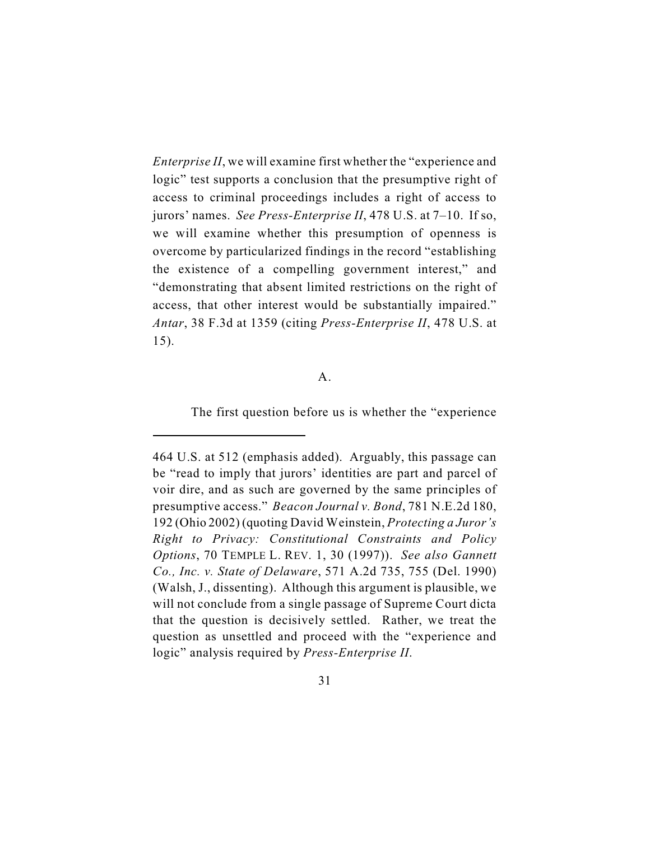*Enterprise II*, we will examine first whether the "experience and logic" test supports a conclusion that the presumptive right of access to criminal proceedings includes a right of access to jurors' names. *See Press-Enterprise II*, 478 U.S. at 7–10. If so, we will examine whether this presumption of openness is overcome by particularized findings in the record "establishing the existence of a compelling government interest," and "demonstrating that absent limited restrictions on the right of access, that other interest would be substantially impaired." *Antar*, 38 F.3d at 1359 (citing *Press-Enterprise II*, 478 U.S. at 15).

#### A.

The first question before us is whether the "experience

<sup>464</sup> U.S. at 512 (emphasis added). Arguably, this passage can be "read to imply that jurors' identities are part and parcel of voir dire, and as such are governed by the same principles of presumptive access." *Beacon Journal v. Bond*, 781 N.E.2d 180, 192 (Ohio 2002) (quoting David Weinstein, *Protecting a Juror's Right to Privacy: Constitutional Constraints and Policy Options*, 70 TEMPLE L. REV. 1, 30 (1997)). *See also Gannett Co., Inc. v. State of Delaware*, 571 A.2d 735, 755 (Del. 1990) (Walsh, J., dissenting). Although this argument is plausible, we will not conclude from a single passage of Supreme Court dicta that the question is decisively settled. Rather, we treat the question as unsettled and proceed with the "experience and logic" analysis required by *Press-Enterprise II*.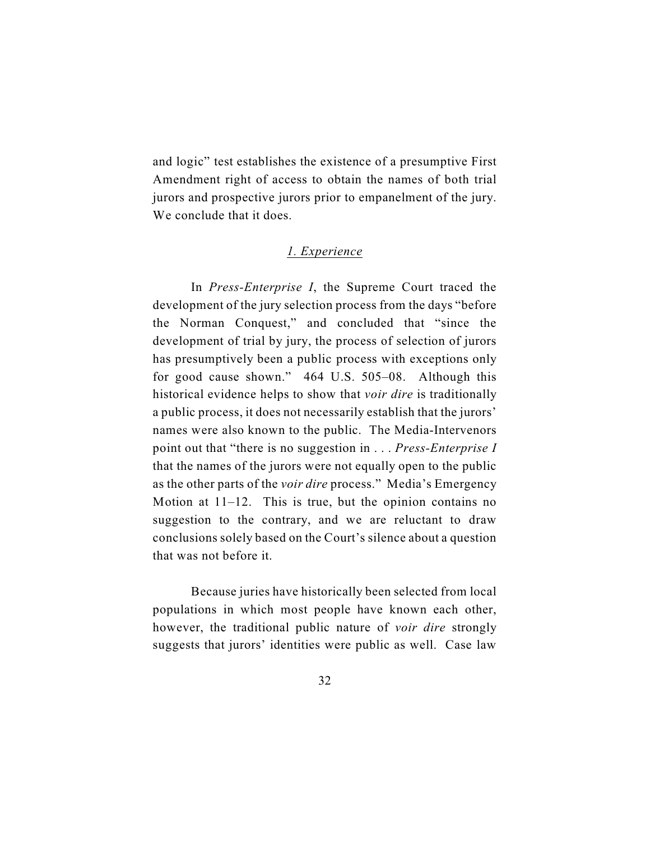and logic" test establishes the existence of a presumptive First Amendment right of access to obtain the names of both trial jurors and prospective jurors prior to empanelment of the jury. We conclude that it does.

## *1. Experience*

In *Press-Enterprise I*, the Supreme Court traced the development of the jury selection process from the days "before the Norman Conquest," and concluded that "since the development of trial by jury, the process of selection of jurors has presumptively been a public process with exceptions only for good cause shown." 464 U.S. 505–08. Although this historical evidence helps to show that *voir dire* is traditionally a public process, it does not necessarily establish that the jurors' names were also known to the public. The Media-Intervenors point out that "there is no suggestion in . . . *Press-Enterprise I* that the names of the jurors were not equally open to the public as the other parts of the *voir dire* process." Media's Emergency Motion at 11–12. This is true, but the opinion contains no suggestion to the contrary, and we are reluctant to draw conclusions solely based on the Court's silence about a question that was not before it.

Because juries have historically been selected from local populations in which most people have known each other, however, the traditional public nature of *voir dire* strongly suggests that jurors' identities were public as well. Case law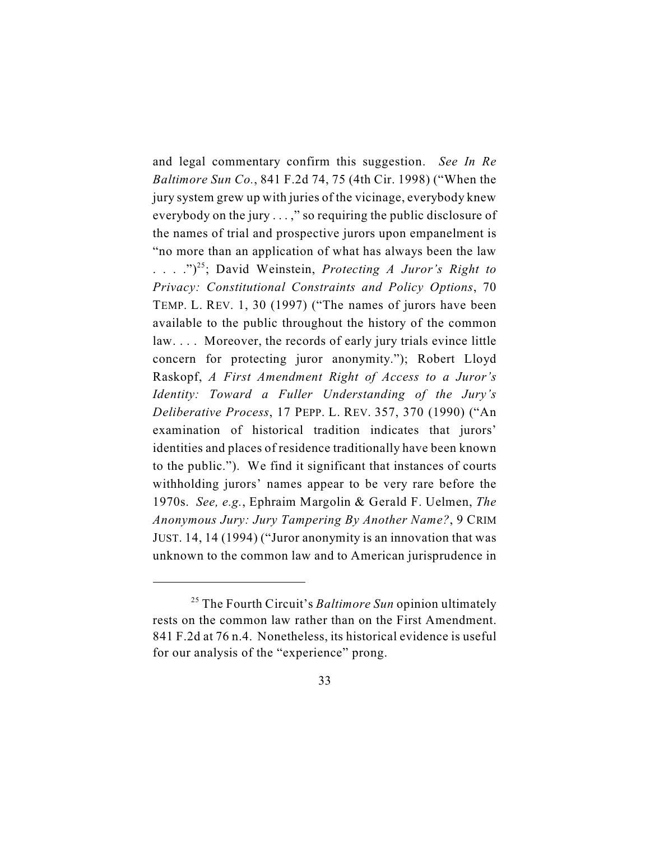and legal commentary confirm this suggestion. *See In Re Baltimore Sun Co.*, 841 F.2d 74, 75 (4th Cir. 1998) ("When the jury system grew up with juries of the vicinage, everybody knew everybody on the jury . . . ," so requiring the public disclosure of the names of trial and prospective jurors upon empanelment is "no more than an application of what has always been the law . . . . .")<sup>25</sup>; David Weinstein, *Protecting A Juror's Right to Privacy: Constitutional Constraints and Policy Options*, 70 TEMP. L. REV. 1, 30 (1997) ("The names of jurors have been available to the public throughout the history of the common law.... Moreover, the records of early jury trials evince little concern for protecting juror anonymity."); Robert Lloyd Raskopf, *A First Amendment Right of Access to a Juror's Identity: Toward a Fuller Understanding of the Jury's Deliberative Process*, 17 PEPP. L. REV. 357, 370 (1990) ("An examination of historical tradition indicates that jurors' identities and places of residence traditionally have been known to the public."). We find it significant that instances of courts withholding jurors' names appear to be very rare before the 1970s. *See, e.g.*, Ephraim Margolin & Gerald F. Uelmen, *The Anonymous Jury: Jury Tampering By Another Name?*, 9 CRIM JUST. 14, 14 (1994) ("Juror anonymity is an innovation that was unknown to the common law and to American jurisprudence in

<sup>&</sup>lt;sup>25</sup> The Fourth Circuit's *Baltimore Sun* opinion ultimately rests on the common law rather than on the First Amendment. 841 F.2d at 76 n.4. Nonetheless, its historical evidence is useful for our analysis of the "experience" prong.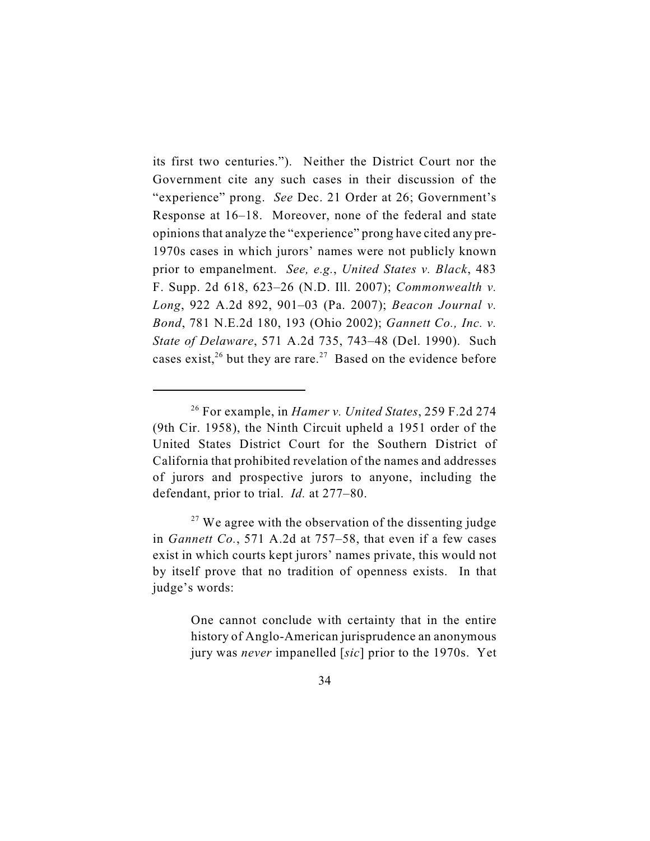its first two centuries."). Neither the District Court nor the Government cite any such cases in their discussion of the "experience" prong. *See* Dec. 21 Order at 26; Government's Response at 16–18. Moreover, none of the federal and state opinions that analyze the "experience" prong have cited any pre-1970s cases in which jurors' names were not publicly known prior to empanelment. *See, e.g.*, *United States v. Black*, 483 F. Supp. 2d 618, 623–26 (N.D. Ill. 2007); *Commonwealth v. Long*, 922 A.2d 892, 901–03 (Pa. 2007); *Beacon Journal v. Bond*, 781 N.E.2d 180, 193 (Ohio 2002); *Gannett Co., Inc. v. State of Delaware*, 571 A.2d 735, 743–48 (Del. 1990). Such cases exist,  $26$  but they are rare. <sup>27</sup> Based on the evidence before

<sup>&</sup>lt;sup>26</sup> For example, in *Hamer v. United States*, 259 F.2d 274 (9th Cir. 1958), the Ninth Circuit upheld a 1951 order of the United States District Court for the Southern District of California that prohibited revelation of the names and addresses of jurors and prospective jurors to anyone, including the defendant, prior to trial. *Id.* at 277–80.

 $27$  We agree with the observation of the dissenting judge in *Gannett Co.*, 571 A.2d at 757–58, that even if a few cases exist in which courts kept jurors' names private, this would not by itself prove that no tradition of openness exists. In that judge's words:

One cannot conclude with certainty that in the entire history of Anglo-American jurisprudence an anonymous jury was *never* impanelled [*sic*] prior to the 1970s. Yet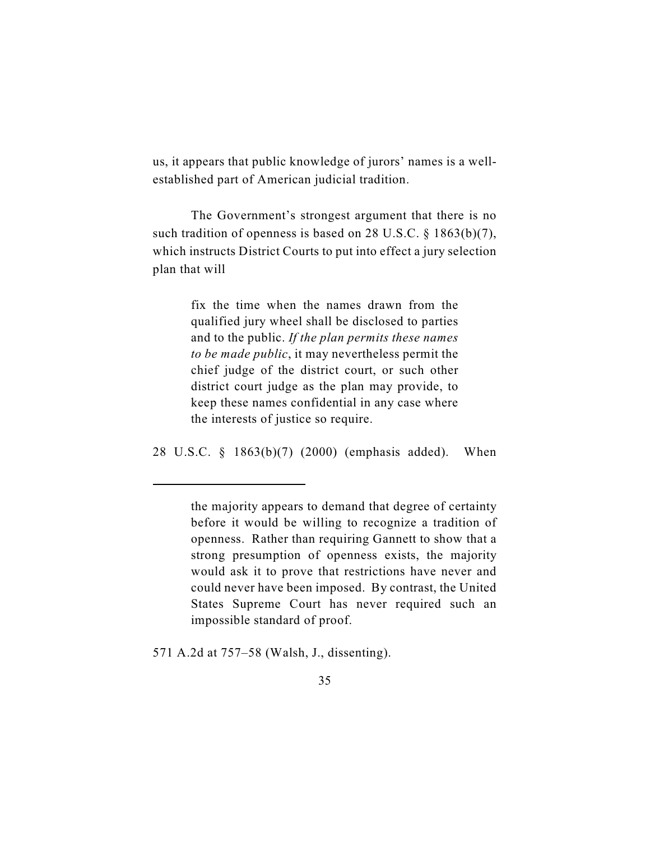us, it appears that public knowledge of jurors' names is a wellestablished part of American judicial tradition.

The Government's strongest argument that there is no such tradition of openness is based on 28 U.S.C. § 1863(b)(7), which instructs District Courts to put into effect a jury selection plan that will

> fix the time when the names drawn from the qualified jury wheel shall be disclosed to parties and to the public. *If the plan permits these names to be made public*, it may nevertheless permit the chief judge of the district court, or such other district court judge as the plan may provide, to keep these names confidential in any case where the interests of justice so require.

28 U.S.C. § 1863(b)(7) (2000) (emphasis added). When

571 A.2d at 757–58 (Walsh, J., dissenting).

the majority appears to demand that degree of certainty before it would be willing to recognize a tradition of openness. Rather than requiring Gannett to show that a strong presumption of openness exists, the majority would ask it to prove that restrictions have never and could never have been imposed. By contrast, the United States Supreme Court has never required such an impossible standard of proof.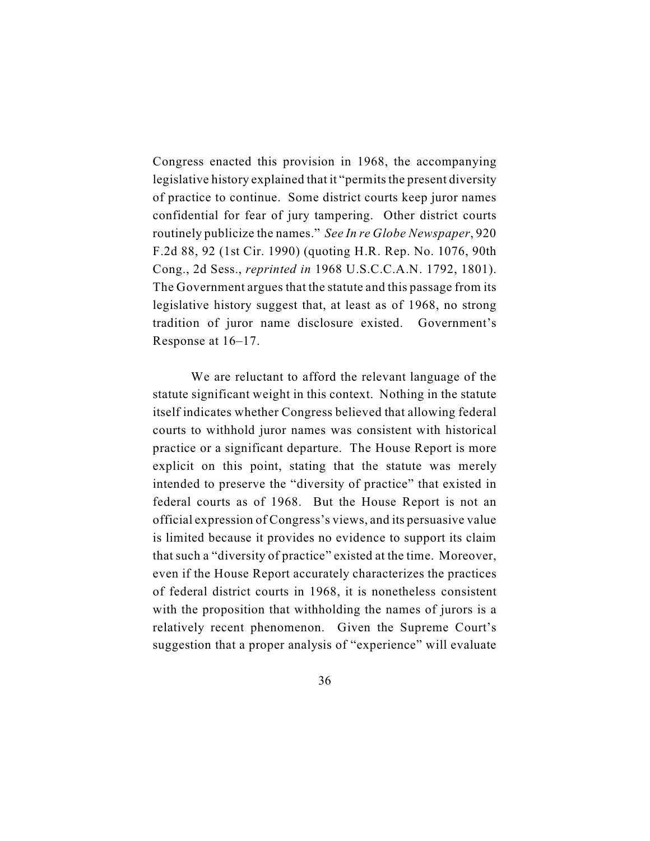Congress enacted this provision in 1968, the accompanying legislative history explained that it "permits the present diversity of practice to continue. Some district courts keep juror names confidential for fear of jury tampering. Other district courts routinely publicize the names." *See In re Globe Newspaper*, 920 F.2d 88, 92 (1st Cir. 1990) (quoting H.R. Rep. No. 1076, 90th Cong., 2d Sess., *reprinted in* 1968 U.S.C.C.A.N. 1792, 1801). The Government argues that the statute and this passage from its legislative history suggest that, at least as of 1968, no strong tradition of juror name disclosure existed. Government's Response at 16–17.

We are reluctant to afford the relevant language of the statute significant weight in this context. Nothing in the statute itself indicates whether Congress believed that allowing federal courts to withhold juror names was consistent with historical practice or a significant departure. The House Report is more explicit on this point, stating that the statute was merely intended to preserve the "diversity of practice" that existed in federal courts as of 1968. But the House Report is not an official expression of Congress's views, and its persuasive value is limited because it provides no evidence to support its claim that such a "diversity of practice" existed at the time. Moreover, even if the House Report accurately characterizes the practices of federal district courts in 1968, it is nonetheless consistent with the proposition that withholding the names of jurors is a relatively recent phenomenon. Given the Supreme Court's suggestion that a proper analysis of "experience" will evaluate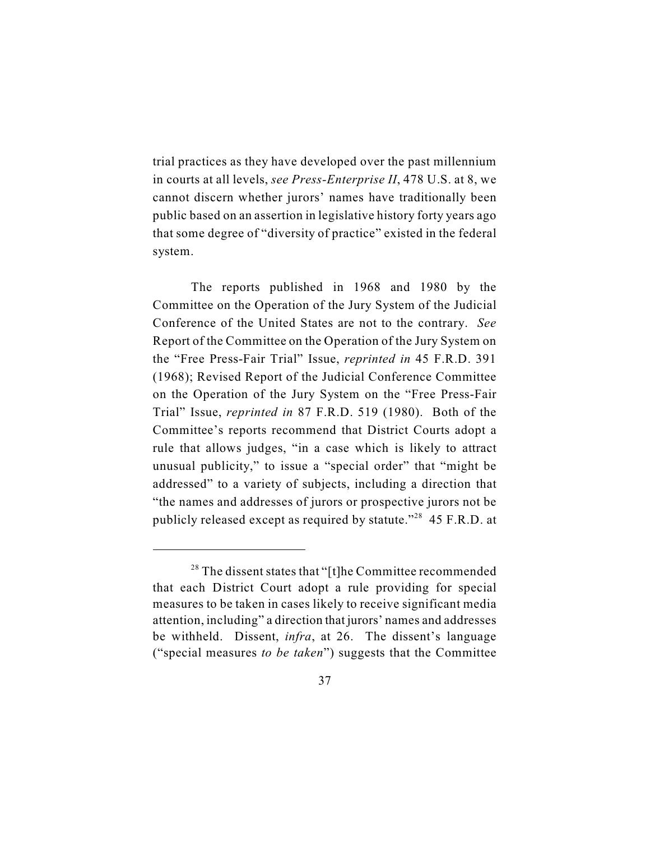trial practices as they have developed over the past millennium in courts at all levels, *see Press-Enterprise II*, 478 U.S. at 8, we cannot discern whether jurors' names have traditionally been public based on an assertion in legislative history forty years ago that some degree of "diversity of practice" existed in the federal system.

The reports published in 1968 and 1980 by the Committee on the Operation of the Jury System of the Judicial Conference of the United States are not to the contrary. *See* Report of the Committee on the Operation of the Jury System on the "Free Press-Fair Trial" Issue, *reprinted in* 45 F.R.D. 391 (1968); Revised Report of the Judicial Conference Committee on the Operation of the Jury System on the "Free Press-Fair Trial" Issue, *reprinted in* 87 F.R.D. 519 (1980). Both of the Committee's reports recommend that District Courts adopt a rule that allows judges, "in a case which is likely to attract unusual publicity," to issue a "special order" that "might be addressed" to a variety of subjects, including a direction that "the names and addresses of jurors or prospective jurors not be publicly released except as required by statute."<sup>28</sup> 45 F.R.D. at

 $28$  The dissent states that "[t]he Committee recommended that each District Court adopt a rule providing for special measures to be taken in cases likely to receive significant media attention, including" a direction that jurors' names and addresses be withheld. Dissent, *infra*, at 26. The dissent's language ("special measures *to be taken*") suggests that the Committee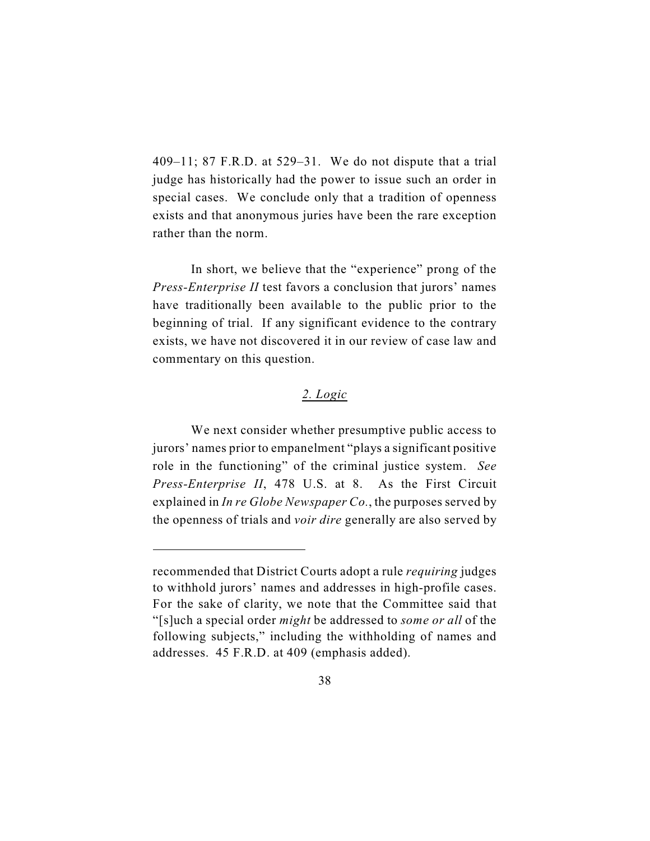409–11; 87 F.R.D. at 529–31. We do not dispute that a trial judge has historically had the power to issue such an order in special cases. We conclude only that a tradition of openness exists and that anonymous juries have been the rare exception rather than the norm.

In short, we believe that the "experience" prong of the *Press-Enterprise II* test favors a conclusion that jurors' names have traditionally been available to the public prior to the beginning of trial. If any significant evidence to the contrary exists, we have not discovered it in our review of case law and commentary on this question.

# *2. Logic*

We next consider whether presumptive public access to jurors' names prior to empanelment "plays a significant positive role in the functioning" of the criminal justice system. *See Press-Enterprise II*, 478 U.S. at 8. As the First Circuit explained in *In re Globe Newspaper Co.*, the purposes served by the openness of trials and *voir dire* generally are also served by

recommended that District Courts adopt a rule *requiring* judges to withhold jurors' names and addresses in high-profile cases. For the sake of clarity, we note that the Committee said that "[s]uch a special order *might* be addressed to *some or all* of the following subjects," including the withholding of names and addresses. 45 F.R.D. at 409 (emphasis added).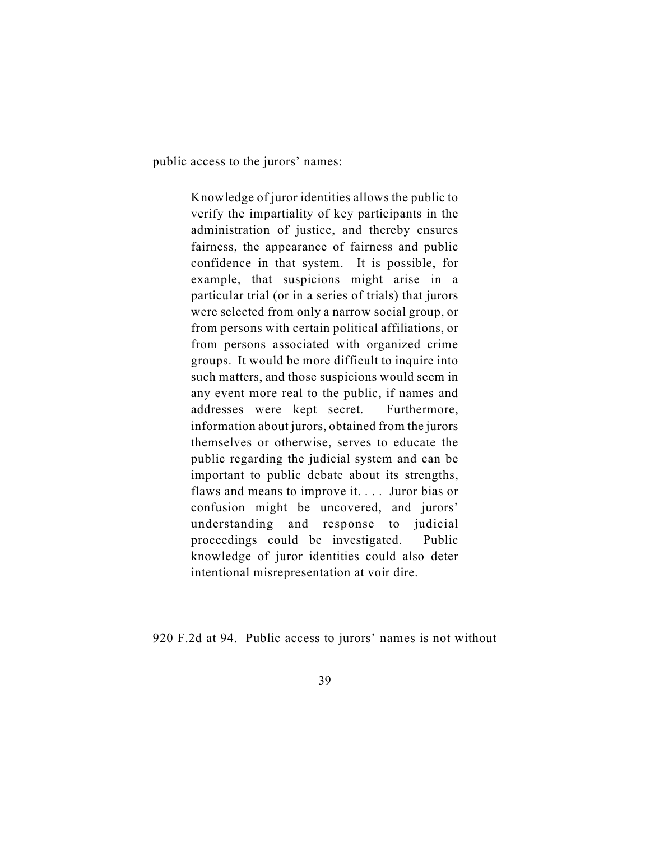public access to the jurors' names:

Knowledge of juror identities allows the public to verify the impartiality of key participants in the administration of justice, and thereby ensures fairness, the appearance of fairness and public confidence in that system. It is possible, for example, that suspicions might arise in a particular trial (or in a series of trials) that jurors were selected from only a narrow social group, or from persons with certain political affiliations, or from persons associated with organized crime groups. It would be more difficult to inquire into such matters, and those suspicions would seem in any event more real to the public, if names and addresses were kept secret. Furthermore, information about jurors, obtained from the jurors themselves or otherwise, serves to educate the public regarding the judicial system and can be important to public debate about its strengths, flaws and means to improve it. . . . Juror bias or confusion might be uncovered, and jurors' understanding and response to judicial proceedings could be investigated. Public knowledge of juror identities could also deter intentional misrepresentation at voir dire.

920 F.2d at 94. Public access to jurors' names is not without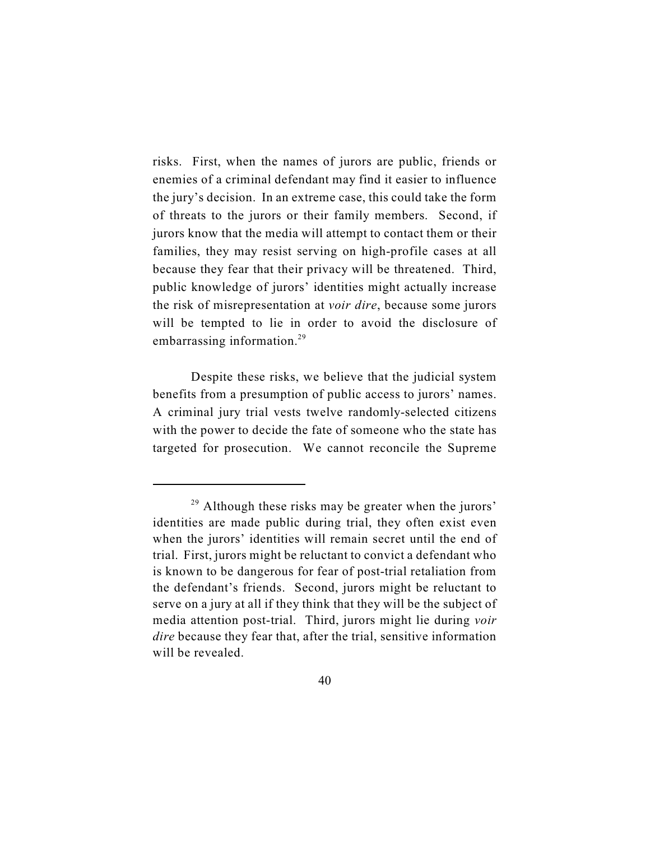risks. First, when the names of jurors are public, friends or enemies of a criminal defendant may find it easier to influence the jury's decision. In an extreme case, this could take the form of threats to the jurors or their family members. Second, if jurors know that the media will attempt to contact them or their families, they may resist serving on high-profile cases at all because they fear that their privacy will be threatened. Third, public knowledge of jurors' identities might actually increase the risk of misrepresentation at *voir dire*, because some jurors will be tempted to lie in order to avoid the disclosure of embarrassing information.<sup>29</sup>

Despite these risks, we believe that the judicial system benefits from a presumption of public access to jurors' names. A criminal jury trial vests twelve randomly-selected citizens with the power to decide the fate of someone who the state has targeted for prosecution. We cannot reconcile the Supreme

 $29$  Although these risks may be greater when the jurors' identities are made public during trial, they often exist even when the jurors' identities will remain secret until the end of trial. First, jurors might be reluctant to convict a defendant who is known to be dangerous for fear of post-trial retaliation from the defendant's friends. Second, jurors might be reluctant to serve on a jury at all if they think that they will be the subject of media attention post-trial. Third, jurors might lie during *voir dire* because they fear that, after the trial, sensitive information will be revealed.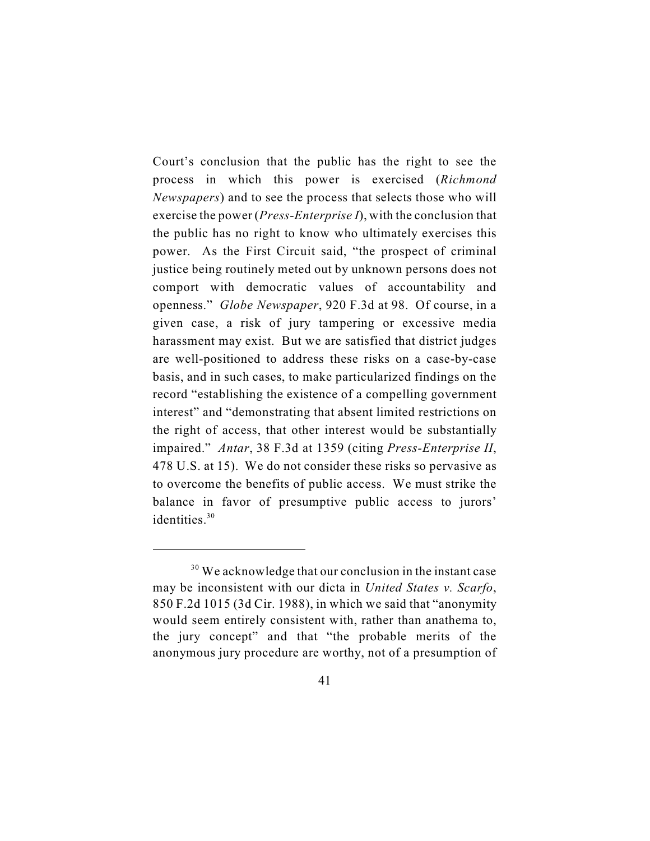Court's conclusion that the public has the right to see the process in which this power is exercised (*Richmond Newspapers*) and to see the process that selects those who will exercise the power (*Press-Enterprise I*), with the conclusion that the public has no right to know who ultimately exercises this power. As the First Circuit said, "the prospect of criminal justice being routinely meted out by unknown persons does not comport with democratic values of accountability and openness." *Globe Newspaper*, 920 F.3d at 98. Of course, in a given case, a risk of jury tampering or excessive media harassment may exist. But we are satisfied that district judges are well-positioned to address these risks on a case-by-case basis, and in such cases, to make particularized findings on the record "establishing the existence of a compelling government interest" and "demonstrating that absent limited restrictions on the right of access, that other interest would be substantially impaired." *Antar*, 38 F.3d at 1359 (citing *Press-Enterprise II*, 478 U.S. at 15). We do not consider these risks so pervasive as to overcome the benefits of public access. We must strike the balance in favor of presumptive public access to jurors' identities. 30

 $30$  We acknowledge that our conclusion in the instant case may be inconsistent with our dicta in *United States v. Scarfo*, 850 F.2d 1015 (3d Cir. 1988), in which we said that "anonymity would seem entirely consistent with, rather than anathema to, the jury concept" and that "the probable merits of the anonymous jury procedure are worthy, not of a presumption of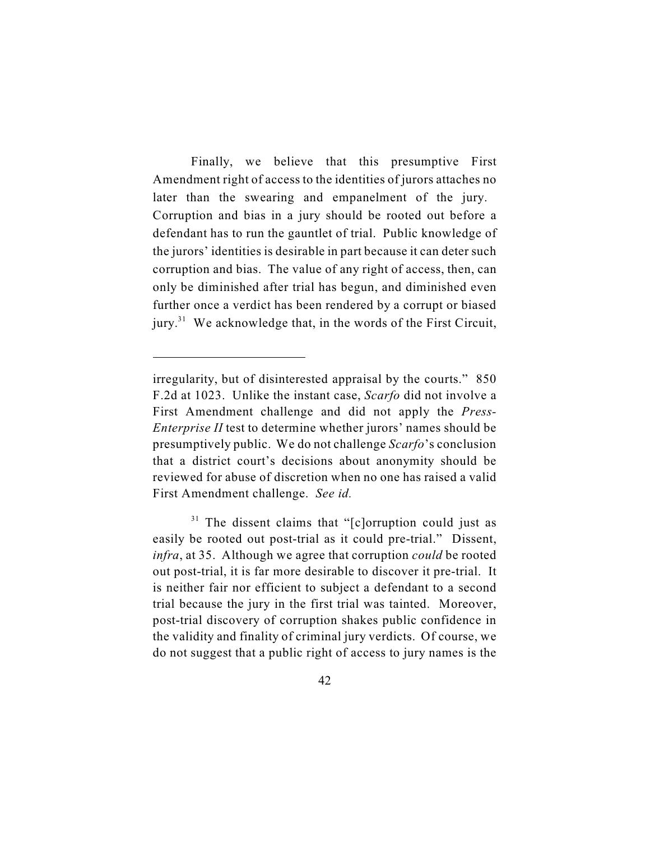Finally, we believe that this presumptive First Amendment right of access to the identities of jurors attaches no later than the swearing and empanelment of the jury. Corruption and bias in a jury should be rooted out before a defendant has to run the gauntlet of trial. Public knowledge of the jurors' identities is desirable in part because it can deter such corruption and bias. The value of any right of access, then, can only be diminished after trial has begun, and diminished even further once a verdict has been rendered by a corrupt or biased jury. $31$  We acknowledge that, in the words of the First Circuit,

irregularity, but of disinterested appraisal by the courts." 850 F.2d at 1023. Unlike the instant case, *Scarfo* did not involve a First Amendment challenge and did not apply the *Press-Enterprise II* test to determine whether jurors' names should be presumptively public. We do not challenge *Scarfo*'s conclusion that a district court's decisions about anonymity should be reviewed for abuse of discretion when no one has raised a valid First Amendment challenge. *See id.*

 $31$  The dissent claims that "[c]orruption could just as easily be rooted out post-trial as it could pre-trial." Dissent, *infra*, at 35. Although we agree that corruption *could* be rooted out post-trial, it is far more desirable to discover it pre-trial. It is neither fair nor efficient to subject a defendant to a second trial because the jury in the first trial was tainted. Moreover, post-trial discovery of corruption shakes public confidence in the validity and finality of criminal jury verdicts. Of course, we do not suggest that a public right of access to jury names is the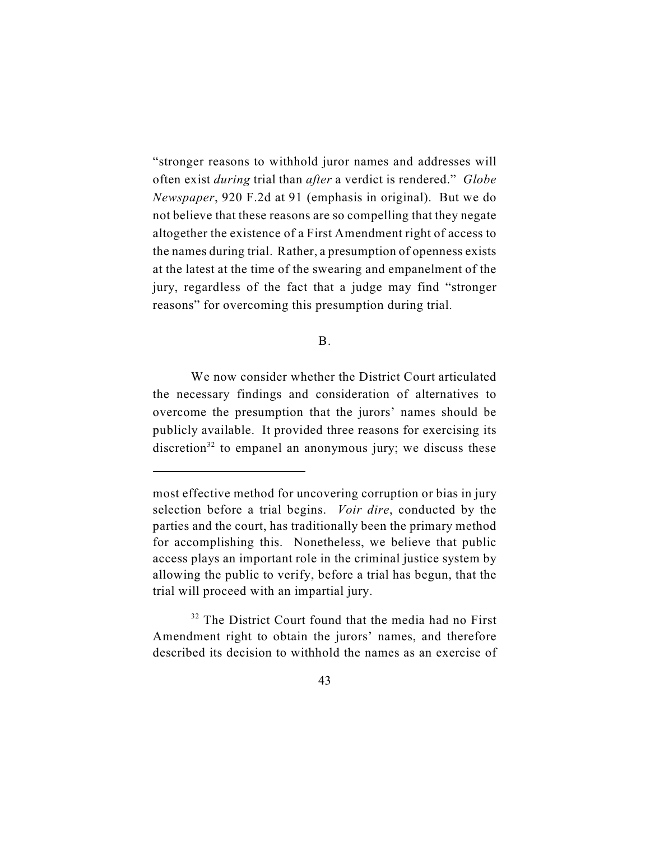"stronger reasons to withhold juror names and addresses will often exist *during* trial than *after* a verdict is rendered." *Globe Newspaper*, 920 F.2d at 91 (emphasis in original). But we do not believe that these reasons are so compelling that they negate altogether the existence of a First Amendment right of access to the names during trial. Rather, a presumption of openness exists at the latest at the time of the swearing and empanelment of the jury, regardless of the fact that a judge may find "stronger reasons" for overcoming this presumption during trial.

B.

We now consider whether the District Court articulated the necessary findings and consideration of alternatives to overcome the presumption that the jurors' names should be publicly available. It provided three reasons for exercising its discretion<sup>32</sup> to empanel an anonymous jury; we discuss these

most effective method for uncovering corruption or bias in jury selection before a trial begins. *Voir dire*, conducted by the parties and the court, has traditionally been the primary method for accomplishing this. Nonetheless, we believe that public access plays an important role in the criminal justice system by allowing the public to verify, before a trial has begun, that the trial will proceed with an impartial jury.

<sup>&</sup>lt;sup>32</sup> The District Court found that the media had no First Amendment right to obtain the jurors' names, and therefore described its decision to withhold the names as an exercise of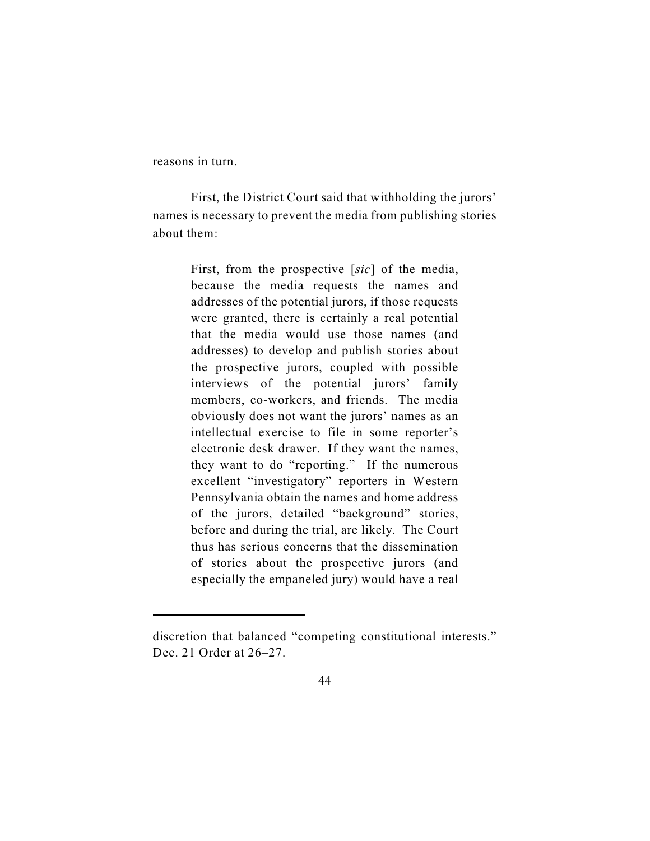reasons in turn.

First, the District Court said that withholding the jurors' names is necessary to prevent the media from publishing stories about them:

> First, from the prospective [*sic*] of the media, because the media requests the names and addresses of the potential jurors, if those requests were granted, there is certainly a real potential that the media would use those names (and addresses) to develop and publish stories about the prospective jurors, coupled with possible interviews of the potential jurors' family members, co-workers, and friends. The media obviously does not want the jurors' names as an intellectual exercise to file in some reporter's electronic desk drawer. If they want the names, they want to do "reporting." If the numerous excellent "investigatory" reporters in Western Pennsylvania obtain the names and home address of the jurors, detailed "background" stories, before and during the trial, are likely. The Court thus has serious concerns that the dissemination of stories about the prospective jurors (and especially the empaneled jury) would have a real

discretion that balanced "competing constitutional interests." Dec. 21 Order at 26–27.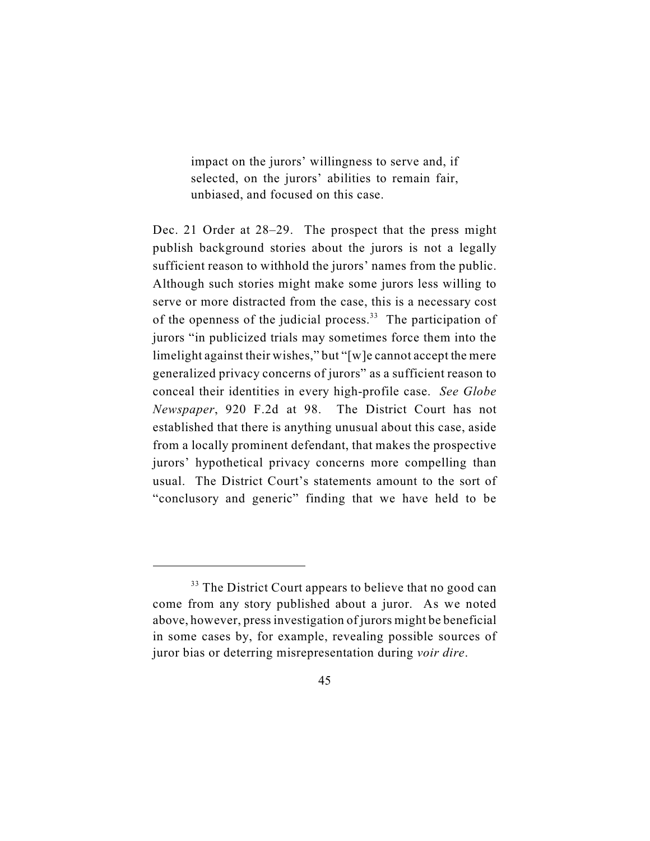impact on the jurors' willingness to serve and, if selected, on the jurors' abilities to remain fair, unbiased, and focused on this case.

Dec. 21 Order at 28–29. The prospect that the press might publish background stories about the jurors is not a legally sufficient reason to withhold the jurors' names from the public. Although such stories might make some jurors less willing to serve or more distracted from the case, this is a necessary cost of the openness of the judicial process.<sup>33</sup> The participation of jurors "in publicized trials may sometimes force them into the limelight against their wishes," but "[w]e cannot accept the mere generalized privacy concerns of jurors" as a sufficient reason to conceal their identities in every high-profile case. *See Globe Newspaper*, 920 F.2d at 98. The District Court has not established that there is anything unusual about this case, aside from a locally prominent defendant, that makes the prospective jurors' hypothetical privacy concerns more compelling than usual. The District Court's statements amount to the sort of "conclusory and generic" finding that we have held to be

 $33$  The District Court appears to believe that no good can come from any story published about a juror. As we noted above, however, press investigation of jurors might be beneficial in some cases by, for example, revealing possible sources of juror bias or deterring misrepresentation during *voir dire*.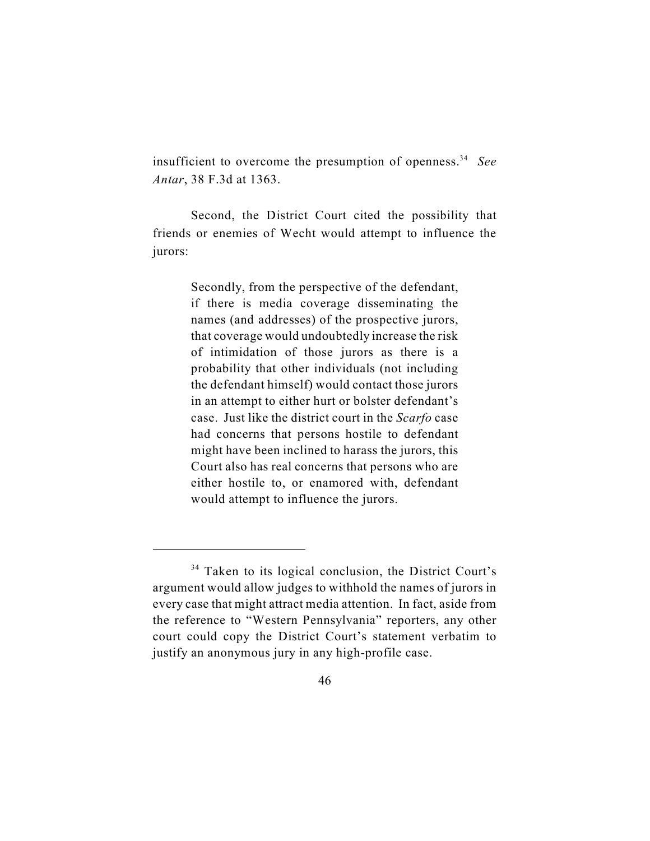insufficient to overcome the presumption of openness.<sup>34</sup> See *Antar*, 38 F.3d at 1363.

Second, the District Court cited the possibility that friends or enemies of Wecht would attempt to influence the jurors:

> Secondly, from the perspective of the defendant, if there is media coverage disseminating the names (and addresses) of the prospective jurors, that coverage would undoubtedly increase the risk of intimidation of those jurors as there is a probability that other individuals (not including the defendant himself) would contact those jurors in an attempt to either hurt or bolster defendant's case. Just like the district court in the *Scarfo* case had concerns that persons hostile to defendant might have been inclined to harass the jurors, this Court also has real concerns that persons who are either hostile to, or enamored with, defendant would attempt to influence the jurors.

<sup>&</sup>lt;sup>34</sup> Taken to its logical conclusion, the District Court's argument would allow judges to withhold the names of jurors in every case that might attract media attention. In fact, aside from the reference to "Western Pennsylvania" reporters, any other court could copy the District Court's statement verbatim to justify an anonymous jury in any high-profile case.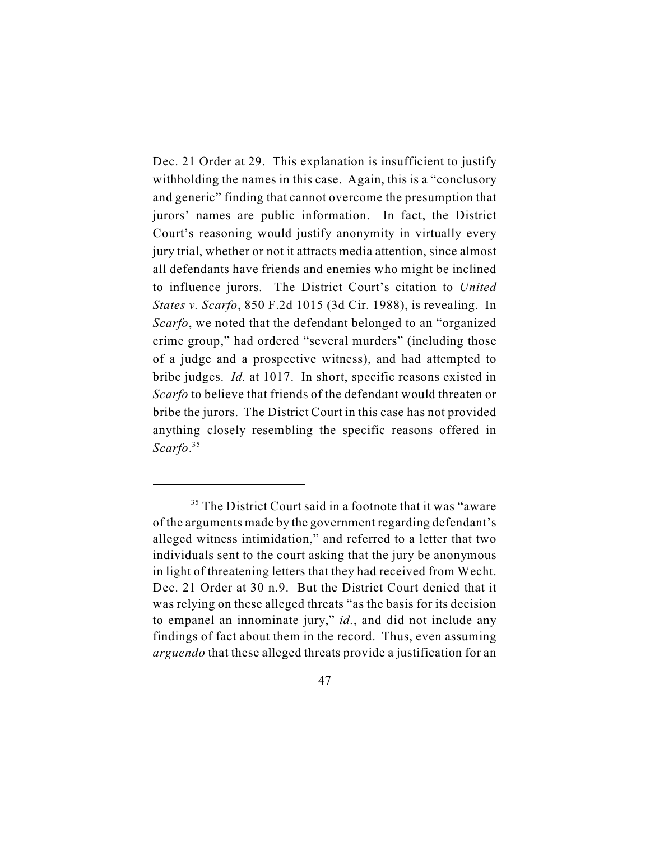Dec. 21 Order at 29. This explanation is insufficient to justify withholding the names in this case. Again, this is a "conclusory and generic" finding that cannot overcome the presumption that jurors' names are public information. In fact, the District Court's reasoning would justify anonymity in virtually every jury trial, whether or not it attracts media attention, since almost all defendants have friends and enemies who might be inclined to influence jurors. The District Court's citation to *United States v. Scarfo*, 850 F.2d 1015 (3d Cir. 1988), is revealing. In *Scarfo*, we noted that the defendant belonged to an "organized crime group," had ordered "several murders" (including those of a judge and a prospective witness), and had attempted to bribe judges. *Id.* at 1017. In short, specific reasons existed in *Scarfo* to believe that friends of the defendant would threaten or bribe the jurors. The District Court in this case has not provided anything closely resembling the specific reasons offered in *Scarfo*. 35

 $35$  The District Court said in a footnote that it was "aware of the arguments made by the government regarding defendant's alleged witness intimidation," and referred to a letter that two individuals sent to the court asking that the jury be anonymous in light of threatening letters that they had received from Wecht. Dec. 21 Order at 30 n.9. But the District Court denied that it was relying on these alleged threats "as the basis for its decision to empanel an innominate jury," *id.*, and did not include any findings of fact about them in the record. Thus, even assuming *arguendo* that these alleged threats provide a justification for an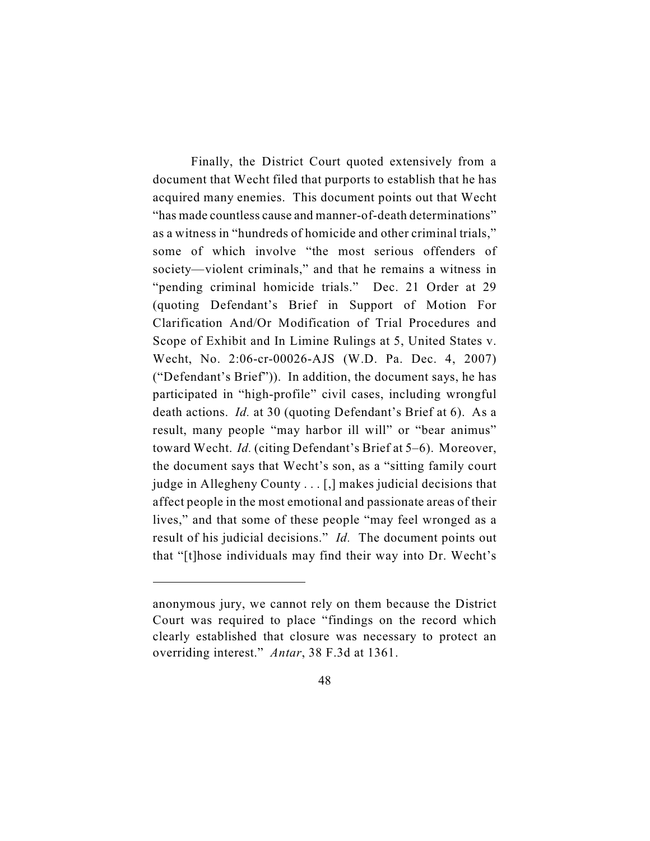Finally, the District Court quoted extensively from a document that Wecht filed that purports to establish that he has acquired many enemies. This document points out that Wecht "has made countless cause and manner-of-death determinations" as a witness in "hundreds of homicide and other criminal trials," some of which involve "the most serious offenders of society—violent criminals," and that he remains a witness in "pending criminal homicide trials." Dec. 21 Order at 29 (quoting Defendant's Brief in Support of Motion For Clarification And/Or Modification of Trial Procedures and Scope of Exhibit and In Limine Rulings at 5, United States v. Wecht, No. 2:06-cr-00026-AJS (W.D. Pa. Dec. 4, 2007) ("Defendant's Brief")). In addition, the document says, he has participated in "high-profile" civil cases, including wrongful death actions. *Id.* at 30 (quoting Defendant's Brief at 6). As a result, many people "may harbor ill will" or "bear animus" toward Wecht. *Id.* (citing Defendant's Brief at 5–6). Moreover, the document says that Wecht's son, as a "sitting family court judge in Allegheny County . . . [,] makes judicial decisions that affect people in the most emotional and passionate areas of their lives," and that some of these people "may feel wronged as a result of his judicial decisions." *Id.* The document points out that "[t]hose individuals may find their way into Dr. Wecht's

anonymous jury, we cannot rely on them because the District Court was required to place "findings on the record which clearly established that closure was necessary to protect an overriding interest." *Antar*, 38 F.3d at 1361.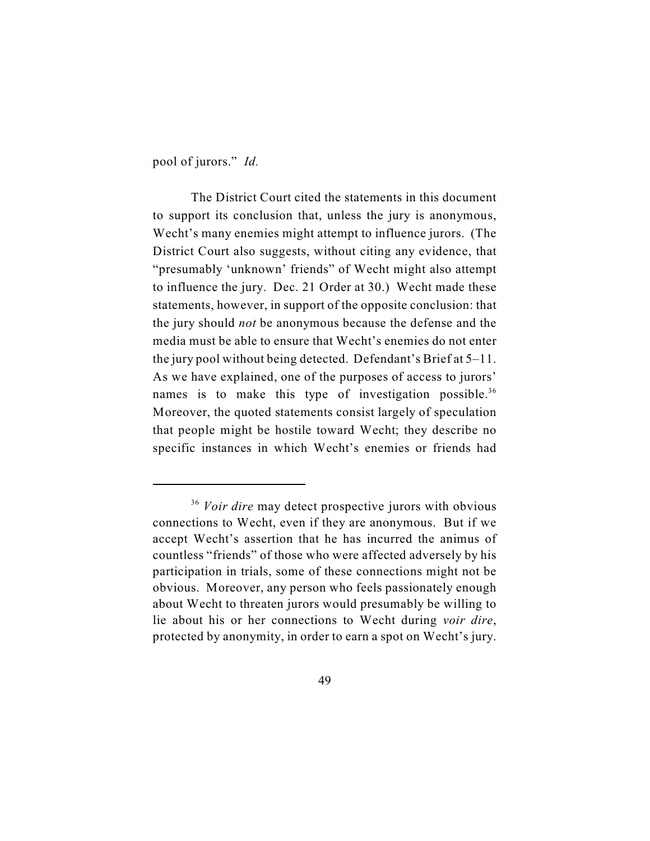pool of jurors." *Id.*

The District Court cited the statements in this document to support its conclusion that, unless the jury is anonymous, Wecht's many enemies might attempt to influence jurors. (The District Court also suggests, without citing any evidence, that "presumably 'unknown' friends" of Wecht might also attempt to influence the jury. Dec. 21 Order at 30.) Wecht made these statements, however, in support of the opposite conclusion: that the jury should *not* be anonymous because the defense and the media must be able to ensure that Wecht's enemies do not enter the jury pool without being detected. Defendant's Brief at 5–11. As we have explained, one of the purposes of access to jurors' names is to make this type of investigation possible.<sup>36</sup> Moreover, the quoted statements consist largely of speculation that people might be hostile toward Wecht; they describe no specific instances in which Wecht's enemies or friends had

<sup>&</sup>lt;sup>36</sup> *Voir dire* may detect prospective jurors with obvious connections to Wecht, even if they are anonymous. But if we accept Wecht's assertion that he has incurred the animus of countless "friends" of those who were affected adversely by his participation in trials, some of these connections might not be obvious. Moreover, any person who feels passionately enough about Wecht to threaten jurors would presumably be willing to lie about his or her connections to Wecht during *voir dire*, protected by anonymity, in order to earn a spot on Wecht's jury.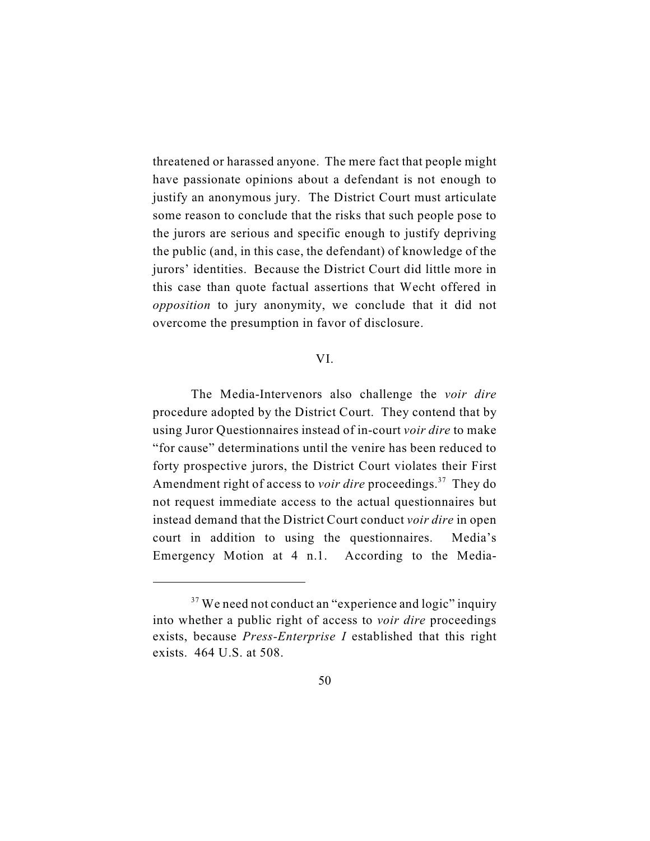threatened or harassed anyone. The mere fact that people might have passionate opinions about a defendant is not enough to justify an anonymous jury. The District Court must articulate some reason to conclude that the risks that such people pose to the jurors are serious and specific enough to justify depriving the public (and, in this case, the defendant) of knowledge of the jurors' identities. Because the District Court did little more in this case than quote factual assertions that Wecht offered in *opposition* to jury anonymity, we conclude that it did not overcome the presumption in favor of disclosure.

## VI.

The Media-Intervenors also challenge the *voir dire* procedure adopted by the District Court. They contend that by using Juror Questionnaires instead of in-court *voir dire* to make "for cause" determinations until the venire has been reduced to forty prospective jurors, the District Court violates their First Amendment right of access to *voir dire* proceedings.<sup>37</sup> They do not request immediate access to the actual questionnaires but instead demand that the District Court conduct *voir dire* in open court in addition to using the questionnaires. Media's Emergency Motion at 4 n.1. According to the Media-

 $37$  We need not conduct an "experience and logic" inquiry into whether a public right of access to *voir dire* proceedings exists, because *Press-Enterprise I* established that this right exists. 464 U.S. at 508.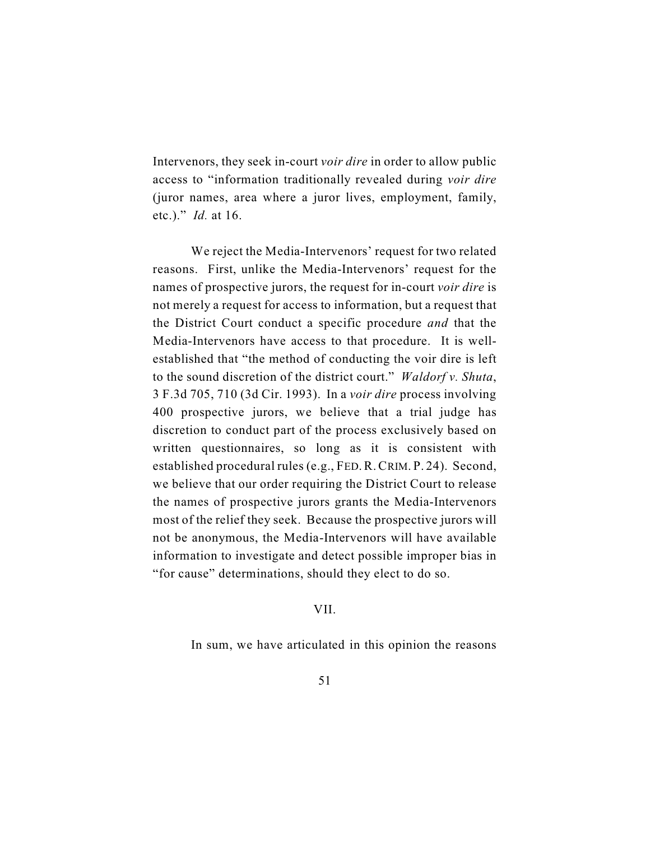Intervenors, they seek in-court *voir dire* in order to allow public access to "information traditionally revealed during *voir dire* (juror names, area where a juror lives, employment, family, etc.)." *Id.* at 16.

We reject the Media-Intervenors' request for two related reasons. First, unlike the Media-Intervenors' request for the names of prospective jurors, the request for in-court *voir dire* is not merely a request for access to information, but a request that the District Court conduct a specific procedure *and* that the Media-Intervenors have access to that procedure. It is wellestablished that "the method of conducting the voir dire is left to the sound discretion of the district court." *Waldorf v. Shuta*, 3 F.3d 705, 710 (3d Cir. 1993). In a *voir dire* process involving 400 prospective jurors, we believe that a trial judge has discretion to conduct part of the process exclusively based on written questionnaires, so long as it is consistent with established procedural rules (e.g., FED.R.CRIM. P. 24). Second, we believe that our order requiring the District Court to release the names of prospective jurors grants the Media-Intervenors most of the relief they seek. Because the prospective jurors will not be anonymous, the Media-Intervenors will have available information to investigate and detect possible improper bias in "for cause" determinations, should they elect to do so.

## VII.

In sum, we have articulated in this opinion the reasons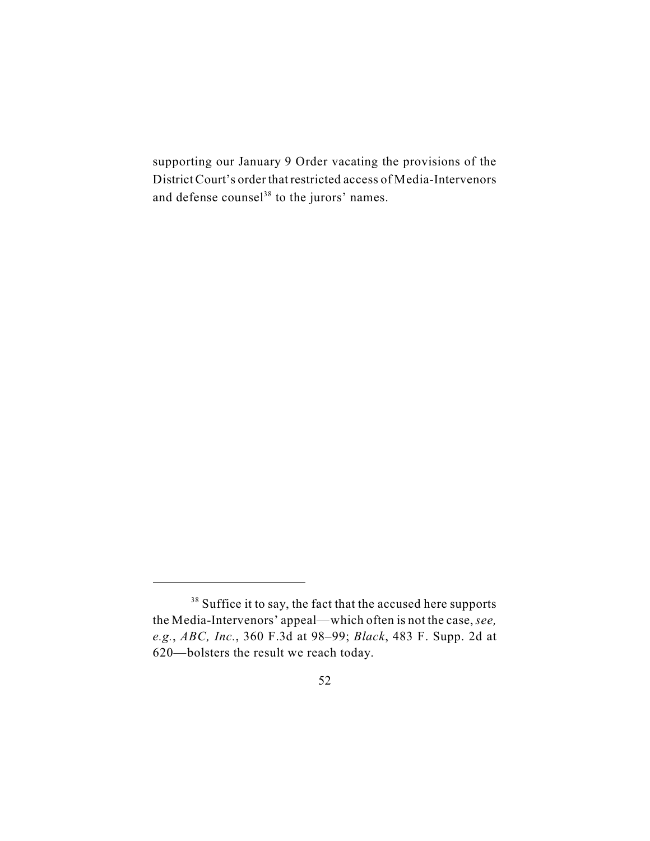supporting our January 9 Order vacating the provisions of the District Court's order that restricted access of Media-Intervenors and defense counsel<sup>38</sup> to the jurors' names.

<sup>&</sup>lt;sup>38</sup> Suffice it to say, the fact that the accused here supports the Media-Intervenors' appeal—which often is not the case, *see, e.g.*, *ABC, Inc.*, 360 F.3d at 98–99; *Black*, 483 F. Supp. 2d at 620—bolsters the result we reach today.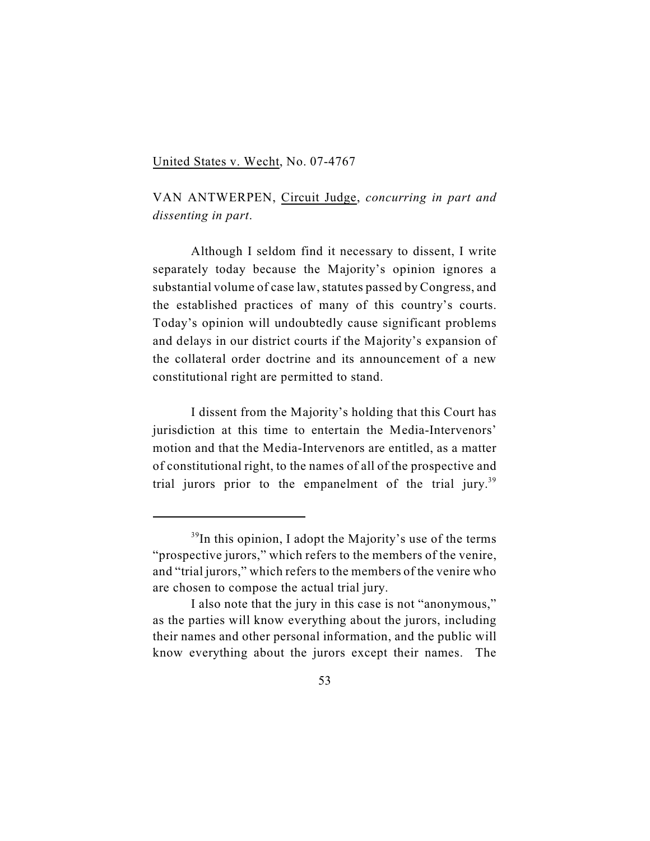#### United States v. Wecht, No. 07-4767

VAN ANTWERPEN, Circuit Judge, *concurring in part and dissenting in part*.

Although I seldom find it necessary to dissent, I write separately today because the Majority's opinion ignores a substantial volume of case law, statutes passed by Congress, and the established practices of many of this country's courts. Today's opinion will undoubtedly cause significant problems and delays in our district courts if the Majority's expansion of the collateral order doctrine and its announcement of a new constitutional right are permitted to stand.

I dissent from the Majority's holding that this Court has jurisdiction at this time to entertain the Media-Intervenors' motion and that the Media-Intervenors are entitled, as a matter of constitutional right, to the names of all of the prospective and trial jurors prior to the empanelment of the trial jury.<sup>39</sup>

 $39$ In this opinion, I adopt the Majority's use of the terms "prospective jurors," which refers to the members of the venire, and "trial jurors," which refers to the members of the venire who are chosen to compose the actual trial jury.

I also note that the jury in this case is not "anonymous," as the parties will know everything about the jurors, including their names and other personal information, and the public will know everything about the jurors except their names. The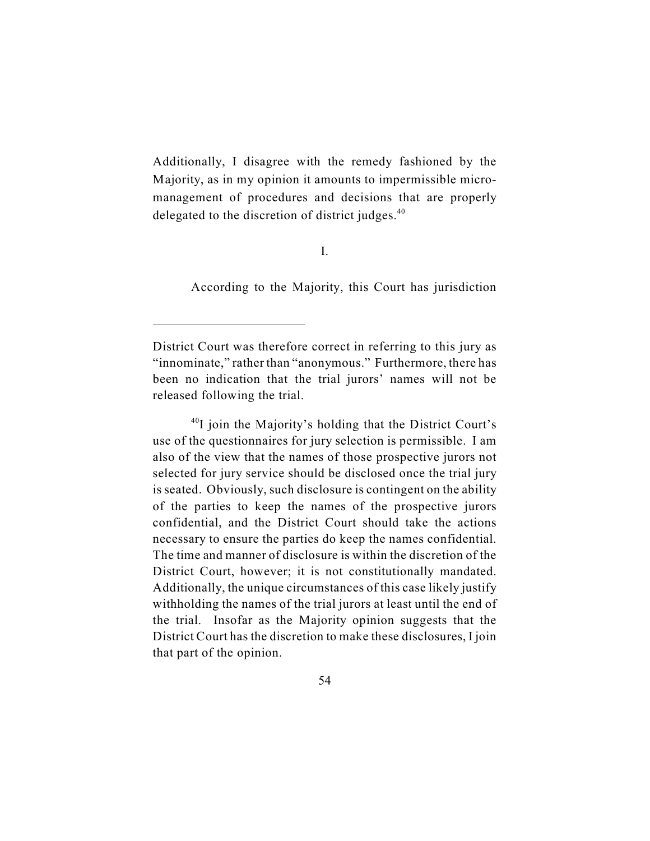Additionally, I disagree with the remedy fashioned by the Majority, as in my opinion it amounts to impermissible micromanagement of procedures and decisions that are properly delegated to the discretion of district judges.<sup>40</sup>

I.

According to the Majority, this Court has jurisdiction

 $^{40}$ I join the Majority's holding that the District Court's use of the questionnaires for jury selection is permissible. I am also of the view that the names of those prospective jurors not selected for jury service should be disclosed once the trial jury is seated. Obviously, such disclosure is contingent on the ability of the parties to keep the names of the prospective jurors confidential, and the District Court should take the actions necessary to ensure the parties do keep the names confidential. The time and manner of disclosure is within the discretion of the District Court, however; it is not constitutionally mandated. Additionally, the unique circumstances of this case likely justify withholding the names of the trial jurors at least until the end of the trial. Insofar as the Majority opinion suggests that the District Court has the discretion to make these disclosures, I join that part of the opinion.

District Court was therefore correct in referring to this jury as "innominate," rather than "anonymous." Furthermore, there has been no indication that the trial jurors' names will not be released following the trial.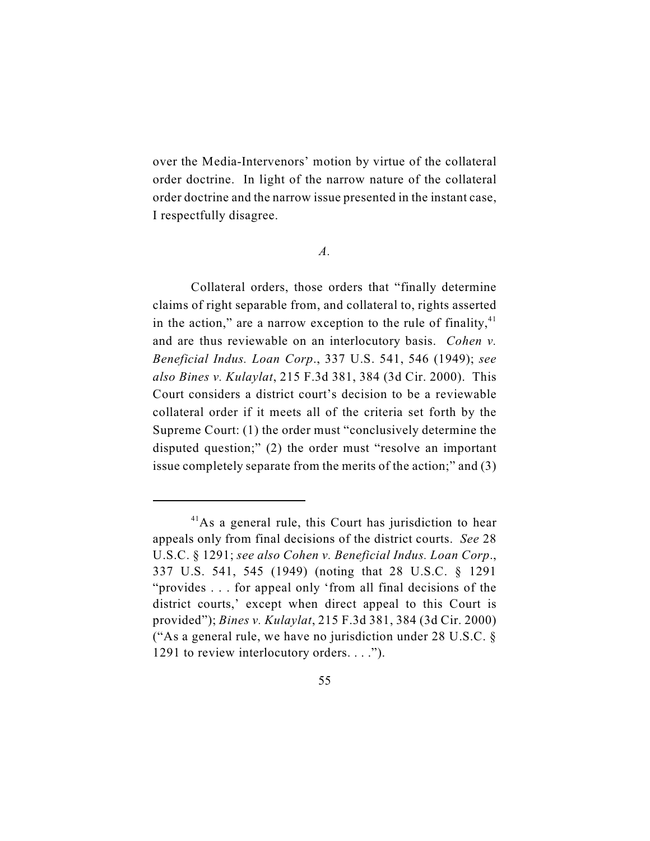over the Media-Intervenors' motion by virtue of the collateral order doctrine. In light of the narrow nature of the collateral order doctrine and the narrow issue presented in the instant case, I respectfully disagree.

*A.*

Collateral orders, those orders that "finally determine claims of right separable from, and collateral to, rights asserted in the action," are a narrow exception to the rule of finality, $41$ and are thus reviewable on an interlocutory basis. *Cohen v. Beneficial Indus. Loan Corp*., 337 U.S. 541, 546 (1949); *see also Bines v. Kulaylat*, 215 F.3d 381, 384 (3d Cir. 2000). This Court considers a district court's decision to be a reviewable collateral order if it meets all of the criteria set forth by the Supreme Court: (1) the order must "conclusively determine the disputed question;" (2) the order must "resolve an important issue completely separate from the merits of the action;" and (3)

 $A<sup>1</sup>$ As a general rule, this Court has jurisdiction to hear appeals only from final decisions of the district courts. *See* 28 U.S.C. § 1291; *see also Cohen v. Beneficial Indus. Loan Corp*., 337 U.S. 541, 545 (1949) (noting that 28 U.S.C. § 1291 "provides . . . for appeal only 'from all final decisions of the district courts,' except when direct appeal to this Court is provided"); *Bines v. Kulaylat*, 215 F.3d 381, 384 (3d Cir. 2000) ("As a general rule, we have no jurisdiction under 28 U.S.C. § 1291 to review interlocutory orders. . . .").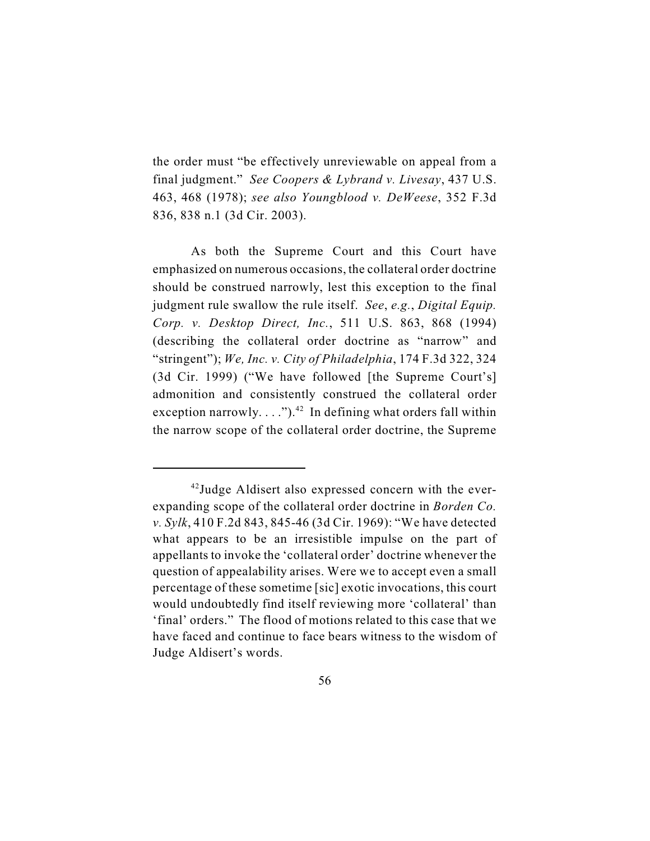the order must "be effectively unreviewable on appeal from a final judgment." *See Coopers & Lybrand v. Livesay*, 437 U.S. 463, 468 (1978); *see also Youngblood v. DeWeese*, 352 F.3d 836, 838 n.1 (3d Cir. 2003).

As both the Supreme Court and this Court have emphasized on numerous occasions, the collateral order doctrine should be construed narrowly, lest this exception to the final judgment rule swallow the rule itself. *See*, *e.g.*, *Digital Equip. Corp. v. Desktop Direct, Inc.*, 511 U.S. 863, 868 (1994) (describing the collateral order doctrine as "narrow" and "stringent"); *We, Inc. v. City of Philadelphia*, 174 F.3d 322, 324 (3d Cir. 1999) ("We have followed [the Supreme Court's] admonition and consistently construed the collateral order exception narrowly.  $\ldots$ ").<sup>42</sup> In defining what orders fall within the narrow scope of the collateral order doctrine, the Supreme

 $42$  Judge Aldisert also expressed concern with the everexpanding scope of the collateral order doctrine in *Borden Co. v. Sylk*, 410 F.2d 843, 845-46 (3d Cir. 1969): "We have detected what appears to be an irresistible impulse on the part of appellants to invoke the 'collateral order' doctrine whenever the question of appealability arises. Were we to accept even a small percentage of these sometime [sic] exotic invocations, this court would undoubtedly find itself reviewing more 'collateral' than 'final' orders." The flood of motions related to this case that we have faced and continue to face bears witness to the wisdom of Judge Aldisert's words.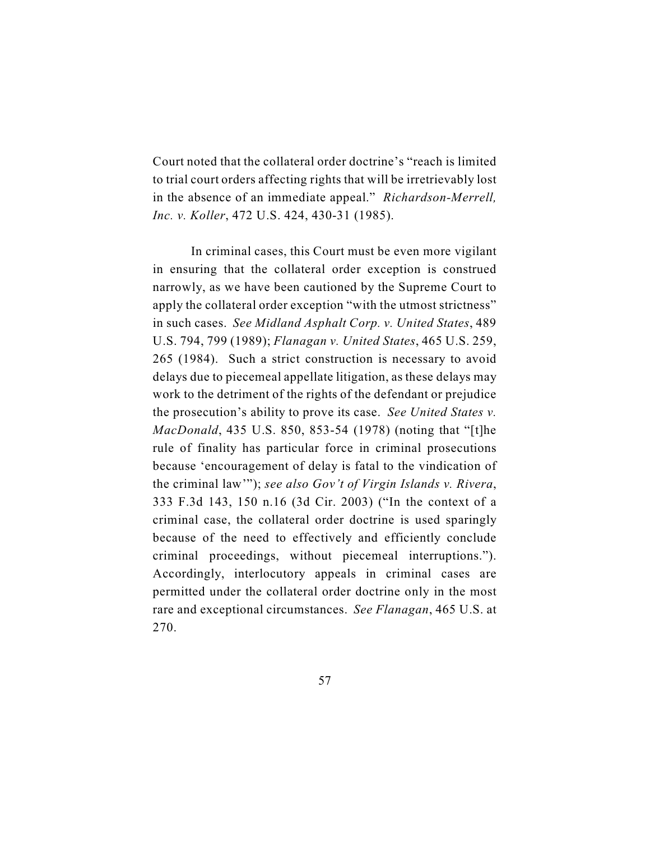Court noted that the collateral order doctrine's "reach is limited to trial court orders affecting rights that will be irretrievably lost in the absence of an immediate appeal." *Richardson-Merrell, Inc. v. Koller*, 472 U.S. 424, 430-31 (1985).

In criminal cases, this Court must be even more vigilant in ensuring that the collateral order exception is construed narrowly, as we have been cautioned by the Supreme Court to apply the collateral order exception "with the utmost strictness" in such cases. *See Midland Asphalt Corp. v. United States*, 489 U.S. 794, 799 (1989); *Flanagan v. United States*, 465 U.S. 259, 265 (1984). Such a strict construction is necessary to avoid delays due to piecemeal appellate litigation, as these delays may work to the detriment of the rights of the defendant or prejudice the prosecution's ability to prove its case. *See United States v. MacDonald*, 435 U.S. 850, 853-54 (1978) (noting that "[t]he rule of finality has particular force in criminal prosecutions because 'encouragement of delay is fatal to the vindication of the criminal law'"); *see also Gov't of Virgin Islands v. Rivera*, 333 F.3d 143, 150 n.16 (3d Cir. 2003) ("In the context of a criminal case, the collateral order doctrine is used sparingly because of the need to effectively and efficiently conclude criminal proceedings, without piecemeal interruptions."). Accordingly, interlocutory appeals in criminal cases are permitted under the collateral order doctrine only in the most rare and exceptional circumstances. *See Flanagan*, 465 U.S. at 270.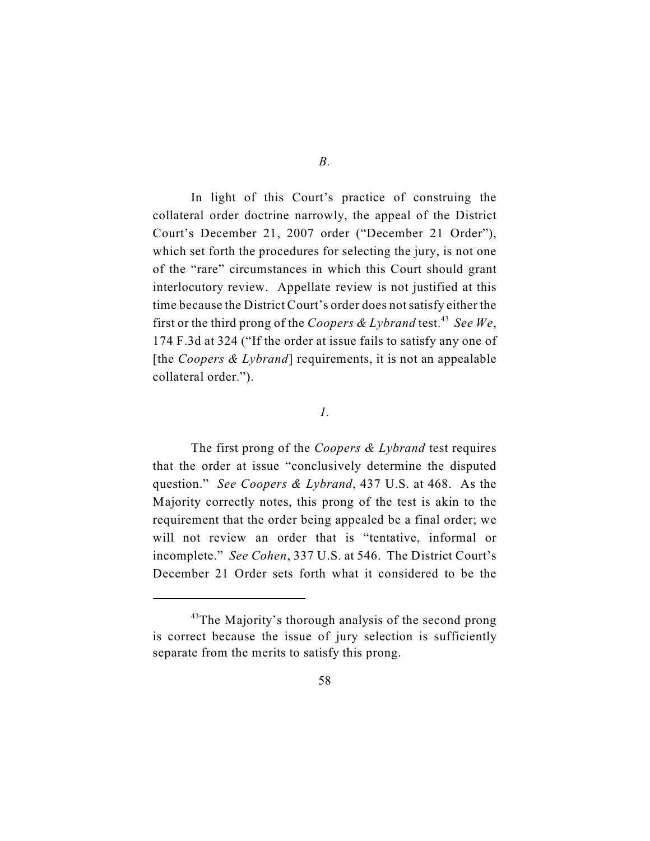*B.*

In light of this Court's practice of construing the collateral order doctrine narrowly, the appeal of the District Court's December 21, 2007 order ("December 21 Order"), which set forth the procedures for selecting the jury, is not one of the "rare" circumstances in which this Court should grant interlocutory review. Appellate review is not justified at this time because the District Court's order does not satisfy either the first or the third prong of the *Coopers & Lybrand* test.<sup>43</sup> See We, 174 F.3d at 324 ("If the order at issue fails to satisfy any one of [the *Coopers & Lybrand*] requirements, it is not an appealable collateral order.").

## *1.*

The first prong of the *Coopers & Lybrand* test requires that the order at issue "conclusively determine the disputed question." *See Coopers & Lybrand*, 437 U.S. at 468. As the Majority correctly notes, this prong of the test is akin to the requirement that the order being appealed be a final order; we will not review an order that is "tentative, informal or incomplete." *See Cohen*, 337 U.S. at 546. The District Court's December 21 Order sets forth what it considered to be the

 $43$ The Majority's thorough analysis of the second prong is correct because the issue of jury selection is sufficiently separate from the merits to satisfy this prong.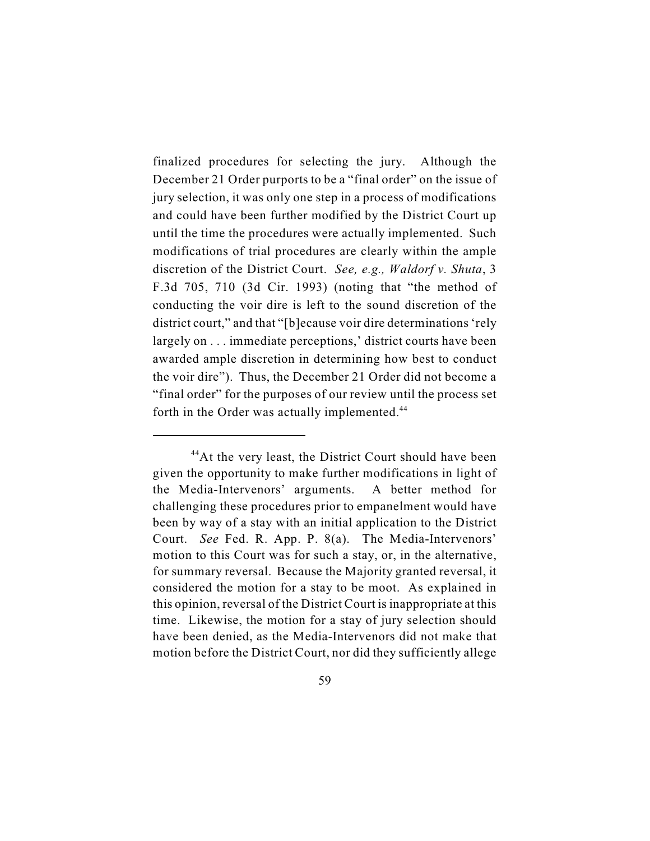finalized procedures for selecting the jury. Although the December 21 Order purports to be a "final order" on the issue of jury selection, it was only one step in a process of modifications and could have been further modified by the District Court up until the time the procedures were actually implemented. Such modifications of trial procedures are clearly within the ample discretion of the District Court. *See, e.g., Waldorf v. Shuta*, 3 F.3d 705, 710 (3d Cir. 1993) (noting that "the method of conducting the voir dire is left to the sound discretion of the district court," and that "[b]ecause voir dire determinations 'rely largely on . . . immediate perceptions,' district courts have been awarded ample discretion in determining how best to conduct the voir dire"). Thus, the December 21 Order did not become a "final order" for the purposes of our review until the process set forth in the Order was actually implemented.<sup>44</sup>

 $44$ At the very least, the District Court should have been given the opportunity to make further modifications in light of the Media-Intervenors' arguments. A better method for challenging these procedures prior to empanelment would have been by way of a stay with an initial application to the District Court. *See* Fed. R. App. P. 8(a). The Media-Intervenors' motion to this Court was for such a stay, or, in the alternative, for summary reversal. Because the Majority granted reversal, it considered the motion for a stay to be moot. As explained in this opinion, reversal of the District Court is inappropriate at this time. Likewise, the motion for a stay of jury selection should have been denied, as the Media-Intervenors did not make that motion before the District Court, nor did they sufficiently allege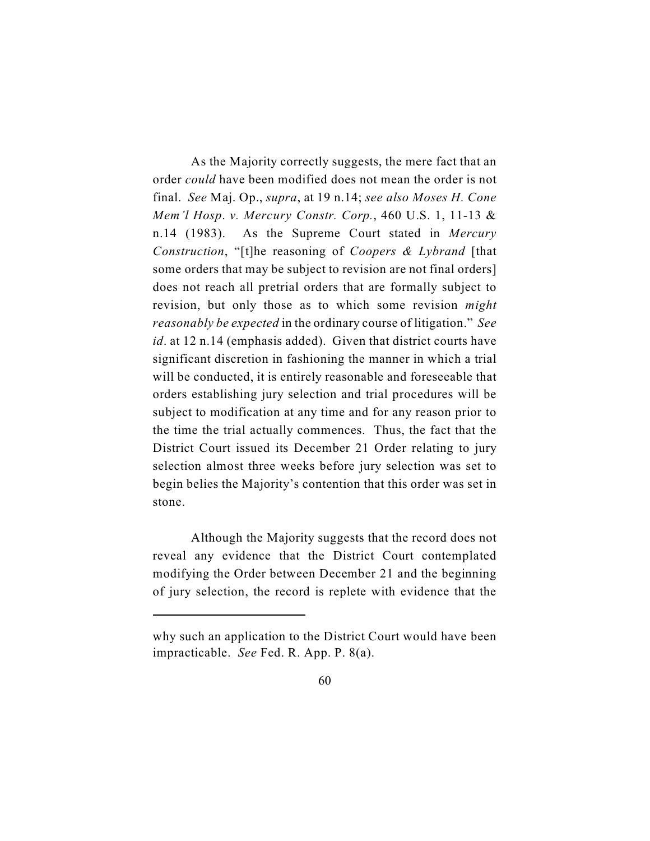As the Majority correctly suggests, the mere fact that an order *could* have been modified does not mean the order is not final. *See* Maj. Op., *supra*, at 19 n.14; *see also Moses H. Cone Mem'l Hosp*. *v. Mercury Constr. Corp.*, 460 U.S. 1, 11-13 & n.14 (1983). As the Supreme Court stated in *Mercury Construction*, "[t]he reasoning of *Coopers & Lybrand* [that some orders that may be subject to revision are not final orders] does not reach all pretrial orders that are formally subject to revision, but only those as to which some revision *might reasonably be expected* in the ordinary course of litigation." *See id*. at 12 n.14 (emphasis added). Given that district courts have significant discretion in fashioning the manner in which a trial will be conducted, it is entirely reasonable and foreseeable that orders establishing jury selection and trial procedures will be subject to modification at any time and for any reason prior to the time the trial actually commences. Thus, the fact that the District Court issued its December 21 Order relating to jury selection almost three weeks before jury selection was set to begin belies the Majority's contention that this order was set in stone.

Although the Majority suggests that the record does not reveal any evidence that the District Court contemplated modifying the Order between December 21 and the beginning of jury selection, the record is replete with evidence that the

why such an application to the District Court would have been impracticable. *See* Fed. R. App. P. 8(a).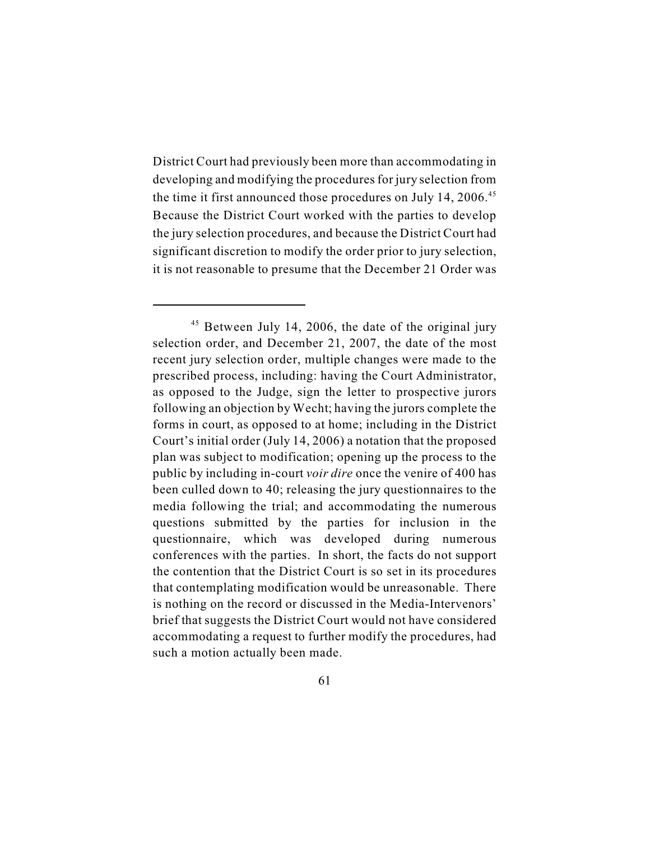District Court had previously been more than accommodating in developing and modifying the procedures for jury selection from the time it first announced those procedures on July 14, 2006. $45$ Because the District Court worked with the parties to develop the jury selection procedures, and because the District Court had significant discretion to modify the order prior to jury selection, it is not reasonable to presume that the December 21 Order was

 $45$  Between July 14, 2006, the date of the original jury selection order, and December 21, 2007, the date of the most recent jury selection order, multiple changes were made to the prescribed process, including: having the Court Administrator, as opposed to the Judge, sign the letter to prospective jurors following an objection by Wecht; having the jurors complete the forms in court, as opposed to at home; including in the District Court's initial order (July 14, 2006) a notation that the proposed plan was subject to modification; opening up the process to the public by including in-court *voir dire* once the venire of 400 has been culled down to 40; releasing the jury questionnaires to the media following the trial; and accommodating the numerous questions submitted by the parties for inclusion in the questionnaire, which was developed during numerous conferences with the parties. In short, the facts do not support the contention that the District Court is so set in its procedures that contemplating modification would be unreasonable. There is nothing on the record or discussed in the Media-Intervenors' brief that suggests the District Court would not have considered accommodating a request to further modify the procedures, had such a motion actually been made.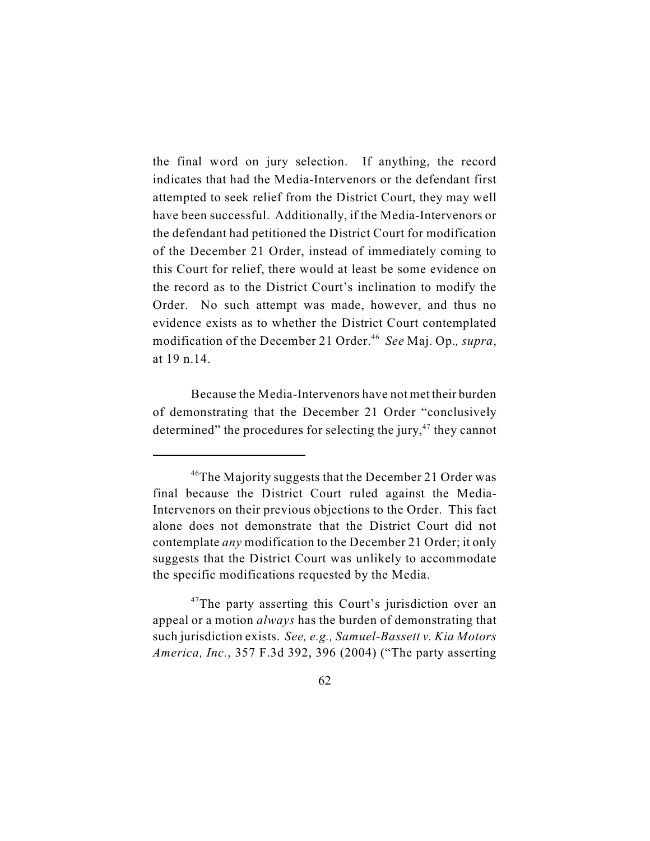the final word on jury selection. If anything, the record indicates that had the Media-Intervenors or the defendant first attempted to seek relief from the District Court, they may well have been successful. Additionally, if the Media-Intervenors or the defendant had petitioned the District Court for modification of the December 21 Order, instead of immediately coming to this Court for relief, there would at least be some evidence on the record as to the District Court's inclination to modify the Order. No such attempt was made, however, and thus no evidence exists as to whether the District Court contemplated modification of the December 21 Order. *See* Maj. Op.*, supra*, 46 at 19 n.14.

Because the Media-Intervenors have not met their burden of demonstrating that the December 21 Order "conclusively determined" the procedures for selecting the jury, $47$  they cannot

<sup>&</sup>lt;sup>46</sup>The Majority suggests that the December 21 Order was final because the District Court ruled against the Media-Intervenors on their previous objections to the Order. This fact alone does not demonstrate that the District Court did not contemplate *any* modification to the December 21 Order; it only suggests that the District Court was unlikely to accommodate the specific modifications requested by the Media.

 $47$ The party asserting this Court's jurisdiction over an appeal or a motion *always* has the burden of demonstrating that such jurisdiction exists. *See, e.g., Samuel-Bassett v. Kia Motors America, Inc.*, 357 F.3d 392, 396 (2004) ("The party asserting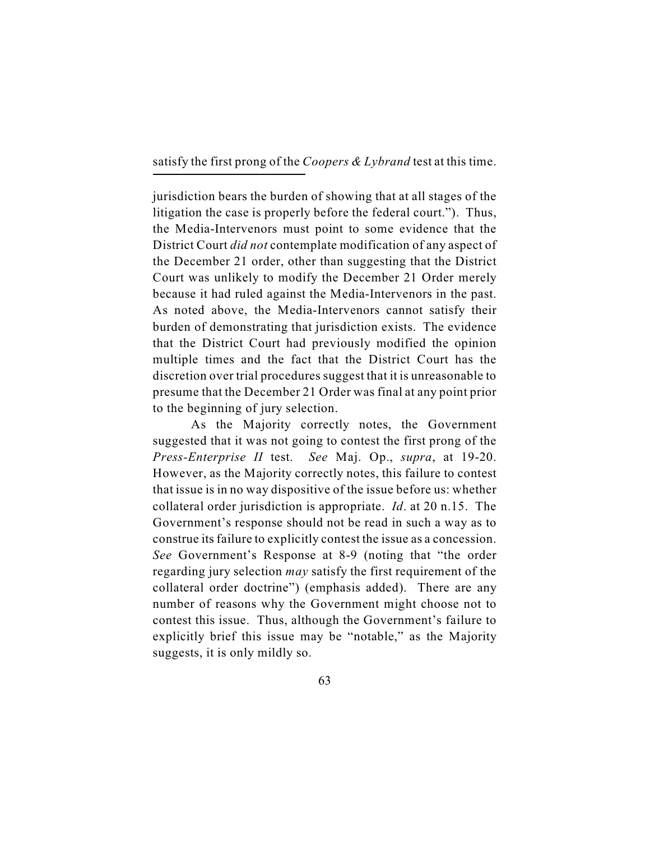satisfy the first prong of the *Coopers & Lybrand* test at this time.

jurisdiction bears the burden of showing that at all stages of the litigation the case is properly before the federal court."). Thus, the Media-Intervenors must point to some evidence that the District Court *did not* contemplate modification of any aspect of the December 21 order, other than suggesting that the District Court was unlikely to modify the December 21 Order merely because it had ruled against the Media-Intervenors in the past. As noted above, the Media-Intervenors cannot satisfy their burden of demonstrating that jurisdiction exists. The evidence that the District Court had previously modified the opinion multiple times and the fact that the District Court has the discretion over trial procedures suggest that it is unreasonable to presume that the December 21 Order was final at any point prior to the beginning of jury selection.

As the Majority correctly notes, the Government suggested that it was not going to contest the first prong of the *Press-Enterprise II* test. *See* Maj. Op., *supra*, at 19-20. However, as the Majority correctly notes, this failure to contest that issue is in no way dispositive of the issue before us: whether collateral order jurisdiction is appropriate. *Id*. at 20 n.15. The Government's response should not be read in such a way as to construe itsfailure to explicitly contest the issue as a concession. *See* Government's Response at 8-9 (noting that "the order regarding jury selection *may* satisfy the first requirement of the collateral order doctrine") (emphasis added). There are any number of reasons why the Government might choose not to contest this issue. Thus, although the Government's failure to explicitly brief this issue may be "notable," as the Majority suggests, it is only mildly so.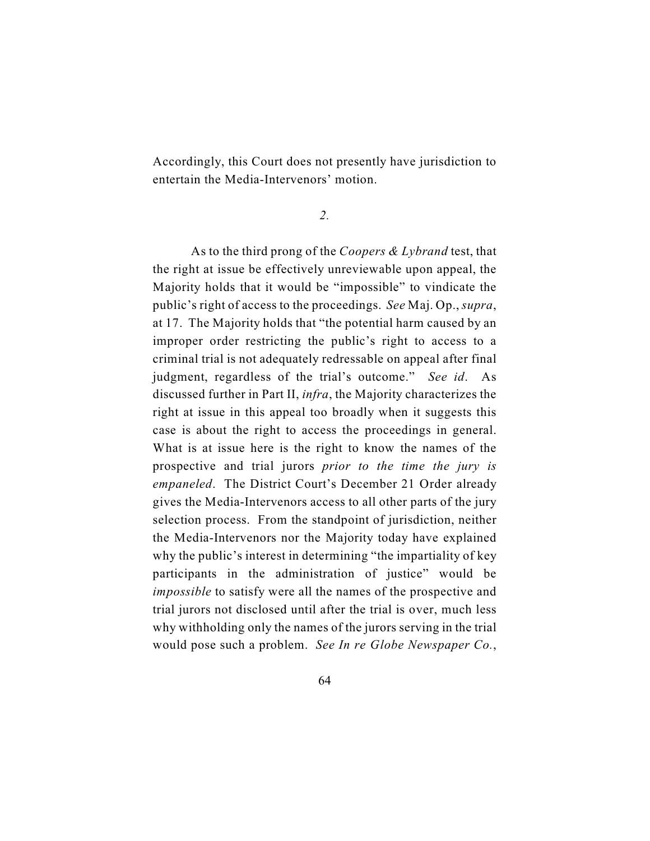Accordingly, this Court does not presently have jurisdiction to entertain the Media-Intervenors' motion.

*2.*

As to the third prong of the *Coopers & Lybrand* test, that the right at issue be effectively unreviewable upon appeal, the Majority holds that it would be "impossible" to vindicate the public's right of access to the proceedings. *See* Maj. Op., *supra*, at 17. The Majority holds that "the potential harm caused by an improper order restricting the public's right to access to a criminal trial is not adequately redressable on appeal after final judgment, regardless of the trial's outcome." *See id*. As discussed further in Part II, *infra*, the Majority characterizes the right at issue in this appeal too broadly when it suggests this case is about the right to access the proceedings in general. What is at issue here is the right to know the names of the prospective and trial jurors *prior to the time the jury is empaneled*. The District Court's December 21 Order already gives the Media-Intervenors access to all other parts of the jury selection process. From the standpoint of jurisdiction, neither the Media-Intervenors nor the Majority today have explained why the public's interest in determining "the impartiality of key participants in the administration of justice" would be *impossible* to satisfy were all the names of the prospective and trial jurors not disclosed until after the trial is over, much less why withholding only the names of the jurors serving in the trial would pose such a problem. *See In re Globe Newspaper Co.*,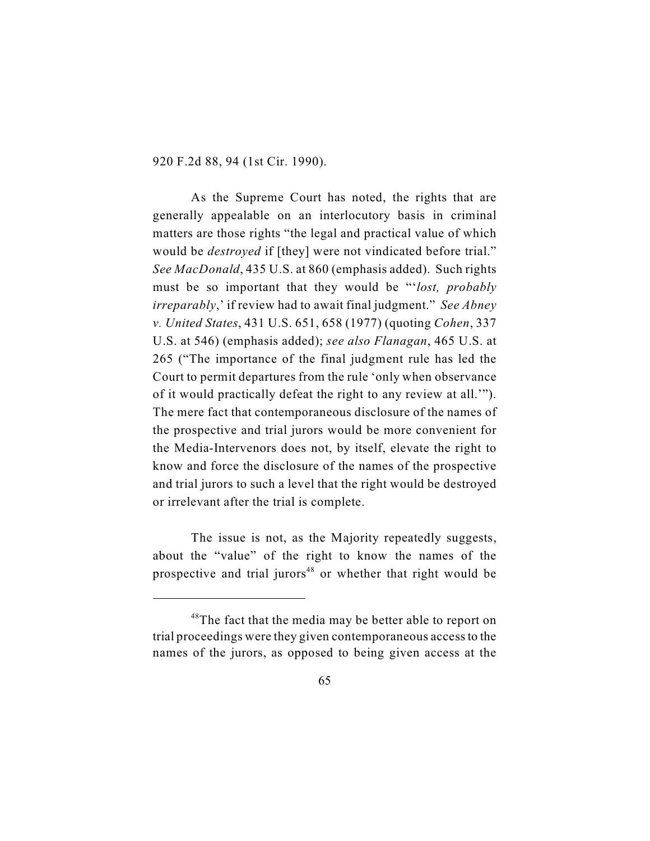920 F.2d 88, 94 (1st Cir. 1990).

As the Supreme Court has noted, the rights that are generally appealable on an interlocutory basis in criminal matters are those rights "the legal and practical value of which would be *destroyed* if [they] were not vindicated before trial." *See MacDonald*, 435 U.S. at 860 (emphasis added). Such rights must be so important that they would be "'*lost, probably irreparably*,' if review had to await final judgment." *See Abney v. United States*, 431 U.S. 651, 658 (1977) (quoting *Cohen*, 337 U.S. at 546) (emphasis added); *see also Flanagan*, 465 U.S. at 265 ("The importance of the final judgment rule has led the Court to permit departures from the rule 'only when observance of it would practically defeat the right to any review at all.'"). The mere fact that contemporaneous disclosure of the names of the prospective and trial jurors would be more convenient for the Media-Intervenors does not, by itself, elevate the right to know and force the disclosure of the names of the prospective and trial jurors to such a level that the right would be destroyed or irrelevant after the trial is complete.

The issue is not, as the Majority repeatedly suggests, about the "value" of the right to know the names of the prospective and trial jurors<sup> $48$ </sup> or whether that right would be

 $48$ The fact that the media may be better able to report on trial proceedings were they given contemporaneous access to the names of the jurors, as opposed to being given access at the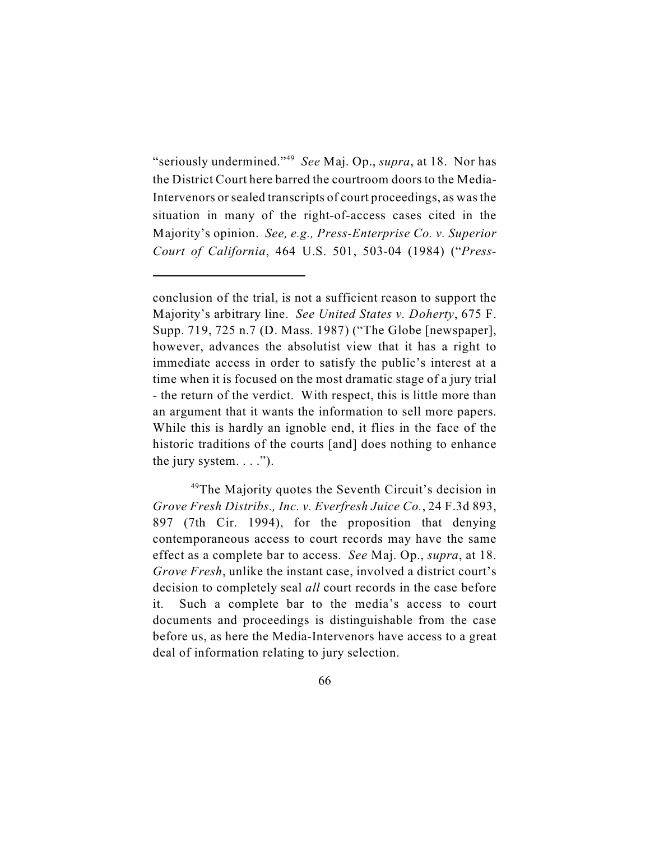"seriously undermined."<sup>49</sup> See Maj. Op., *supra*, at 18. Nor has the District Court here barred the courtroom doors to the Media-Intervenors or sealed transcripts of court proceedings, as was the situation in many of the right-of-access cases cited in the Majority's opinion. *See, e.g., Press-Enterprise Co. v. Superior Court of California*, 464 U.S. 501, 503-04 (1984) ("*Press-*

<sup>49</sup>The Majority quotes the Seventh Circuit's decision in *Grove Fresh Distribs., Inc. v. Everfresh Juice Co.*, 24 F.3d 893, 897 (7th Cir. 1994), for the proposition that denying contemporaneous access to court records may have the same effect as a complete bar to access. *See* Maj. Op., *supra*, at 18. *Grove Fresh*, unlike the instant case, involved a district court's decision to completely seal *all* court records in the case before it. Such a complete bar to the media's access to court documents and proceedings is distinguishable from the case before us, as here the Media-Intervenors have access to a great deal of information relating to jury selection.

conclusion of the trial, is not a sufficient reason to support the Majority's arbitrary line. *See United States v. Doherty*, 675 F. Supp. 719, 725 n.7 (D. Mass. 1987) ("The Globe [newspaper], however, advances the absolutist view that it has a right to immediate access in order to satisfy the public's interest at a time when it is focused on the most dramatic stage of a jury trial - the return of the verdict. With respect, this is little more than an argument that it wants the information to sell more papers. While this is hardly an ignoble end, it flies in the face of the historic traditions of the courts [and] does nothing to enhance the jury system.  $\ldots$ ").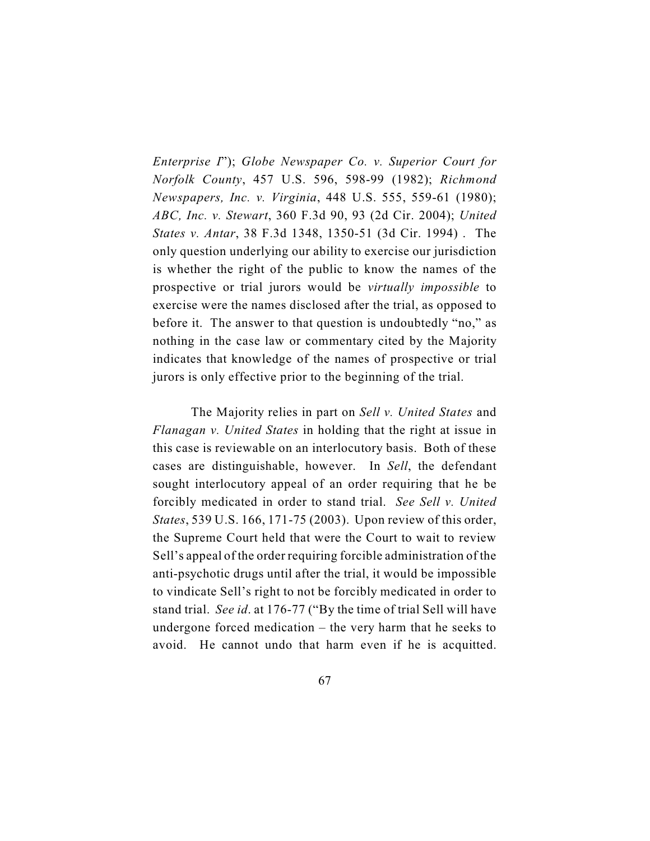*Enterprise I*"); *Globe Newspaper Co. v. Superior Court for Norfolk County*, 457 U.S. 596, 598-99 (1982); *Richmond Newspapers, Inc. v. Virginia*, 448 U.S. 555, 559-61 (1980); *ABC, Inc. v. Stewart*, 360 F.3d 90, 93 (2d Cir. 2004); *United States v. Antar*, 38 F.3d 1348, 1350-51 (3d Cir. 1994) . The only question underlying our ability to exercise our jurisdiction is whether the right of the public to know the names of the prospective or trial jurors would be *virtually impossible* to exercise were the names disclosed after the trial, as opposed to before it. The answer to that question is undoubtedly "no," as nothing in the case law or commentary cited by the Majority indicates that knowledge of the names of prospective or trial jurors is only effective prior to the beginning of the trial.

The Majority relies in part on *Sell v. United States* and *Flanagan v. United States* in holding that the right at issue in this case is reviewable on an interlocutory basis. Both of these cases are distinguishable, however. In *Sell*, the defendant sought interlocutory appeal of an order requiring that he be forcibly medicated in order to stand trial. *See Sell v. United States*, 539 U.S. 166, 171-75 (2003). Upon review of this order, the Supreme Court held that were the Court to wait to review Sell's appeal of the order requiring forcible administration of the anti-psychotic drugs until after the trial, it would be impossible to vindicate Sell's right to not be forcibly medicated in order to stand trial. *See id*. at 176-77 ("By the time of trial Sell will have undergone forced medication – the very harm that he seeks to avoid. He cannot undo that harm even if he is acquitted.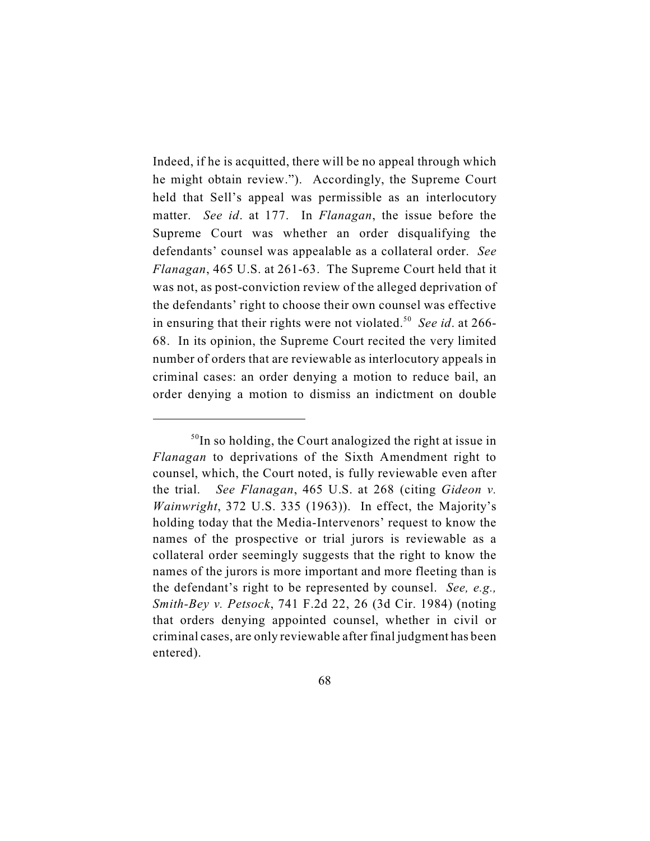Indeed, if he is acquitted, there will be no appeal through which he might obtain review."). Accordingly, the Supreme Court held that Sell's appeal was permissible as an interlocutory matter. *See id*. at 177. In *Flanagan*, the issue before the Supreme Court was whether an order disqualifying the defendants' counsel was appealable as a collateral order. *See Flanagan*, 465 U.S. at 261-63. The Supreme Court held that it was not, as post-conviction review of the alleged deprivation of the defendants' right to choose their own counsel was effective in ensuring that their rights were not violated.<sup>50</sup> See id. at 266-68. In its opinion, the Supreme Court recited the very limited number of orders that are reviewable as interlocutory appeals in criminal cases: an order denying a motion to reduce bail, an order denying a motion to dismiss an indictment on double

 $10^{50}$  In so holding, the Court analogized the right at issue in *Flanagan* to deprivations of the Sixth Amendment right to counsel, which, the Court noted, is fully reviewable even after the trial. *See Flanagan*, 465 U.S. at 268 (citing *Gideon v. Wainwright*, 372 U.S. 335 (1963)). In effect, the Majority's holding today that the Media-Intervenors' request to know the names of the prospective or trial jurors is reviewable as a collateral order seemingly suggests that the right to know the names of the jurors is more important and more fleeting than is the defendant's right to be represented by counsel. *See, e.g., Smith-Bey v. Petsock*, 741 F.2d 22, 26 (3d Cir. 1984) (noting that orders denying appointed counsel, whether in civil or criminal cases, are only reviewable after final judgment has been entered).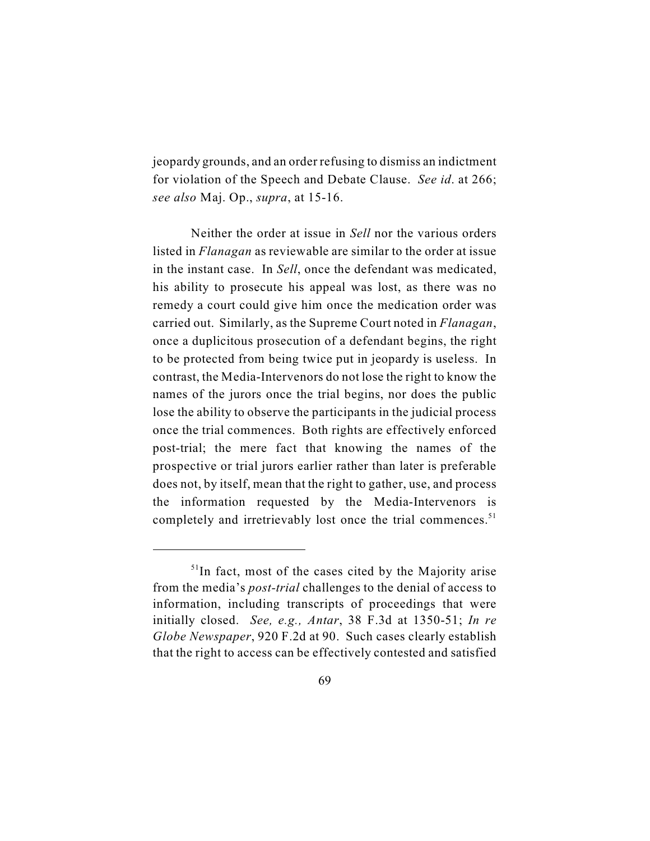jeopardy grounds, and an order refusing to dismiss an indictment for violation of the Speech and Debate Clause. *See id*. at 266; *see also* Maj. Op., *supra*, at 15-16.

Neither the order at issue in *Sell* nor the various orders listed in *Flanagan* as reviewable are similar to the order at issue in the instant case. In *Sell*, once the defendant was medicated, his ability to prosecute his appeal was lost, as there was no remedy a court could give him once the medication order was carried out. Similarly, as the Supreme Court noted in *Flanagan*, once a duplicitous prosecution of a defendant begins, the right to be protected from being twice put in jeopardy is useless. In contrast, the Media-Intervenors do not lose the right to know the names of the jurors once the trial begins, nor does the public lose the ability to observe the participants in the judicial process once the trial commences. Both rights are effectively enforced post-trial; the mere fact that knowing the names of the prospective or trial jurors earlier rather than later is preferable does not, by itself, mean that the right to gather, use, and process the information requested by the Media-Intervenors is completely and irretrievably lost once the trial commences. $51$ 

 $<sup>51</sup>$ In fact, most of the cases cited by the Majority arise</sup> from the media's *post-trial* challenges to the denial of access to information, including transcripts of proceedings that were initially closed. *See, e.g., Antar*, 38 F.3d at 1350-51; *In re Globe Newspaper*, 920 F.2d at 90. Such cases clearly establish that the right to access can be effectively contested and satisfied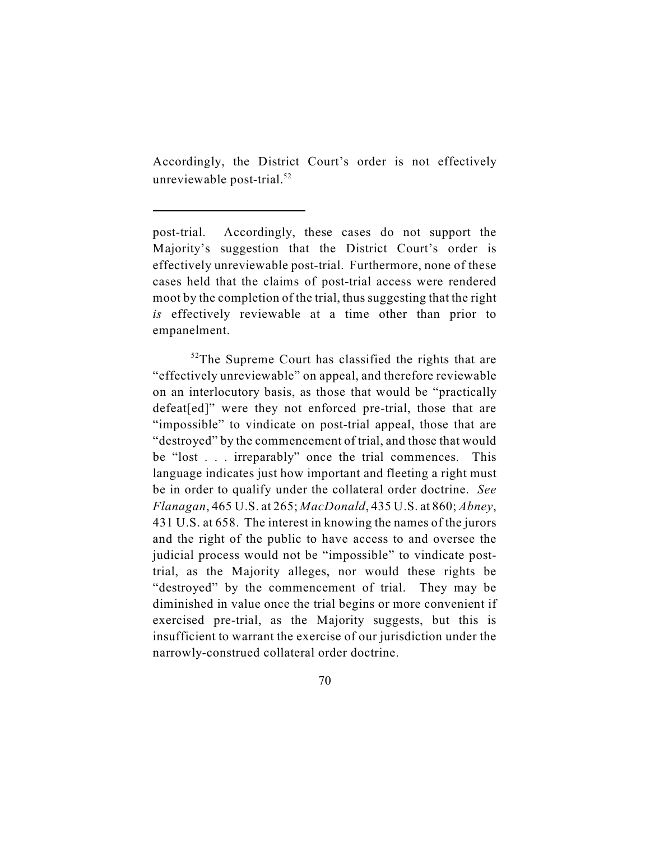Accordingly, the District Court's order is not effectively unreviewable post-trial.<sup>52</sup>

 $52$ The Supreme Court has classified the rights that are "effectively unreviewable" on appeal, and therefore reviewable on an interlocutory basis, as those that would be "practically defeat[ed]" were they not enforced pre-trial, those that are "impossible" to vindicate on post-trial appeal, those that are "destroyed" by the commencement of trial, and those that would be "lost . . . irreparably" once the trial commences. This language indicates just how important and fleeting a right must be in order to qualify under the collateral order doctrine. *See Flanagan*, 465 U.S. at 265; *MacDonald*, 435 U.S. at 860; *Abney*, 431 U.S. at 658. The interest in knowing the names of the jurors and the right of the public to have access to and oversee the judicial process would not be "impossible" to vindicate posttrial, as the Majority alleges, nor would these rights be "destroyed" by the commencement of trial. They may be diminished in value once the trial begins or more convenient if exercised pre-trial, as the Majority suggests, but this is insufficient to warrant the exercise of our jurisdiction under the narrowly-construed collateral order doctrine.

post-trial. Accordingly, these cases do not support the Majority's suggestion that the District Court's order is effectively unreviewable post-trial. Furthermore, none of these cases held that the claims of post-trial access were rendered moot by the completion of the trial, thus suggesting that the right *is* effectively reviewable at a time other than prior to empanelment.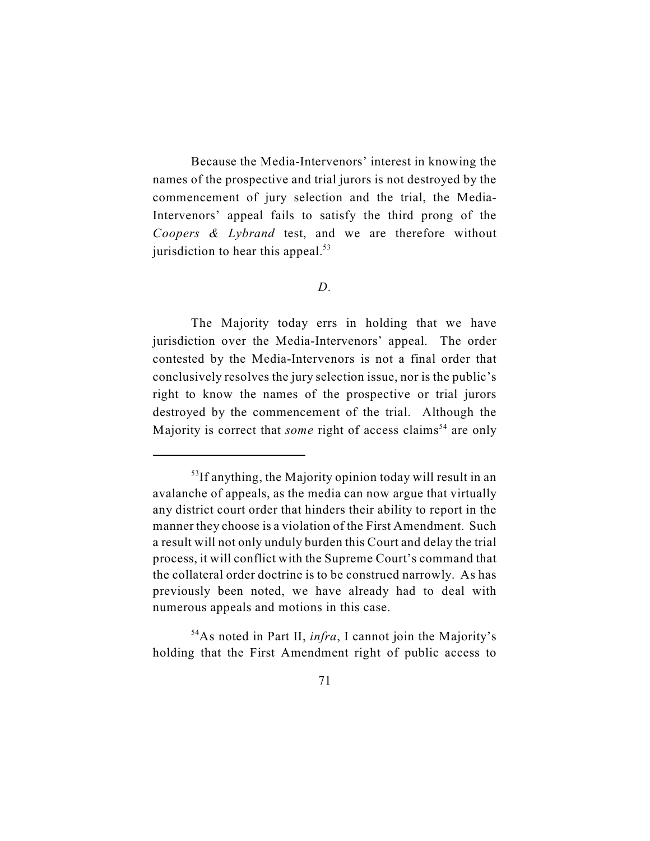Because the Media-Intervenors' interest in knowing the names of the prospective and trial jurors is not destroyed by the commencement of jury selection and the trial, the Media-Intervenors' appeal fails to satisfy the third prong of the *Coopers & Lybrand* test, and we are therefore without jurisdiction to hear this appeal. $53$ 

*D.*

The Majority today errs in holding that we have jurisdiction over the Media-Intervenors' appeal. The order contested by the Media-Intervenors is not a final order that conclusively resolves the jury selection issue, nor is the public's right to know the names of the prospective or trial jurors destroyed by the commencement of the trial. Although the Majority is correct that *some* right of access claims<sup>54</sup> are only

 $54$ As noted in Part II, *infra*, I cannot join the Majority's holding that the First Amendment right of public access to

 $53$ If anything, the Majority opinion today will result in an avalanche of appeals, as the media can now argue that virtually any district court order that hinders their ability to report in the manner they choose is a violation of the First Amendment. Such a result will not only unduly burden this Court and delay the trial process, it will conflict with the Supreme Court's command that the collateral order doctrine is to be construed narrowly. As has previously been noted, we have already had to deal with numerous appeals and motions in this case.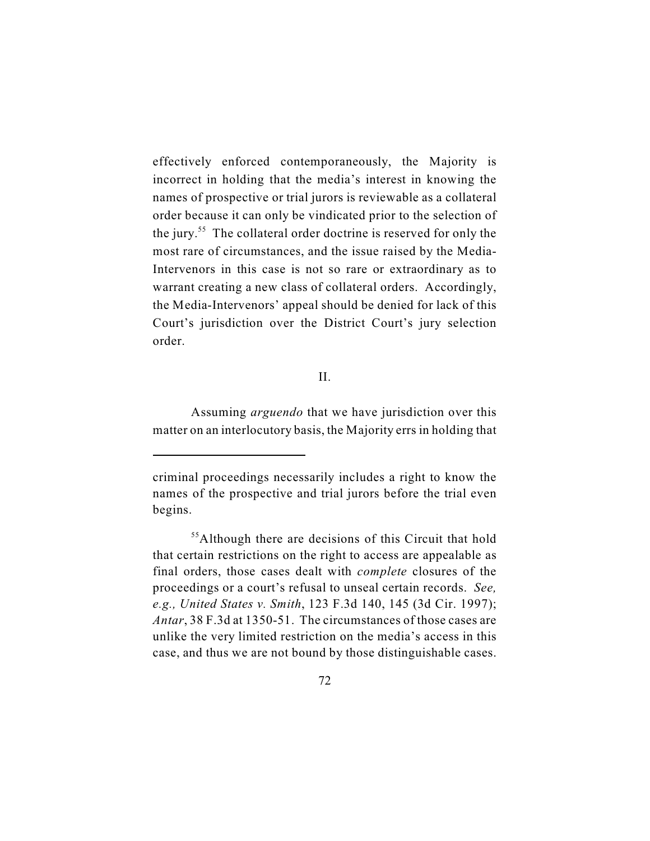effectively enforced contemporaneously, the Majority is incorrect in holding that the media's interest in knowing the names of prospective or trial jurors is reviewable as a collateral order because it can only be vindicated prior to the selection of the jury.<sup>55</sup> The collateral order doctrine is reserved for only the most rare of circumstances, and the issue raised by the Media-Intervenors in this case is not so rare or extraordinary as to warrant creating a new class of collateral orders. Accordingly, the Media-Intervenors' appeal should be denied for lack of this Court's jurisdiction over the District Court's jury selection order.

## II.

Assuming *arguendo* that we have jurisdiction over this matter on an interlocutory basis, the Majority errs in holding that

criminal proceedings necessarily includes a right to know the names of the prospective and trial jurors before the trial even begins.

 $<sup>55</sup>$ Although there are decisions of this Circuit that hold</sup> that certain restrictions on the right to access are appealable as final orders, those cases dealt with *complete* closures of the proceedings or a court's refusal to unseal certain records. *See, e.g., United States v. Smith*, 123 F.3d 140, 145 (3d Cir. 1997); *Antar*, 38 F.3d at 1350-51. The circumstances of those cases are unlike the very limited restriction on the media's access in this case, and thus we are not bound by those distinguishable cases.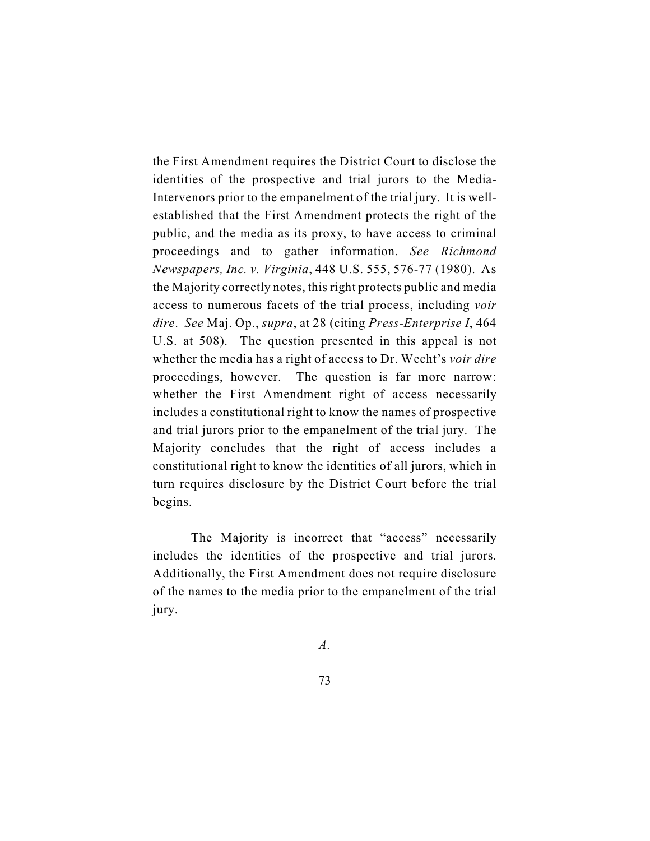the First Amendment requires the District Court to disclose the identities of the prospective and trial jurors to the Media-Intervenors prior to the empanelment of the trial jury. It is wellestablished that the First Amendment protects the right of the public, and the media as its proxy, to have access to criminal proceedings and to gather information. *See Richmond Newspapers, Inc. v. Virginia*, 448 U.S. 555, 576-77 (1980). As the Majority correctly notes, this right protects public and media access to numerous facets of the trial process, including *voir dire*. *See* Maj. Op., *supra*, at 28 (citing *Press-Enterprise I*, 464 U.S. at 508). The question presented in this appeal is not whether the media has a right of access to Dr. Wecht's *voir dire* proceedings, however. The question is far more narrow: whether the First Amendment right of access necessarily includes a constitutional right to know the names of prospective and trial jurors prior to the empanelment of the trial jury. The Majority concludes that the right of access includes a constitutional right to know the identities of all jurors, which in turn requires disclosure by the District Court before the trial begins.

The Majority is incorrect that "access" necessarily includes the identities of the prospective and trial jurors. Additionally, the First Amendment does not require disclosure of the names to the media prior to the empanelment of the trial jury.

*A.*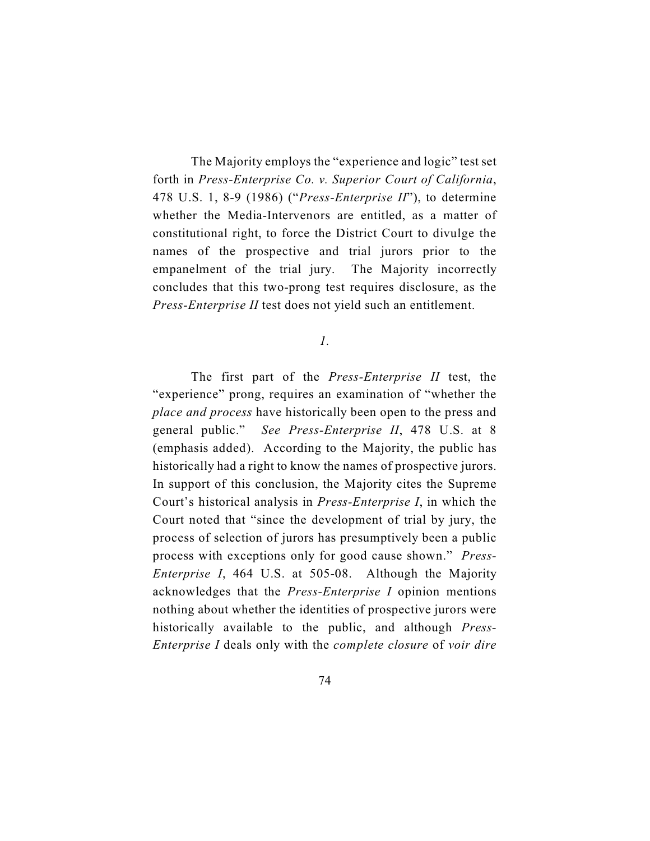The Majority employs the "experience and logic" test set forth in *Press-Enterprise Co. v. Superior Court of California*, 478 U.S. 1, 8-9 (1986) ("*Press-Enterprise II*"), to determine whether the Media-Intervenors are entitled, as a matter of constitutional right, to force the District Court to divulge the names of the prospective and trial jurors prior to the empanelment of the trial jury. The Majority incorrectly concludes that this two-prong test requires disclosure, as the *Press-Enterprise II* test does not yield such an entitlement.

*1.*

The first part of the *Press-Enterprise II* test, the "experience" prong, requires an examination of "whether the *place and process* have historically been open to the press and general public." *See Press-Enterprise II*, 478 U.S. at 8 (emphasis added). According to the Majority, the public has historically had a right to know the names of prospective jurors. In support of this conclusion, the Majority cites the Supreme Court's historical analysis in *Press-Enterprise I*, in which the Court noted that "since the development of trial by jury, the process of selection of jurors has presumptively been a public process with exceptions only for good cause shown." *Press-Enterprise I*, 464 U.S. at 505-08. Although the Majority acknowledges that the *Press-Enterprise I* opinion mentions nothing about whether the identities of prospective jurors were historically available to the public, and although *Press-Enterprise I* deals only with the *complete closure* of *voir dire*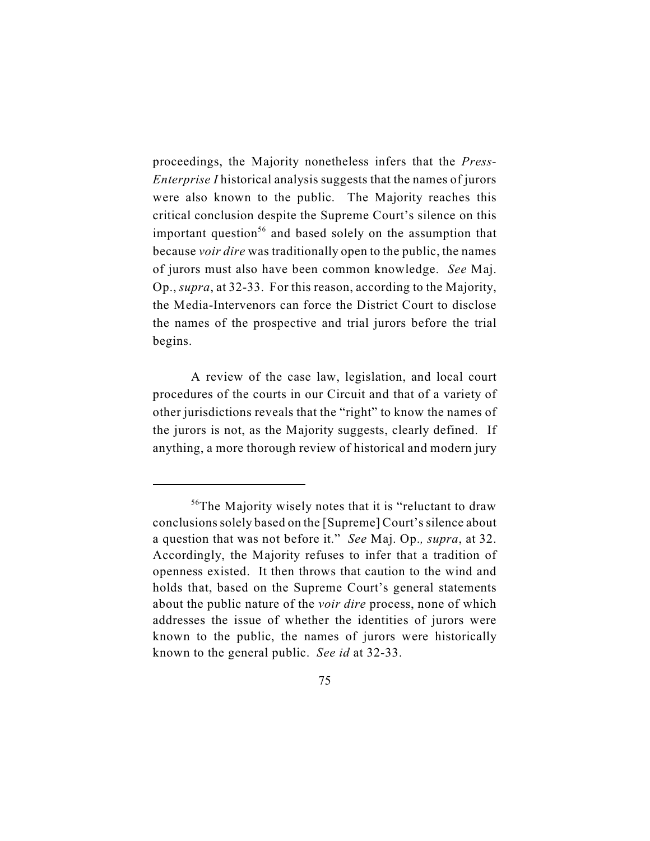proceedings, the Majority nonetheless infers that the *Press-Enterprise I* historical analysis suggests that the names of jurors were also known to the public. The Majority reaches this critical conclusion despite the Supreme Court's silence on this important question<sup>56</sup> and based solely on the assumption that because *voir dire* was traditionally open to the public, the names of jurors must also have been common knowledge. *See* Maj. Op., *supra*, at 32-33. For this reason, according to the Majority, the Media-Intervenors can force the District Court to disclose the names of the prospective and trial jurors before the trial begins.

A review of the case law, legislation, and local court procedures of the courts in our Circuit and that of a variety of other jurisdictions reveals that the "right" to know the names of the jurors is not, as the Majority suggests, clearly defined. If anything, a more thorough review of historical and modern jury

<sup>&</sup>lt;sup>56</sup>The Majority wisely notes that it is "reluctant to draw conclusions solely based on the [Supreme] Court's silence about a question that was not before it." *See* Maj. Op.*, supra*, at 32. Accordingly, the Majority refuses to infer that a tradition of openness existed. It then throws that caution to the wind and holds that, based on the Supreme Court's general statements about the public nature of the *voir dire* process, none of which addresses the issue of whether the identities of jurors were known to the public, the names of jurors were historically known to the general public. *See id* at 32-33.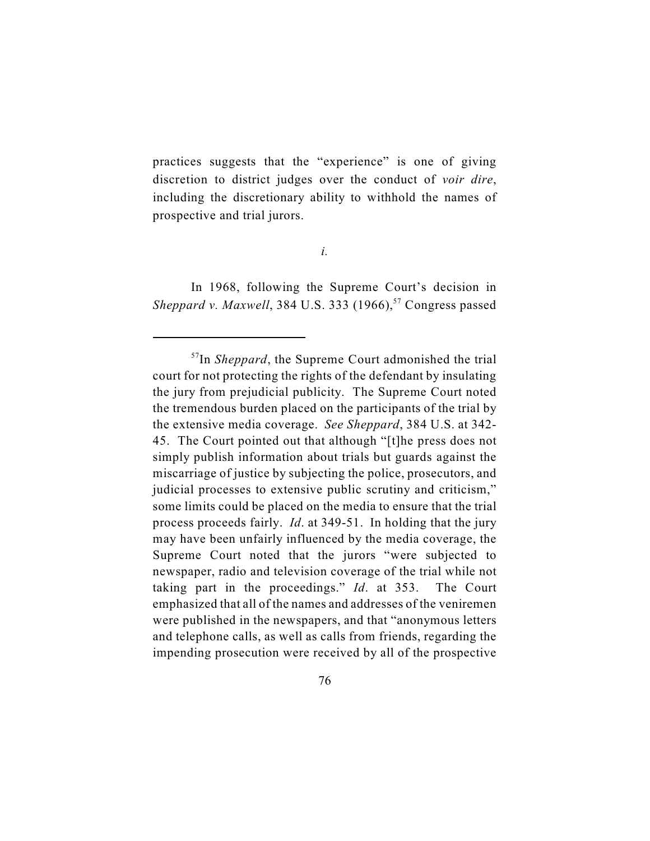practices suggests that the "experience" is one of giving discretion to district judges over the conduct of *voir dire*, including the discretionary ability to withhold the names of prospective and trial jurors.

*i.*

In 1968, following the Supreme Court's decision in *Sheppard v. Maxwell*, 384 U.S. 333 (1966),<sup>57</sup> Congress passed

 $157$ In *Sheppard*, the Supreme Court admonished the trial court for not protecting the rights of the defendant by insulating the jury from prejudicial publicity. The Supreme Court noted the tremendous burden placed on the participants of the trial by the extensive media coverage. *See Sheppard*, 384 U.S. at 342- 45. The Court pointed out that although "[t]he press does not simply publish information about trials but guards against the miscarriage of justice by subjecting the police, prosecutors, and judicial processes to extensive public scrutiny and criticism," some limits could be placed on the media to ensure that the trial process proceeds fairly. *Id*. at 349-51. In holding that the jury may have been unfairly influenced by the media coverage, the Supreme Court noted that the jurors "were subjected to newspaper, radio and television coverage of the trial while not taking part in the proceedings." *Id*. at 353. The Court emphasized that all of the names and addresses of the veniremen were published in the newspapers, and that "anonymous letters and telephone calls, as well as calls from friends, regarding the impending prosecution were received by all of the prospective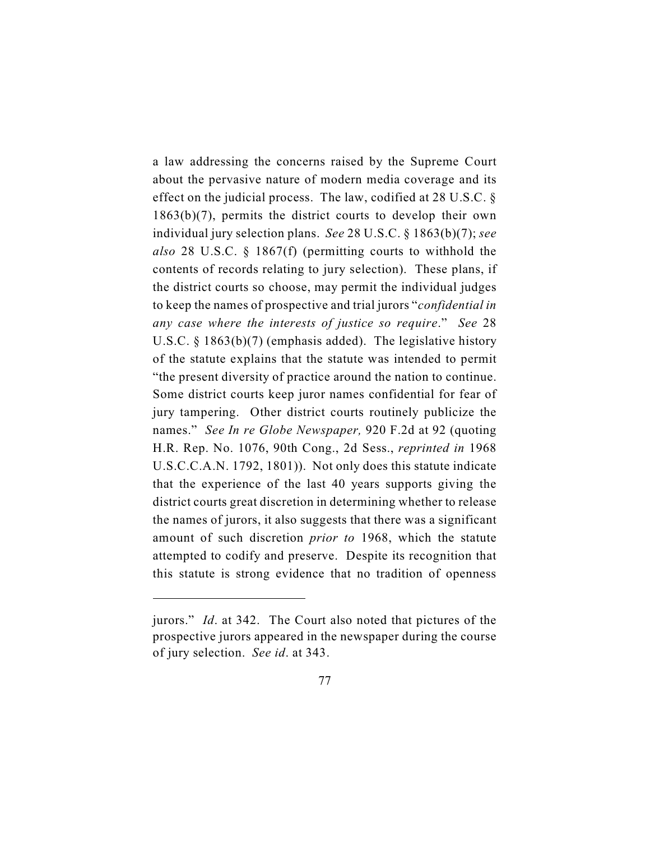a law addressing the concerns raised by the Supreme Court about the pervasive nature of modern media coverage and its effect on the judicial process. The law, codified at 28 U.S.C. § 1863(b)(7), permits the district courts to develop their own individual jury selection plans. *See* 28 U.S.C. § 1863(b)(7); *see also* 28 U.S.C. § 1867(f) (permitting courts to withhold the contents of records relating to jury selection). These plans, if the district courts so choose, may permit the individual judges to keep the names of prospective and trial jurors "*confidential in any case where the interests of justice so require*." *See* 28 U.S.C. § 1863(b)(7) (emphasis added). The legislative history of the statute explains that the statute was intended to permit "the present diversity of practice around the nation to continue. Some district courts keep juror names confidential for fear of jury tampering. Other district courts routinely publicize the names." *See In re Globe Newspaper,* 920 F.2d at 92 (quoting H.R. Rep. No. 1076, 90th Cong., 2d Sess., *reprinted in* 1968 U.S.C.C.A.N. 1792, 1801)). Not only does this statute indicate that the experience of the last 40 years supports giving the district courts great discretion in determining whether to release the names of jurors, it also suggests that there was a significant amount of such discretion *prior to* 1968, which the statute attempted to codify and preserve. Despite its recognition that this statute is strong evidence that no tradition of openness

jurors." *Id*. at 342. The Court also noted that pictures of the prospective jurors appeared in the newspaper during the course of jury selection. *See id*. at 343.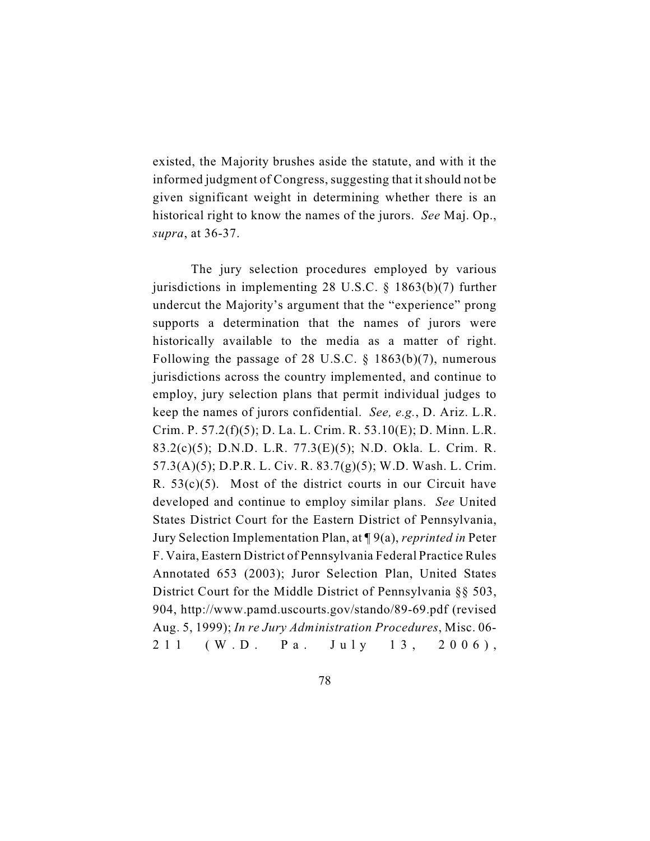existed, the Majority brushes aside the statute, and with it the informed judgment of Congress, suggesting that it should not be given significant weight in determining whether there is an historical right to know the names of the jurors. *See* Maj. Op., *supra*, at 36-37.

The jury selection procedures employed by various jurisdictions in implementing 28 U.S.C. § 1863(b)(7) further undercut the Majority's argument that the "experience" prong supports a determination that the names of jurors were historically available to the media as a matter of right. Following the passage of 28 U.S.C. § 1863(b)(7), numerous jurisdictions across the country implemented, and continue to employ, jury selection plans that permit individual judges to keep the names of jurors confidential. *See, e.g.*, D. Ariz. L.R. Crim. P. 57.2(f)(5); D. La. L. Crim. R. 53.10(E); D. Minn. L.R. 83.2(c)(5); D.N.D. L.R. 77.3(E)(5); N.D. Okla. L. Crim. R. 57.3(A)(5); D.P.R. L. Civ. R. 83.7(g)(5); W.D. Wash. L. Crim. R.  $53(c)(5)$ . Most of the district courts in our Circuit have developed and continue to employ similar plans. *See* United States District Court for the Eastern District of Pennsylvania, Jury Selection Implementation Plan, at ¶ 9(a), *reprinted in* Peter F. Vaira, Eastern District of Pennsylvania Federal Practice Rules Annotated 653 (2003); Juror Selection Plan, United States District Court for the Middle District of Pennsylvania §§ 503, 904, http://www.pamd.uscourts.gov/stando/89-69.pdf (revised Aug. 5, 1999); *In re Jury Administration Procedures*, Misc. 06-  $211$  (W.D. Pa. July 13, 2006),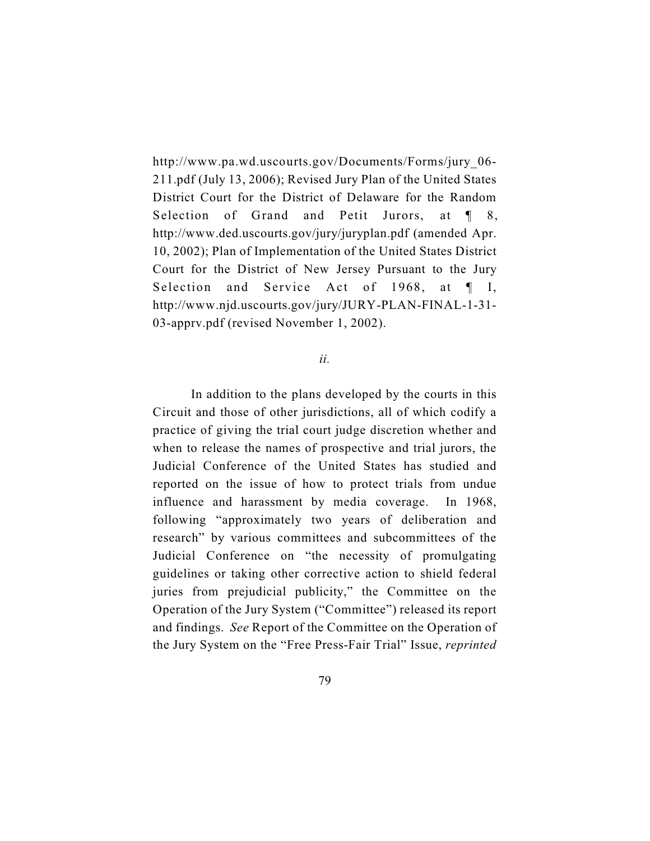http://www.pa.wd.uscourts.gov/Documents/Forms/jury\_06- 211.pdf (July 13, 2006); Revised Jury Plan of the United States District Court for the District of Delaware for the Random Selection of Grand and Petit Jurors[,](http://www.ded.uscourts.gov/jury/juryplan.pdf) at ¶ 8, http://www.ded.uscourts.gov/jury/juryplan.pdf (amended Apr. 10, 2002); Plan of Implementation of the United States District Court for the District of New Jersey Pursuant to the Jury Selection and Service Act of 1968, at  $\P$  I, http://www.njd.uscourts.gov/jury/JURY-PLAN-FINAL-1-31- 03-apprv.pdf (revised November 1, 2002).

### *ii.*

In addition to the plans developed by the courts in this Circuit and those of other jurisdictions, all of which codify a practice of giving the trial court judge discretion whether and when to release the names of prospective and trial jurors, the Judicial Conference of the United States has studied and reported on the issue of how to protect trials from undue influence and harassment by media coverage. In 1968, following "approximately two years of deliberation and research" by various committees and subcommittees of the Judicial Conference on "the necessity of promulgating guidelines or taking other corrective action to shield federal juries from prejudicial publicity," the Committee on the Operation of the Jury System ("Committee") released its report and findings. *See* Report of the Committee on the Operation of the Jury System on the "Free Press-Fair Trial" Issue, *reprinted*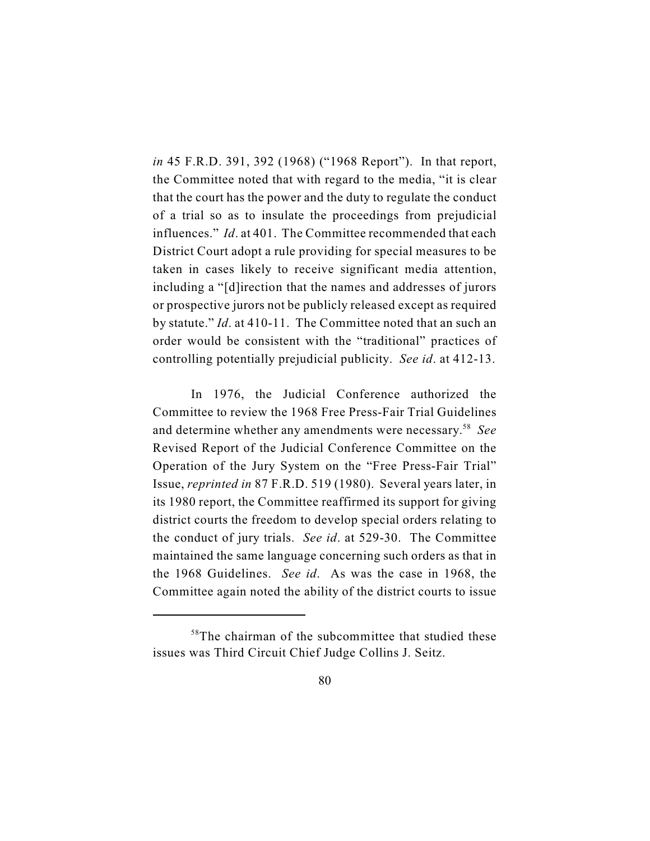*in* 45 F.R.D. 391, 392 (1968) ("1968 Report"). In that report, the Committee noted that with regard to the media, "it is clear that the court has the power and the duty to regulate the conduct of a trial so as to insulate the proceedings from prejudicial influences." *Id*. at 401. The Committee recommended that each District Court adopt a rule providing for special measures to be taken in cases likely to receive significant media attention, including a "[d]irection that the names and addresses of jurors or prospective jurors not be publicly released except as required by statute." *Id*. at 410-11. The Committee noted that an such an order would be consistent with the "traditional" practices of controlling potentially prejudicial publicity. *See id*. at 412-13.

In 1976, the Judicial Conference authorized the Committee to review the 1968 Free Press-Fair Trial Guidelines and determine whether any amendments were necessary.<sup>58</sup> See Revised Report of the Judicial Conference Committee on the Operation of the Jury System on the "Free Press-Fair Trial" Issue, *reprinted in* 87 F.R.D. 519 (1980). Several years later, in its 1980 report, the Committee reaffirmed its support for giving district courts the freedom to develop special orders relating to the conduct of jury trials. *See id*. at 529-30. The Committee maintained the same language concerning such orders as that in the 1968 Guidelines. *See id*. As was the case in 1968, the Committee again noted the ability of the district courts to issue

 $58$ The chairman of the subcommittee that studied these issues was Third Circuit Chief Judge Collins J. Seitz.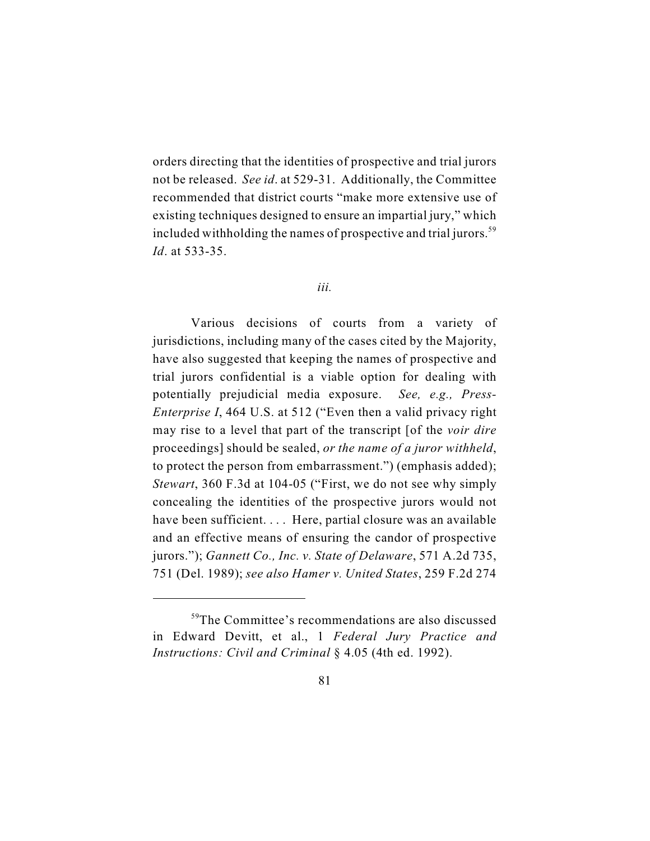orders directing that the identities of prospective and trial jurors not be released. *See id*. at 529-31. Additionally, the Committee recommended that district courts "make more extensive use of existing techniques designed to ensure an impartial jury," which included withholding the names of prospective and trial jurors.<sup>59</sup> *Id*. at 533-35.

#### *iii.*

Various decisions of courts from a variety of jurisdictions, including many of the cases cited by the Majority, have also suggested that keeping the names of prospective and trial jurors confidential is a viable option for dealing with potentially prejudicial media exposure. *See, e.g., Press-Enterprise I*, 464 U.S. at 512 ("Even then a valid privacy right may rise to a level that part of the transcript [of the *voir dire* proceedings] should be sealed, *or the name of a juror withheld*, to protect the person from embarrassment.") (emphasis added); *Stewart*, 360 F.3d at 104-05 ("First, we do not see why simply concealing the identities of the prospective jurors would not have been sufficient. . . . Here, partial closure was an available and an effective means of ensuring the candor of prospective jurors."); *Gannett Co., Inc. v. State of Delaware*, 571 A.2d 735, 751 (Del. 1989); *see also Hamer v. United States*, 259 F.2d 274

 $59$ The Committee's recommendations are also discussed in Edward Devitt, et al., 1 *Federal Jury Practice and Instructions: Civil and Criminal* § 4.05 (4th ed. 1992).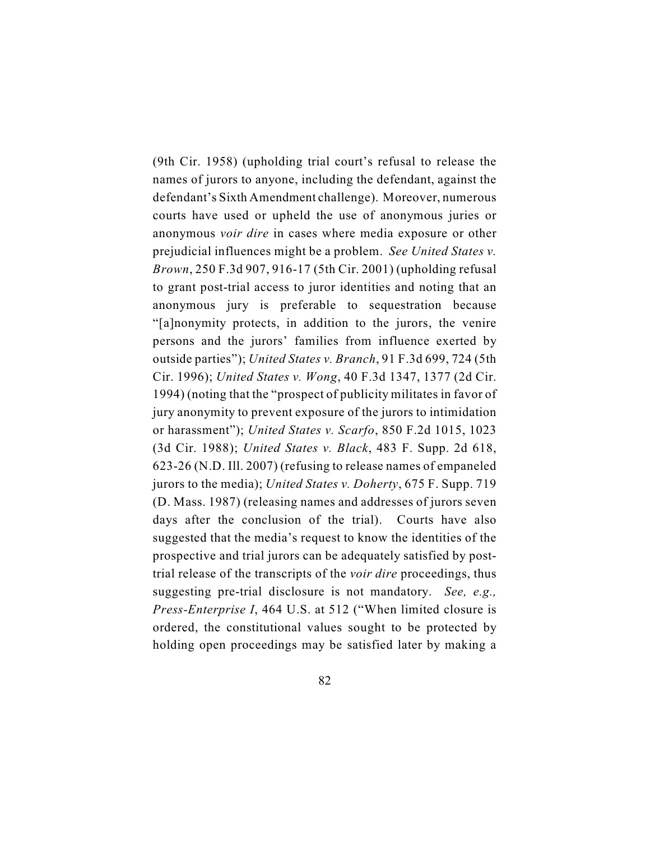(9th Cir. 1958) (upholding trial court's refusal to release the names of jurors to anyone, including the defendant, against the defendant's Sixth Amendment challenge). Moreover, numerous courts have used or upheld the use of anonymous juries or anonymous *voir dire* in cases where media exposure or other prejudicial influences might be a problem. *See United States v. Brown*, 250 F.3d 907, 916-17 (5th Cir. 2001) (upholding refusal to grant post-trial access to juror identities and noting that an anonymous jury is preferable to sequestration because "[a]nonymity protects, in addition to the jurors, the venire persons and the jurors' families from influence exerted by outside parties"); *United States v. Branch*, 91 F.3d 699, 724 (5th Cir. 1996); *United States v. Wong*, 40 F.3d 1347, 1377 (2d Cir. 1994) (noting that the "prospect of publicity militates in favor of jury anonymity to prevent exposure of the jurors to intimidation or harassment"); *United States v. Scarfo*, 850 F.2d 1015, 1023 (3d Cir. 1988); *United States v. Black*, 483 F. Supp. 2d 618, 623-26 (N.D. Ill. 2007) (refusing to release names of empaneled jurors to the media); *United States v. Doherty*, 675 F. Supp. 719 (D. Mass. 1987) (releasing names and addresses of jurors seven days after the conclusion of the trial). Courts have also suggested that the media's request to know the identities of the prospective and trial jurors can be adequately satisfied by posttrial release of the transcripts of the *voir dire* proceedings, thus suggesting pre-trial disclosure is not mandatory. *See, e.g., Press-Enterprise I*, 464 U.S. at 512 ("When limited closure is ordered, the constitutional values sought to be protected by holding open proceedings may be satisfied later by making a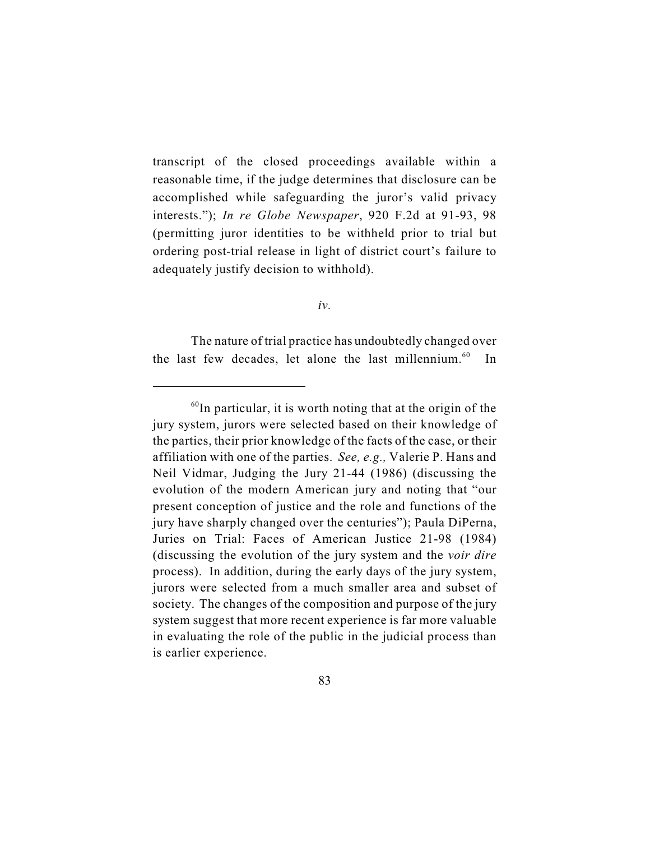transcript of the closed proceedings available within a reasonable time, if the judge determines that disclosure can be accomplished while safeguarding the juror's valid privacy interests."); *In re Globe Newspaper*, 920 F.2d at 91-93, 98 (permitting juror identities to be withheld prior to trial but ordering post-trial release in light of district court's failure to adequately justify decision to withhold).

#### *iv.*

The nature of trial practice has undoubtedly changed over the last few decades, let alone the last millennium. $60$  In

 ${}^{60}$ In particular, it is worth noting that at the origin of the jury system, jurors were selected based on their knowledge of the parties, their prior knowledge of the facts of the case, or their affiliation with one of the parties. *See, e.g.,* Valerie P. Hans and Neil Vidmar, Judging the Jury 21-44 (1986) (discussing the evolution of the modern American jury and noting that "our present conception of justice and the role and functions of the jury have sharply changed over the centuries"); Paula DiPerna, Juries on Trial: Faces of American Justice 21-98 (1984) (discussing the evolution of the jury system and the *voir dire* process). In addition, during the early days of the jury system, jurors were selected from a much smaller area and subset of society. The changes of the composition and purpose of the jury system suggest that more recent experience is far more valuable in evaluating the role of the public in the judicial process than is earlier experience.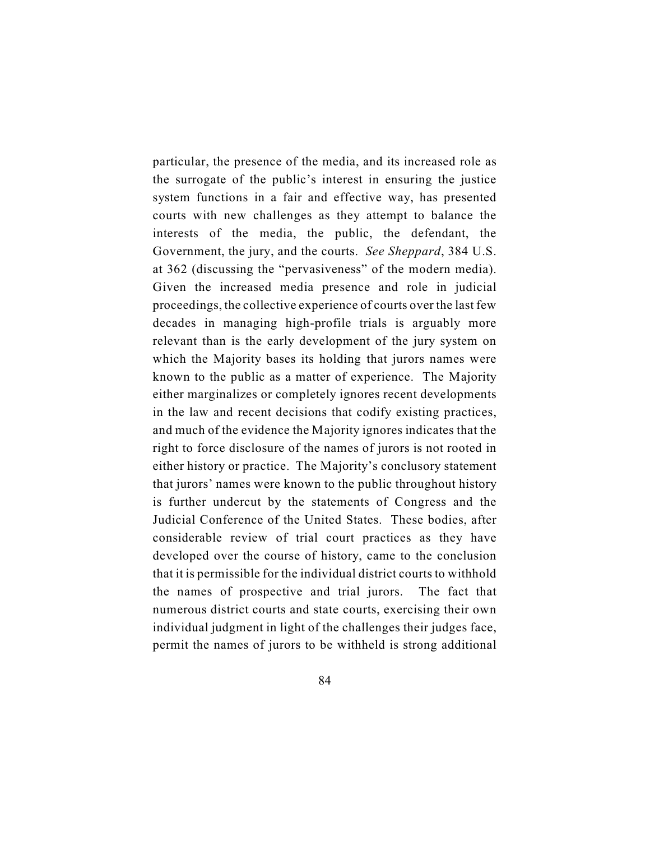particular, the presence of the media, and its increased role as the surrogate of the public's interest in ensuring the justice system functions in a fair and effective way, has presented courts with new challenges as they attempt to balance the interests of the media, the public, the defendant, the Government, the jury, and the courts. *See Sheppard*, 384 U.S. at 362 (discussing the "pervasiveness" of the modern media). Given the increased media presence and role in judicial proceedings, the collective experience of courts over the last few decades in managing high-profile trials is arguably more relevant than is the early development of the jury system on which the Majority bases its holding that jurors names were known to the public as a matter of experience. The Majority either marginalizes or completely ignores recent developments in the law and recent decisions that codify existing practices, and much of the evidence the Majority ignores indicates that the right to force disclosure of the names of jurors is not rooted in either history or practice. The Majority's conclusory statement that jurors' names were known to the public throughout history is further undercut by the statements of Congress and the Judicial Conference of the United States. These bodies, after considerable review of trial court practices as they have developed over the course of history, came to the conclusion that it is permissible for the individual district courts to withhold the names of prospective and trial jurors. The fact that numerous district courts and state courts, exercising their own individual judgment in light of the challenges their judges face, permit the names of jurors to be withheld is strong additional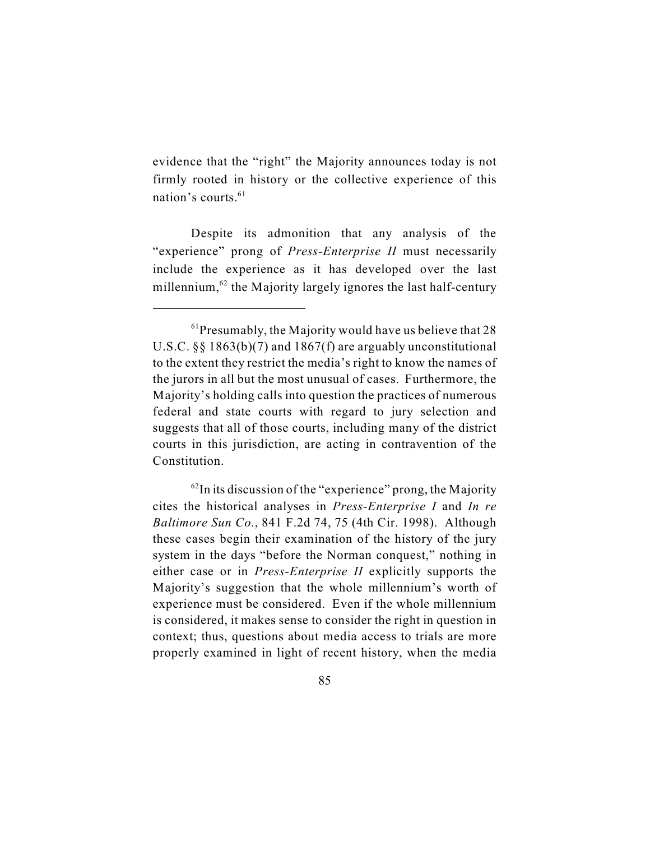evidence that the "right" the Majority announces today is not firmly rooted in history or the collective experience of this nation's courts.<sup>61</sup>

Despite its admonition that any analysis of the "experience" prong of *Press-Enterprise II* must necessarily include the experience as it has developed over the last millennium,  $62$  the Majority largely ignores the last half-century

 $^{62}$ In its discussion of the "experience" prong, the Majority cites the historical analyses in *Press-Enterprise I* and *In re Baltimore Sun Co.*, 841 F.2d 74, 75 (4th Cir. 1998). Although these cases begin their examination of the history of the jury system in the days "before the Norman conquest," nothing in either case or in *Press-Enterprise II* explicitly supports the Majority's suggestion that the whole millennium's worth of experience must be considered. Even if the whole millennium is considered, it makes sense to consider the right in question in context; thus, questions about media access to trials are more properly examined in light of recent history, when the media

 $^{61}$ Presumably, the Majority would have us believe that 28 U.S.C. §§ 1863(b)(7) and 1867(f) are arguably unconstitutional to the extent they restrict the media's right to know the names of the jurors in all but the most unusual of cases. Furthermore, the Majority's holding calls into question the practices of numerous federal and state courts with regard to jury selection and suggests that all of those courts, including many of the district courts in this jurisdiction, are acting in contravention of the Constitution.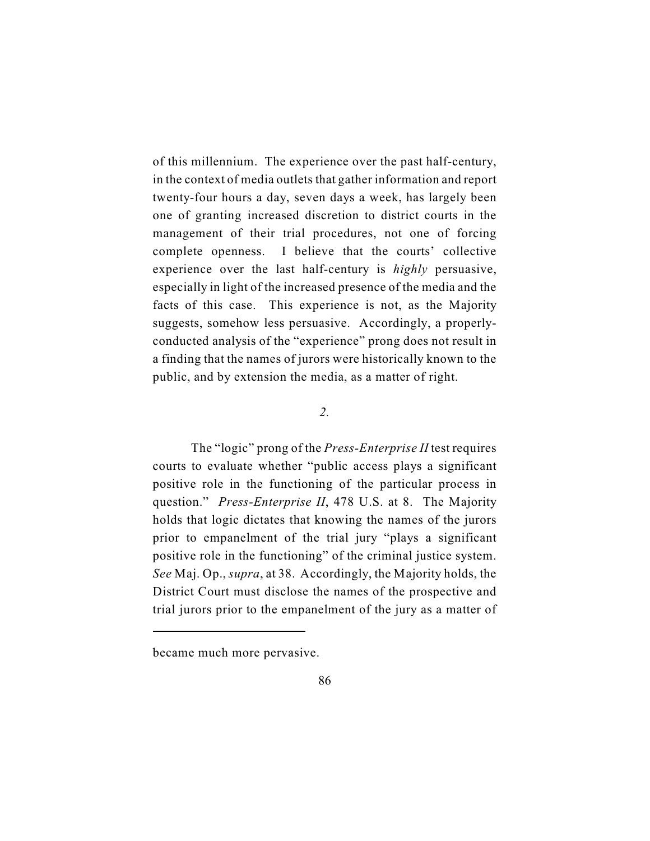of this millennium. The experience over the past half-century, in the context of media outlets that gather information and report twenty-four hours a day, seven days a week, has largely been one of granting increased discretion to district courts in the management of their trial procedures, not one of forcing complete openness. I believe that the courts' collective experience over the last half-century is *highly* persuasive, especially in light of the increased presence of the media and the facts of this case. This experience is not, as the Majority suggests, somehow less persuasive. Accordingly, a properlyconducted analysis of the "experience" prong does not result in a finding that the names of jurors were historically known to the public, and by extension the media, as a matter of right.

### *2.*

The "logic" prong of the *Press-Enterprise II* test requires courts to evaluate whether "public access plays a significant positive role in the functioning of the particular process in question." *Press-Enterprise II*, 478 U.S. at 8. The Majority holds that logic dictates that knowing the names of the jurors prior to empanelment of the trial jury "plays a significant positive role in the functioning" of the criminal justice system. *See* Maj. Op., *supra*, at 38. Accordingly, the Majority holds, the District Court must disclose the names of the prospective and trial jurors prior to the empanelment of the jury as a matter of

became much more pervasive.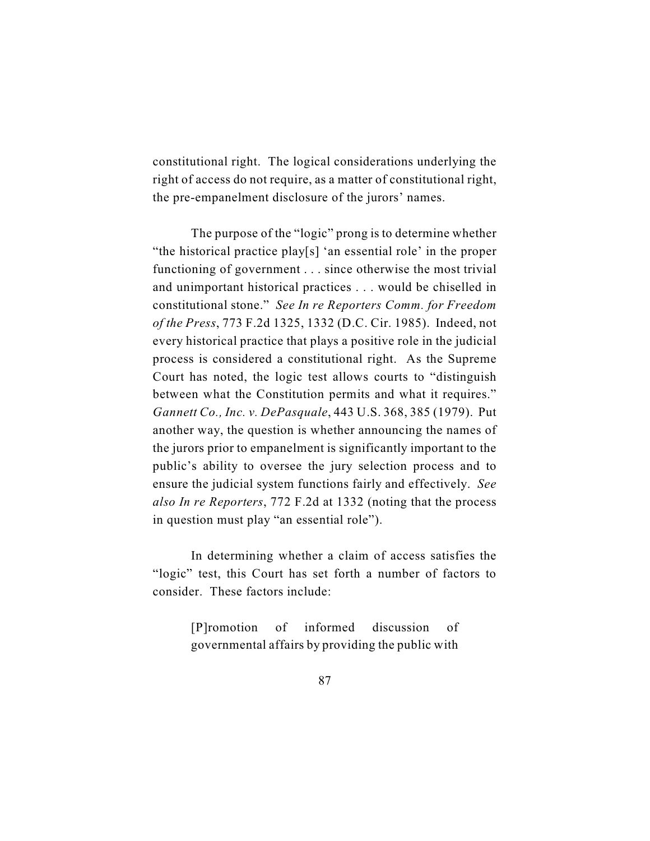constitutional right. The logical considerations underlying the right of access do not require, as a matter of constitutional right, the pre-empanelment disclosure of the jurors' names.

The purpose of the "logic" prong is to determine whether "the historical practice play[s] 'an essential role' in the proper functioning of government . . . since otherwise the most trivial and unimportant historical practices . . . would be chiselled in constitutional stone." *See In re Reporters Comm. for Freedom of the Press*, 773 F.2d 1325, 1332 (D.C. Cir. 1985). Indeed, not every historical practice that plays a positive role in the judicial process is considered a constitutional right. As the Supreme Court has noted, the logic test allows courts to "distinguish between what the Constitution permits and what it requires." *Gannett Co., Inc. v. DePasquale*, 443 U.S. 368, 385 (1979). Put another way, the question is whether announcing the names of the jurors prior to empanelment is significantly important to the public's ability to oversee the jury selection process and to ensure the judicial system functions fairly and effectively. *See also In re Reporters*, 772 F.2d at 1332 (noting that the process in question must play "an essential role").

In determining whether a claim of access satisfies the "logic" test, this Court has set forth a number of factors to consider. These factors include:

> [P]romotion of informed discussion of governmental affairs by providing the public with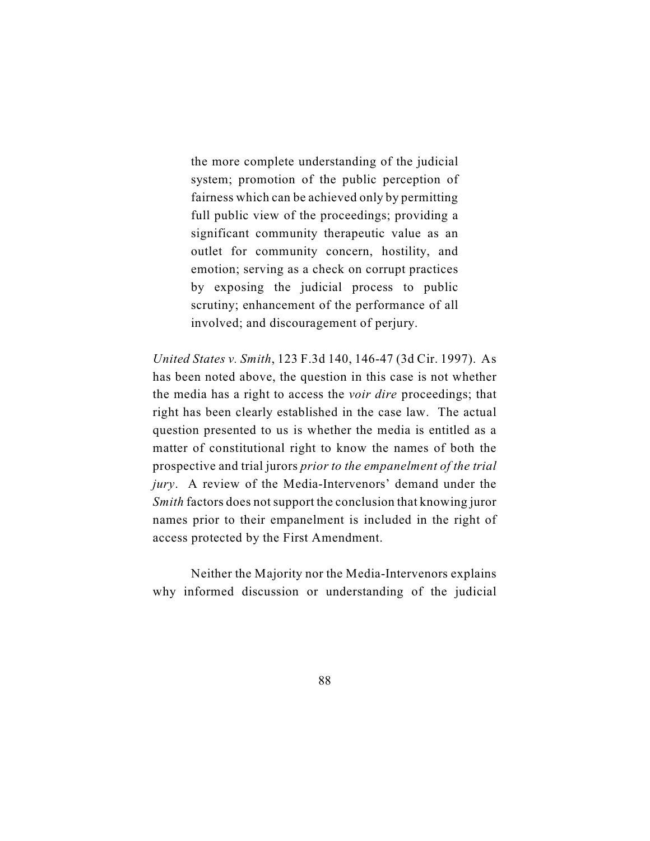the more complete understanding of the judicial system; promotion of the public perception of fairness which can be achieved only by permitting full public view of the proceedings; providing a significant community therapeutic value as an outlet for community concern, hostility, and emotion; serving as a check on corrupt practices by exposing the judicial process to public scrutiny; enhancement of the performance of all involved; and discouragement of perjury.

*United States v. Smith*, 123 F.3d 140, 146-47 (3d Cir. 1997). As has been noted above, the question in this case is not whether the media has a right to access the *voir dire* proceedings; that right has been clearly established in the case law. The actual question presented to us is whether the media is entitled as a matter of constitutional right to know the names of both the prospective and trial jurors *prior to the empanelment of the trial jury*. A review of the Media-Intervenors' demand under the *Smith* factors does not support the conclusion that knowing juror names prior to their empanelment is included in the right of access protected by the First Amendment.

Neither the Majority nor the Media-Intervenors explains why informed discussion or understanding of the judicial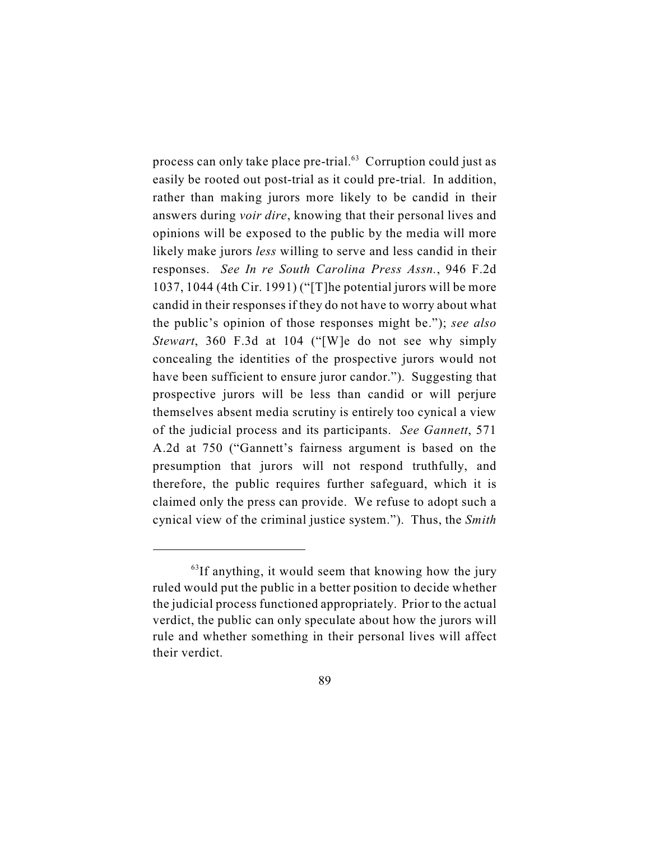process can only take place pre-trial.<sup>63</sup> Corruption could just as easily be rooted out post-trial as it could pre-trial. In addition, rather than making jurors more likely to be candid in their answers during *voir dire*, knowing that their personal lives and opinions will be exposed to the public by the media will more likely make jurors *less* willing to serve and less candid in their responses. *See In re South Carolina Press Assn.*, 946 F.2d 1037, 1044 (4th Cir. 1991) ("[T]he potential jurors will be more candid in their responses if they do not have to worry about what the public's opinion of those responses might be."); *see also Stewart*, 360 F.3d at 104 ("[W]e do not see why simply concealing the identities of the prospective jurors would not have been sufficient to ensure juror candor."). Suggesting that prospective jurors will be less than candid or will perjure themselves absent media scrutiny is entirely too cynical a view of the judicial process and its participants. *See Gannett*, 571 A.2d at 750 ("Gannett's fairness argument is based on the presumption that jurors will not respond truthfully, and therefore, the public requires further safeguard, which it is claimed only the press can provide. We refuse to adopt such a cynical view of the criminal justice system."). Thus, the *Smith*

 $^{63}$ If anything, it would seem that knowing how the jury ruled would put the public in a better position to decide whether the judicial process functioned appropriately. Prior to the actual verdict, the public can only speculate about how the jurors will rule and whether something in their personal lives will affect their verdict.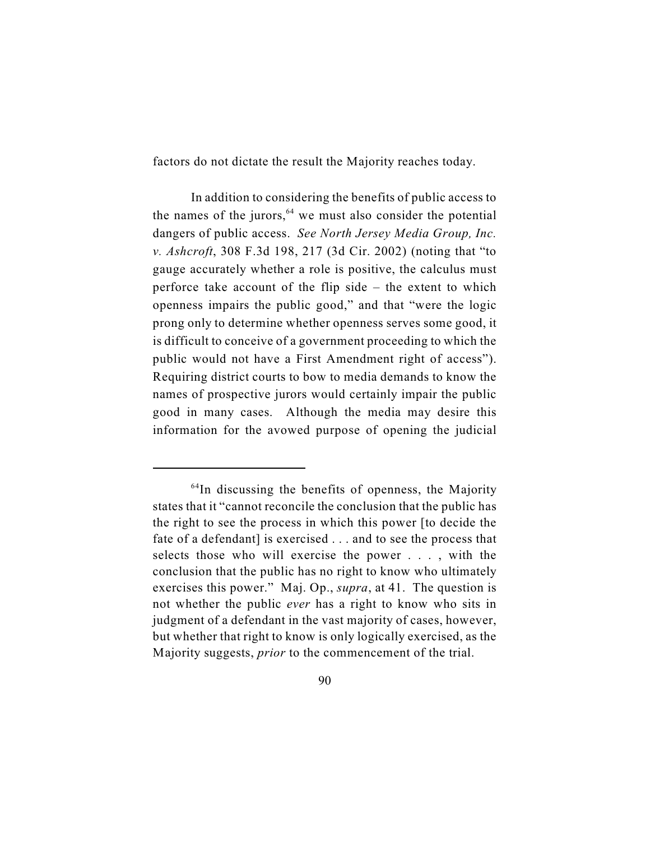factors do not dictate the result the Majority reaches today.

In addition to considering the benefits of public access to the names of the jurors,  $64$  we must also consider the potential dangers of public access. *See North Jersey Media Group, Inc. v. Ashcroft*, 308 F.3d 198, 217 (3d Cir. 2002) (noting that "to gauge accurately whether a role is positive, the calculus must perforce take account of the flip side – the extent to which openness impairs the public good," and that "were the logic prong only to determine whether openness serves some good, it is difficult to conceive of a government proceeding to which the public would not have a First Amendment right of access"). Requiring district courts to bow to media demands to know the names of prospective jurors would certainly impair the public good in many cases. Although the media may desire this information for the avowed purpose of opening the judicial

 $<sup>64</sup>$ In discussing the benefits of openness, the Majority</sup> states that it "cannot reconcile the conclusion that the public has the right to see the process in which this power [to decide the fate of a defendant] is exercised . . . and to see the process that selects those who will exercise the power . . . , with the conclusion that the public has no right to know who ultimately exercises this power." Maj. Op., *supra*, at 41. The question is not whether the public *ever* has a right to know who sits in judgment of a defendant in the vast majority of cases, however, but whether that right to know is only logically exercised, as the Majority suggests, *prior* to the commencement of the trial.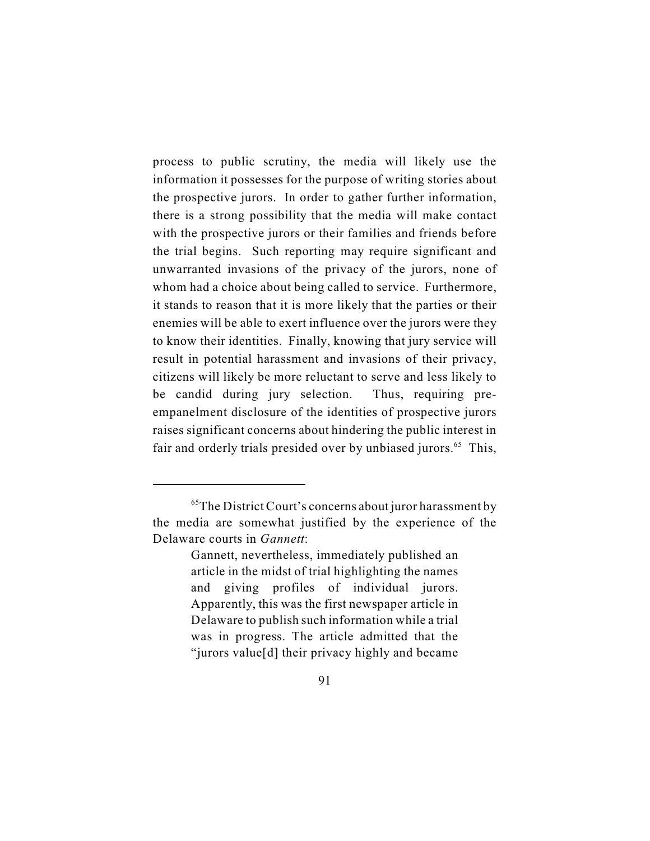process to public scrutiny, the media will likely use the information it possesses for the purpose of writing stories about the prospective jurors. In order to gather further information, there is a strong possibility that the media will make contact with the prospective jurors or their families and friends before the trial begins. Such reporting may require significant and unwarranted invasions of the privacy of the jurors, none of whom had a choice about being called to service. Furthermore, it stands to reason that it is more likely that the parties or their enemies will be able to exert influence over the jurors were they to know their identities. Finally, knowing that jury service will result in potential harassment and invasions of their privacy, citizens will likely be more reluctant to serve and less likely to be candid during jury selection. Thus, requiring preempanelment disclosure of the identities of prospective jurors raises significant concerns about hindering the public interest in fair and orderly trials presided over by unbiased jurors.<sup>65</sup> This,

 $<sup>65</sup>$ The District Court's concerns about juror harassment by</sup> the media are somewhat justified by the experience of the Delaware courts in *Gannett*:

Gannett, nevertheless, immediately published an article in the midst of trial highlighting the names and giving profiles of individual jurors. Apparently, this was the first newspaper article in Delaware to publish such information while a trial was in progress. The article admitted that the "jurors value[d] their privacy highly and became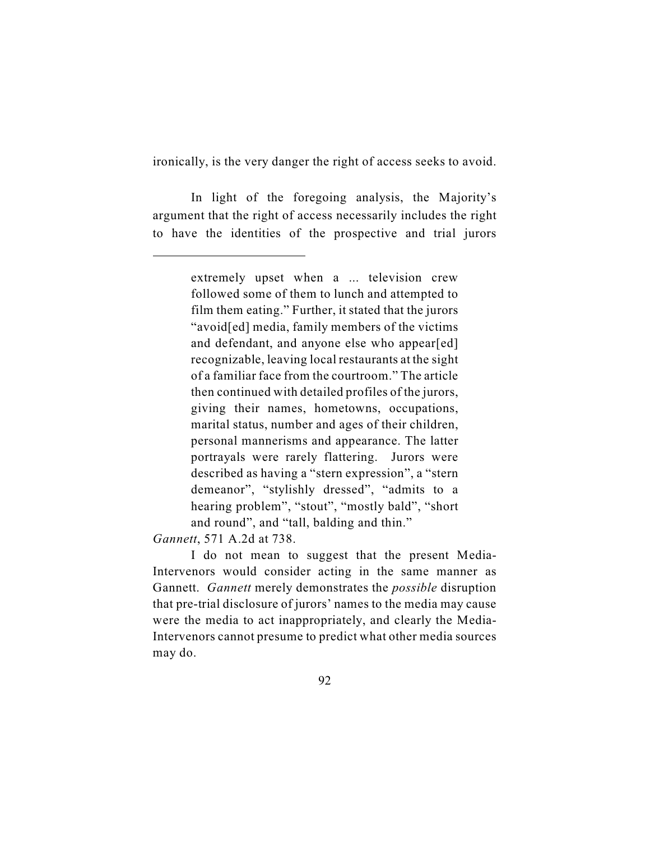ironically, is the very danger the right of access seeks to avoid.

In light of the foregoing analysis, the Majority's argument that the right of access necessarily includes the right to have the identities of the prospective and trial jurors

*Gannett*, 571 A.2d at 738.

I do not mean to suggest that the present Media-Intervenors would consider acting in the same manner as Gannett. *Gannett* merely demonstrates the *possible* disruption that pre-trial disclosure of jurors' names to the media may cause were the media to act inappropriately, and clearly the Media-Intervenors cannot presume to predict what other media sources may do.

extremely upset when a ... television crew followed some of them to lunch and attempted to film them eating." Further, it stated that the jurors "avoid[ed] media, family members of the victims and defendant, and anyone else who appear[ed] recognizable, leaving local restaurants at the sight of a familiar face from the courtroom." The article then continued with detailed profiles of the jurors, giving their names, hometowns, occupations, marital status, number and ages of their children, personal mannerisms and appearance. The latter portrayals were rarely flattering. Jurors were described as having a "stern expression", a "stern demeanor", "stylishly dressed", "admits to a hearing problem", "stout", "mostly bald", "short" and round", and "tall, balding and thin."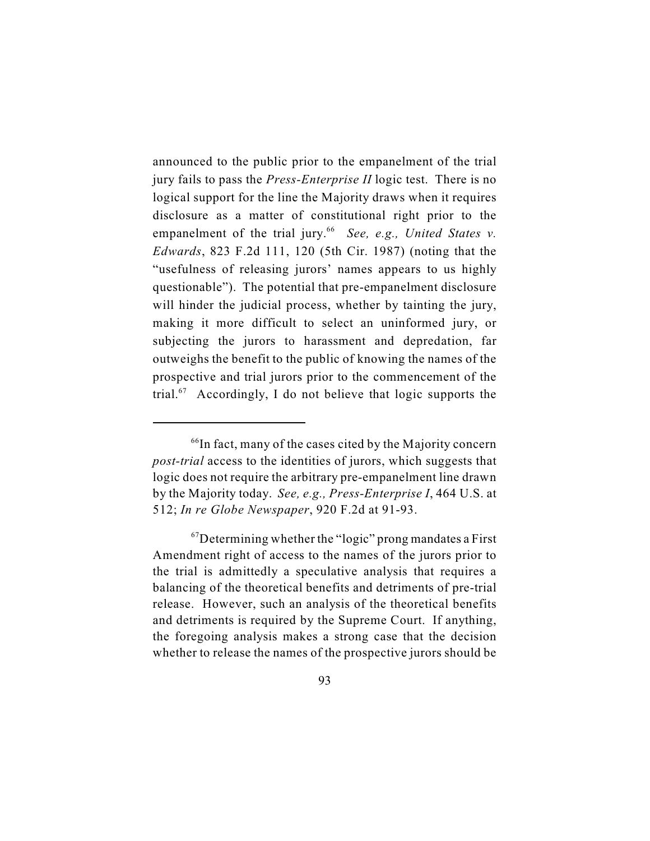announced to the public prior to the empanelment of the trial jury fails to pass the *Press-Enterprise II* logic test. There is no logical support for the line the Majority draws when it requires disclosure as a matter of constitutional right prior to the empanelment of the trial jury.<sup>66</sup> See, e.g., United States v. *Edwards*, 823 F.2d 111, 120 (5th Cir. 1987) (noting that the "usefulness of releasing jurors' names appears to us highly questionable"). The potential that pre-empanelment disclosure will hinder the judicial process, whether by tainting the jury, making it more difficult to select an uninformed jury, or subjecting the jurors to harassment and depredation, far outweighs the benefit to the public of knowing the names of the prospective and trial jurors prior to the commencement of the trial. $67$  Accordingly, I do not believe that logic supports the

 $66$ In fact, many of the cases cited by the Majority concern *post-trial* access to the identities of jurors, which suggests that logic does not require the arbitrary pre-empanelment line drawn by the Majority today. *See, e.g., Press-Enterprise I*, 464 U.S. at 512; *In re Globe Newspaper*, 920 F.2d at 91-93.

 $\rm^{67}$ Determining whether the "logic" prong mandates a First Amendment right of access to the names of the jurors prior to the trial is admittedly a speculative analysis that requires a balancing of the theoretical benefits and detriments of pre-trial release. However, such an analysis of the theoretical benefits and detriments is required by the Supreme Court. If anything, the foregoing analysis makes a strong case that the decision whether to release the names of the prospective jurors should be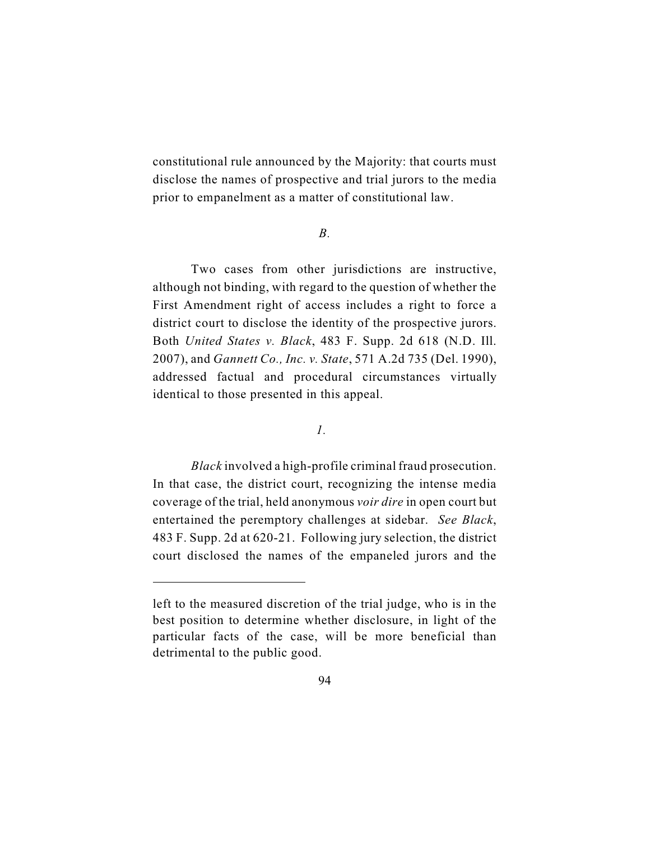constitutional rule announced by the Majority: that courts must disclose the names of prospective and trial jurors to the media prior to empanelment as a matter of constitutional law.

### *B.*

Two cases from other jurisdictions are instructive, although not binding, with regard to the question of whether the First Amendment right of access includes a right to force a district court to disclose the identity of the prospective jurors. Both *United States v. Black*, 483 F. Supp. 2d 618 (N.D. Ill. 2007), and *Gannett Co., Inc. v. State*, 571 A.2d 735 (Del. 1990), addressed factual and procedural circumstances virtually identical to those presented in this appeal.

# *1.*

*Black* involved a high-profile criminal fraud prosecution. In that case, the district court, recognizing the intense media coverage of the trial, held anonymous *voir dire* in open court but entertained the peremptory challenges at sidebar. *See Black*, 483 F. Supp. 2d at 620-21. Following jury selection, the district court disclosed the names of the empaneled jurors and the

left to the measured discretion of the trial judge, who is in the best position to determine whether disclosure, in light of the particular facts of the case, will be more beneficial than detrimental to the public good.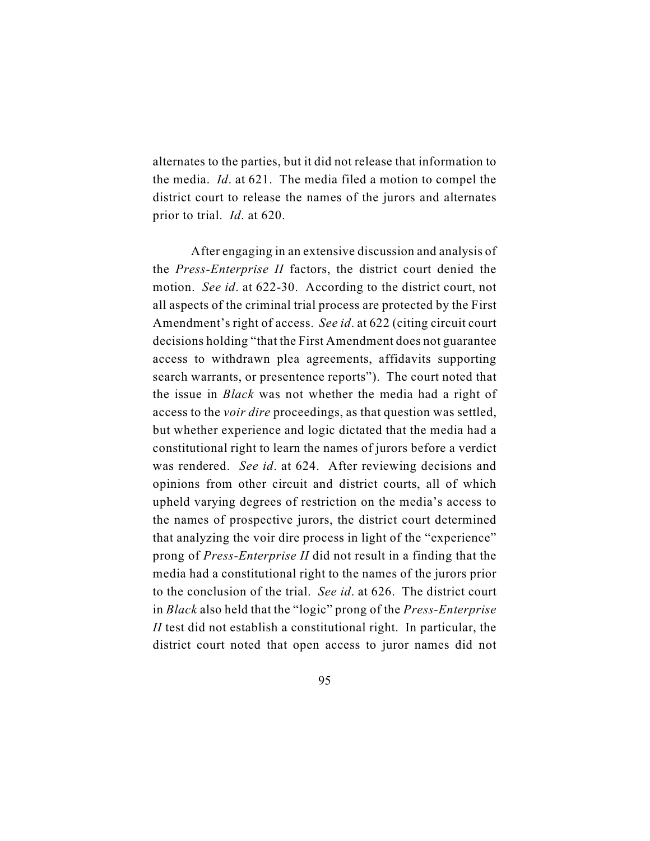alternates to the parties, but it did not release that information to the media. *Id*. at 621. The media filed a motion to compel the district court to release the names of the jurors and alternates prior to trial. *Id*. at 620.

After engaging in an extensive discussion and analysis of the *Press-Enterprise II* factors, the district court denied the motion. *See id*. at 622-30. According to the district court, not all aspects of the criminal trial process are protected by the First Amendment's right of access. *See id*. at 622 (citing circuit court decisions holding "that the First Amendment does not guarantee access to withdrawn plea agreements, affidavits supporting search warrants, or presentence reports"). The court noted that the issue in *Black* was not whether the media had a right of access to the *voir dire* proceedings, as that question was settled, but whether experience and logic dictated that the media had a constitutional right to learn the names of jurors before a verdict was rendered. *See id*. at 624. After reviewing decisions and opinions from other circuit and district courts, all of which upheld varying degrees of restriction on the media's access to the names of prospective jurors, the district court determined that analyzing the voir dire process in light of the "experience" prong of *Press-Enterprise II* did not result in a finding that the media had a constitutional right to the names of the jurors prior to the conclusion of the trial. *See id*. at 626. The district court in *Black* also held that the "logic" prong of the *Press-Enterprise II* test did not establish a constitutional right. In particular, the district court noted that open access to juror names did not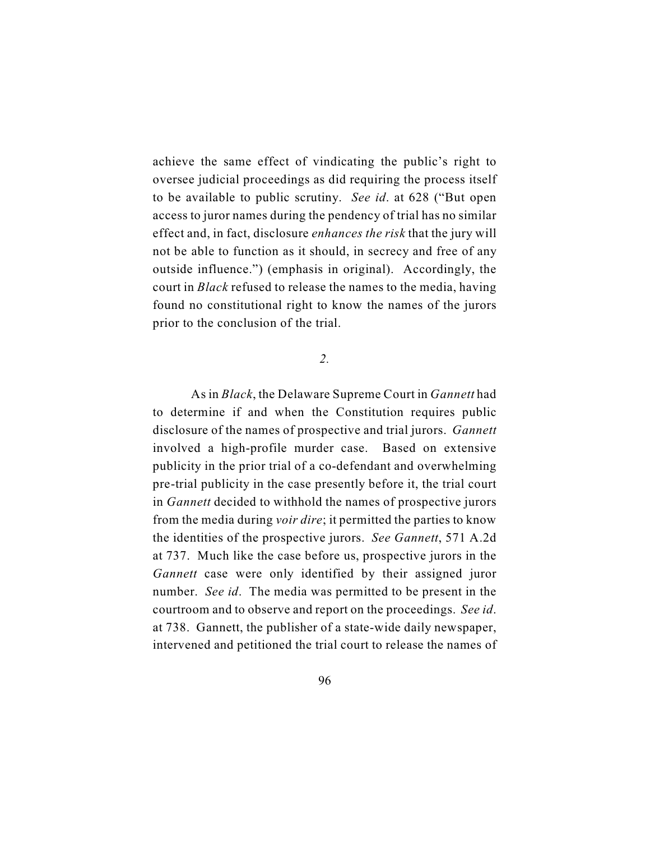achieve the same effect of vindicating the public's right to oversee judicial proceedings as did requiring the process itself to be available to public scrutiny. *See id*. at 628 ("But open access to juror names during the pendency of trial has no similar effect and, in fact, disclosure *enhances the risk* that the jury will not be able to function as it should, in secrecy and free of any outside influence.") (emphasis in original). Accordingly, the court in *Black* refused to release the names to the media, having found no constitutional right to know the names of the jurors prior to the conclusion of the trial.

## *2.*

As in *Black*, the Delaware Supreme Court in *Gannett* had to determine if and when the Constitution requires public disclosure of the names of prospective and trial jurors. *Gannett* involved a high-profile murder case. Based on extensive publicity in the prior trial of a co-defendant and overwhelming pre-trial publicity in the case presently before it, the trial court in *Gannett* decided to withhold the names of prospective jurors from the media during *voir dire*; it permitted the parties to know the identities of the prospective jurors. *See Gannett*, 571 A.2d at 737. Much like the case before us, prospective jurors in the *Gannett* case were only identified by their assigned juror number. *See id*. The media was permitted to be present in the courtroom and to observe and report on the proceedings. *See id*. at 738. Gannett, the publisher of a state-wide daily newspaper, intervened and petitioned the trial court to release the names of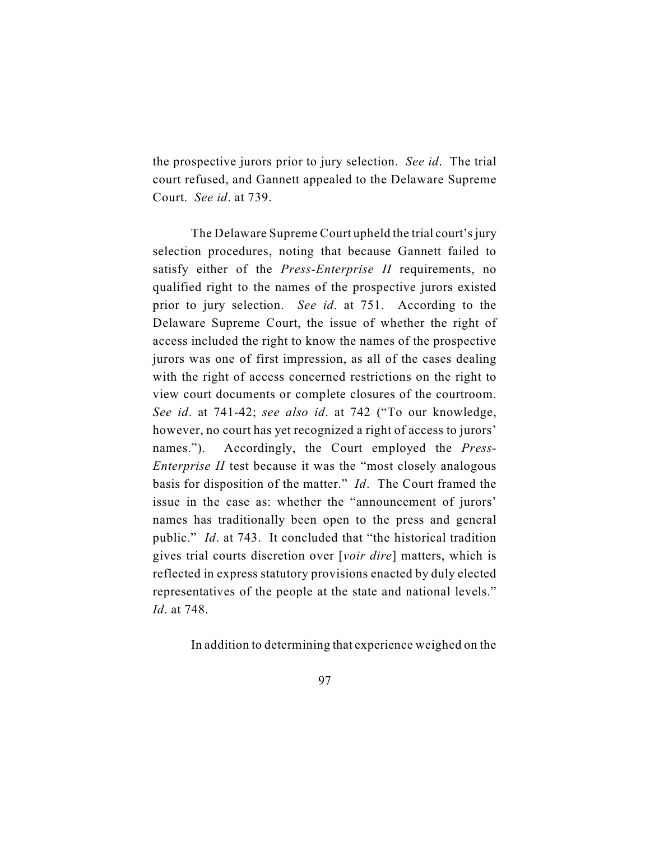the prospective jurors prior to jury selection. *See id*. The trial court refused, and Gannett appealed to the Delaware Supreme Court. *See id*. at 739.

The Delaware Supreme Court upheld the trial court's jury selection procedures, noting that because Gannett failed to satisfy either of the *Press-Enterprise II* requirements, no qualified right to the names of the prospective jurors existed prior to jury selection. *See id*. at 751. According to the Delaware Supreme Court, the issue of whether the right of access included the right to know the names of the prospective jurors was one of first impression, as all of the cases dealing with the right of access concerned restrictions on the right to view court documents or complete closures of the courtroom. *See id*. at 741-42; *see also id*. at 742 ("To our knowledge, however, no court has yet recognized a right of access to jurors' names."). Accordingly, the Court employed the *Press-Enterprise II* test because it was the "most closely analogous basis for disposition of the matter." *Id*. The Court framed the issue in the case as: whether the "announcement of jurors' names has traditionally been open to the press and general public." *Id*. at 743. It concluded that "the historical tradition gives trial courts discretion over [*voir dire*] matters, which is reflected in express statutory provisions enacted by duly elected representatives of the people at the state and national levels." *Id*. at 748.

In addition to determining that experience weighed on the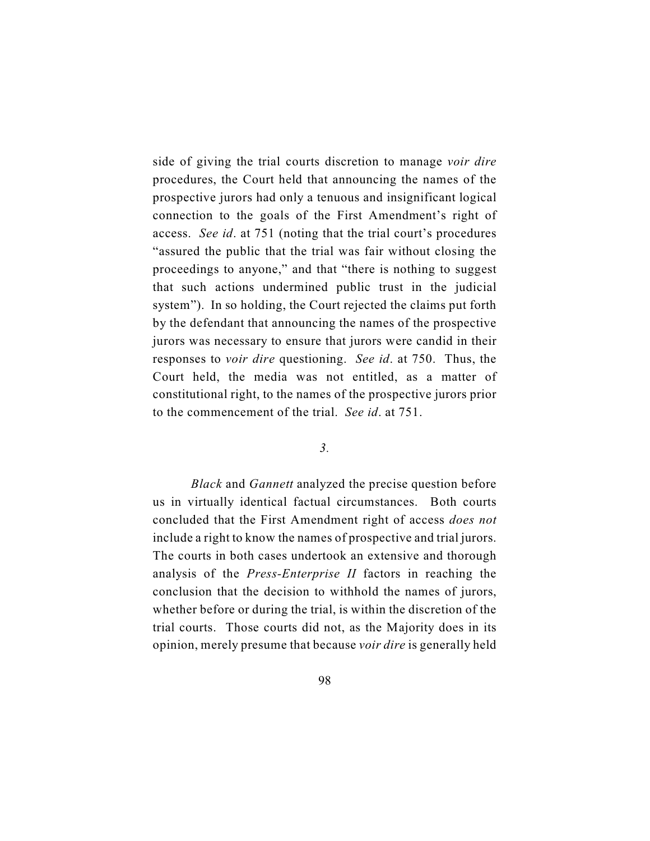side of giving the trial courts discretion to manage *voir dire* procedures, the Court held that announcing the names of the prospective jurors had only a tenuous and insignificant logical connection to the goals of the First Amendment's right of access. *See id*. at 751 (noting that the trial court's procedures "assured the public that the trial was fair without closing the proceedings to anyone," and that "there is nothing to suggest that such actions undermined public trust in the judicial system"). In so holding, the Court rejected the claims put forth by the defendant that announcing the names of the prospective jurors was necessary to ensure that jurors were candid in their responses to *voir dire* questioning. *See id*. at 750. Thus, the Court held, the media was not entitled, as a matter of constitutional right, to the names of the prospective jurors prior to the commencement of the trial. *See id*. at 751.

### *3.*

*Black* and *Gannett* analyzed the precise question before us in virtually identical factual circumstances. Both courts concluded that the First Amendment right of access *does not* include a right to know the names of prospective and trial jurors. The courts in both cases undertook an extensive and thorough analysis of the *Press-Enterprise II* factors in reaching the conclusion that the decision to withhold the names of jurors, whether before or during the trial, is within the discretion of the trial courts. Those courts did not, as the Majority does in its opinion, merely presume that because *voir dire* is generally held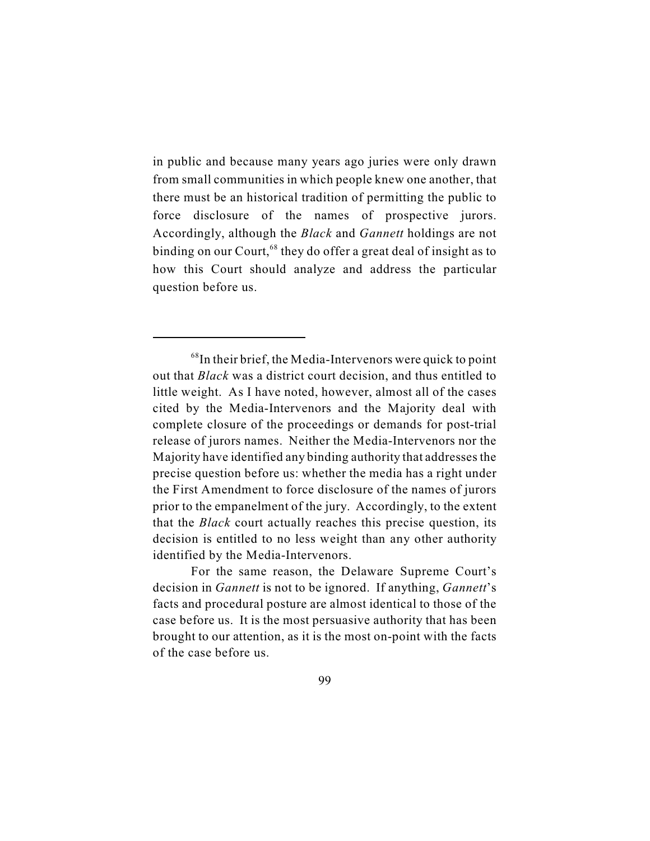in public and because many years ago juries were only drawn from small communities in which people knew one another, that there must be an historical tradition of permitting the public to force disclosure of the names of prospective jurors. Accordingly, although the *Black* and *Gannett* holdings are not binding on our Court,  $68$  they do offer a great deal of insight as to how this Court should analyze and address the particular question before us.

 $68$ In their brief, the Media-Intervenors were quick to point out that *Black* was a district court decision, and thus entitled to little weight. As I have noted, however, almost all of the cases cited by the Media-Intervenors and the Majority deal with complete closure of the proceedings or demands for post-trial release of jurors names. Neither the Media-Intervenors nor the Majority have identified any binding authority that addresses the precise question before us: whether the media has a right under the First Amendment to force disclosure of the names of jurors prior to the empanelment of the jury. Accordingly, to the extent that the *Black* court actually reaches this precise question, its decision is entitled to no less weight than any other authority identified by the Media-Intervenors.

For the same reason, the Delaware Supreme Court's decision in *Gannett* is not to be ignored. If anything, *Gannett*'s facts and procedural posture are almost identical to those of the case before us. It is the most persuasive authority that has been brought to our attention, as it is the most on-point with the facts of the case before us.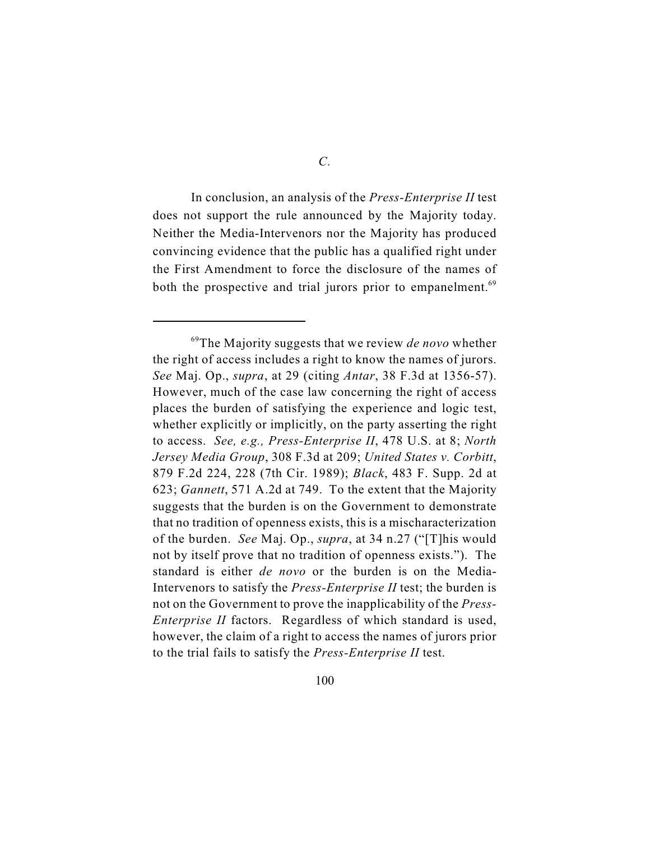In conclusion, an analysis of the *Press-Enterprise II* test does not support the rule announced by the Majority today. Neither the Media-Intervenors nor the Majority has produced convincing evidence that the public has a qualified right under the First Amendment to force the disclosure of the names of both the prospective and trial jurors prior to empanelment.<sup>69</sup>

<sup>&</sup>lt;sup>69</sup>The Majority suggests that we review *de novo* whether the right of access includes a right to know the names of jurors. *See* Maj. Op., *supra*, at 29 (citing *Antar*, 38 F.3d at 1356-57). However, much of the case law concerning the right of access places the burden of satisfying the experience and logic test, whether explicitly or implicitly, on the party asserting the right to access. *See, e.g., Press-Enterprise II*, 478 U.S. at 8; *North Jersey Media Group*, 308 F.3d at 209; *United States v. Corbitt*, 879 F.2d 224, 228 (7th Cir. 1989); *Black*, 483 F. Supp. 2d at 623; *Gannett*, 571 A.2d at 749. To the extent that the Majority suggests that the burden is on the Government to demonstrate that no tradition of openness exists, this is a mischaracterization of the burden. *See* Maj. Op., *supra*, at 34 n.27 ("[T]his would not by itself prove that no tradition of openness exists."). The standard is either *de novo* or the burden is on the Media-Intervenors to satisfy the *Press-Enterprise II* test; the burden is not on the Government to prove the inapplicability of the *Press-Enterprise II* factors. Regardless of which standard is used, however, the claim of a right to access the names of jurors prior to the trial fails to satisfy the *Press-Enterprise II* test.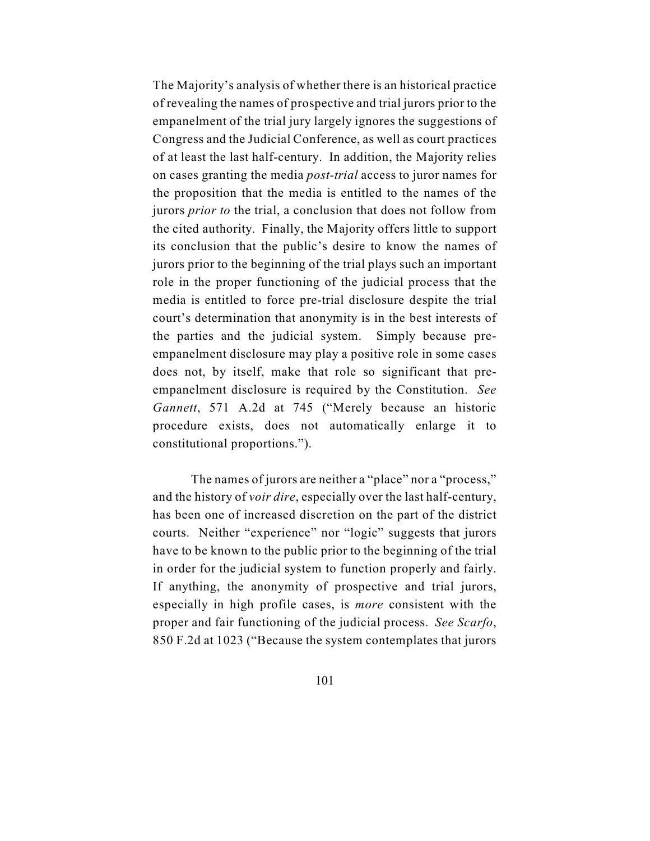The Majority's analysis of whether there is an historical practice of revealing the names of prospective and trial jurors prior to the empanelment of the trial jury largely ignores the suggestions of Congress and the Judicial Conference, as well as court practices of at least the last half-century. In addition, the Majority relies on cases granting the media *post-trial* access to juror names for the proposition that the media is entitled to the names of the jurors *prior to* the trial, a conclusion that does not follow from the cited authority. Finally, the Majority offers little to support its conclusion that the public's desire to know the names of jurors prior to the beginning of the trial plays such an important role in the proper functioning of the judicial process that the media is entitled to force pre-trial disclosure despite the trial court's determination that anonymity is in the best interests of the parties and the judicial system. Simply because preempanelment disclosure may play a positive role in some cases does not, by itself, make that role so significant that preempanelment disclosure is required by the Constitution. *See Gannett*, 571 A.2d at 745 ("Merely because an historic procedure exists, does not automatically enlarge it to constitutional proportions.").

The names of jurors are neither a "place" nor a "process," and the history of *voir dire*, especially over the last half-century, has been one of increased discretion on the part of the district courts. Neither "experience" nor "logic" suggests that jurors have to be known to the public prior to the beginning of the trial in order for the judicial system to function properly and fairly. If anything, the anonymity of prospective and trial jurors, especially in high profile cases, is *more* consistent with the proper and fair functioning of the judicial process. *See Scarfo*, 850 F.2d at 1023 ("Because the system contemplates that jurors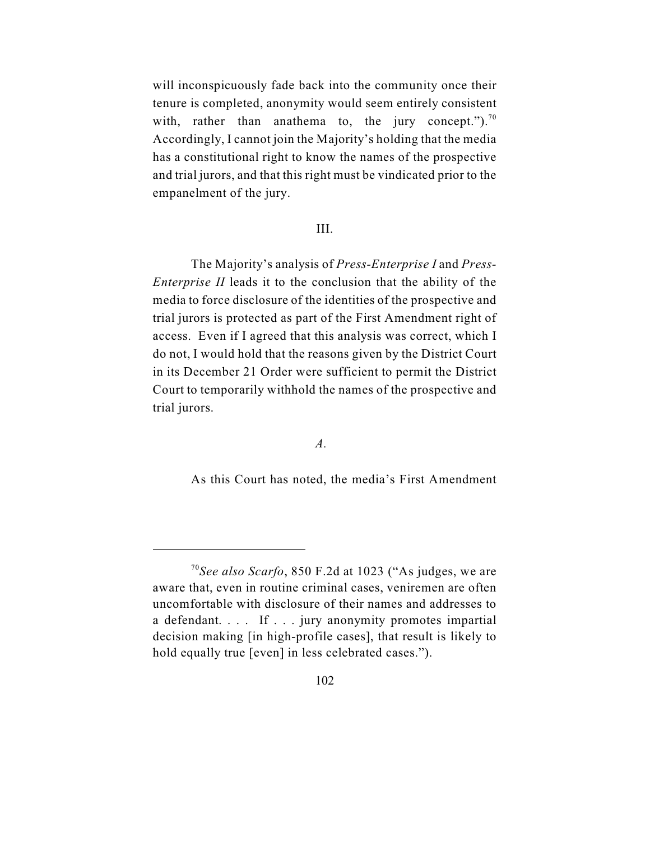will inconspicuously fade back into the community once their tenure is completed, anonymity would seem entirely consistent with, rather than anathema to, the jury concept.").<sup>70</sup> Accordingly, I cannot join the Majority's holding that the media has a constitutional right to know the names of the prospective and trial jurors, and that this right must be vindicated prior to the empanelment of the jury.

# III.

The Majority's analysis of *Press-Enterprise I* and *Press-Enterprise II* leads it to the conclusion that the ability of the media to force disclosure of the identities of the prospective and trial jurors is protected as part of the First Amendment right of access. Even if I agreed that this analysis was correct, which I do not, I would hold that the reasons given by the District Court in its December 21 Order were sufficient to permit the District Court to temporarily withhold the names of the prospective and trial jurors.

# *A.*

As this Court has noted, the media's First Amendment

<sup>&</sup>lt;sup>70</sup>See also Scarfo, 850 F.2d at 1023 ("As judges, we are aware that, even in routine criminal cases, veniremen are often uncomfortable with disclosure of their names and addresses to a defendant.... If ... jury anonymity promotes impartial decision making [in high-profile cases], that result is likely to hold equally true [even] in less celebrated cases.").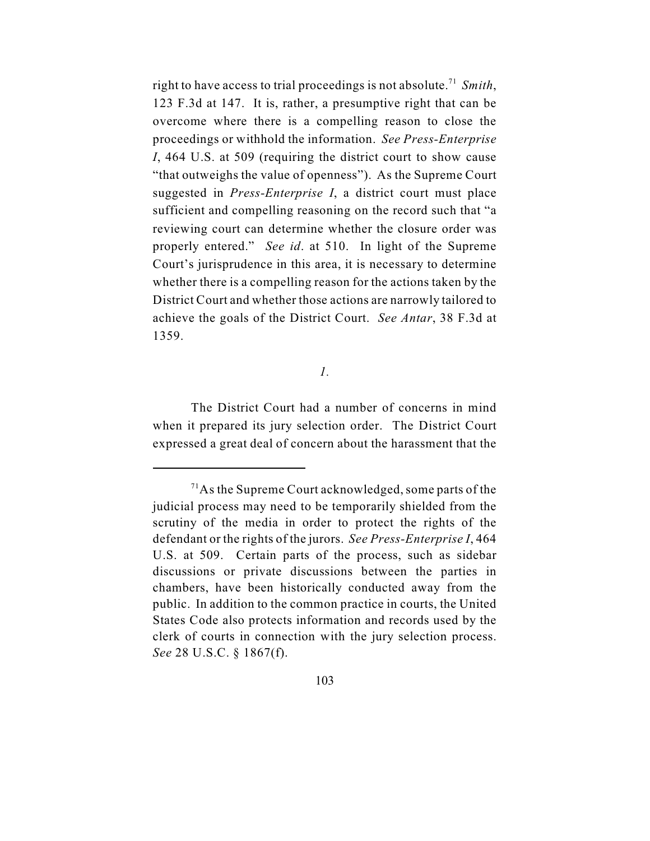right to have access to trial proceedings is not absolute.<sup>71</sup> Smith, 123 F.3d at 147. It is, rather, a presumptive right that can be overcome where there is a compelling reason to close the proceedings or withhold the information. *See Press-Enterprise I*, 464 U.S. at 509 (requiring the district court to show cause "that outweighs the value of openness"). As the Supreme Court suggested in *Press-Enterprise I*, a district court must place sufficient and compelling reasoning on the record such that "a reviewing court can determine whether the closure order was properly entered." *See id*. at 510. In light of the Supreme Court's jurisprudence in this area, it is necessary to determine whether there is a compelling reason for the actions taken by the District Court and whether those actions are narrowly tailored to achieve the goals of the District Court. *See Antar*, 38 F.3d at 1359.

*1.*

The District Court had a number of concerns in mind when it prepared its jury selection order. The District Court expressed a great deal of concern about the harassment that the

 $71$ As the Supreme Court acknowledged, some parts of the judicial process may need to be temporarily shielded from the scrutiny of the media in order to protect the rights of the defendant or the rights of the jurors. *See Press-Enterprise I*, 464 U.S. at 509. Certain parts of the process, such as sidebar discussions or private discussions between the parties in chambers, have been historically conducted away from the public. In addition to the common practice in courts, the United States Code also protects information and records used by the clerk of courts in connection with the jury selection process. *See* 28 U.S.C. § 1867(f).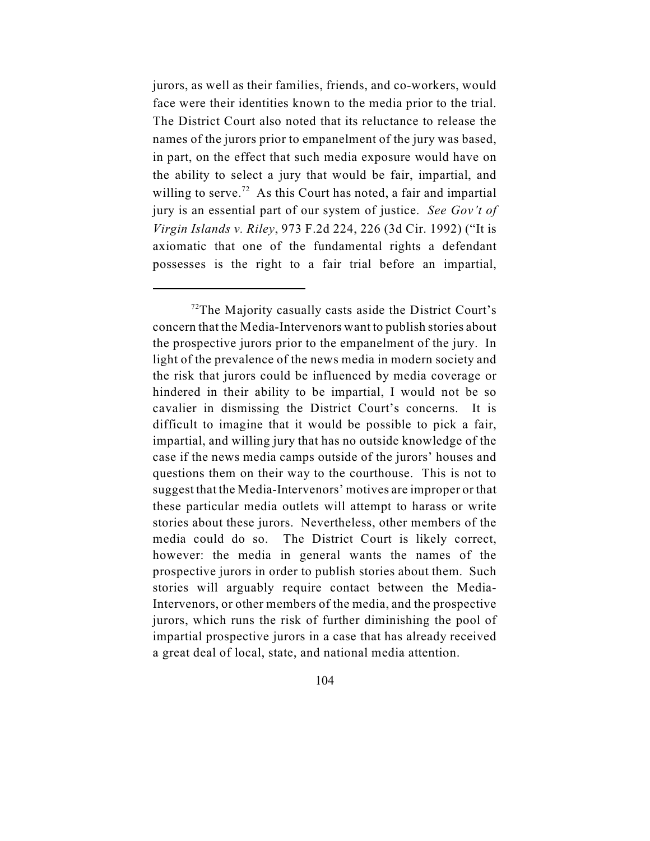jurors, as well as their families, friends, and co-workers, would face were their identities known to the media prior to the trial. The District Court also noted that its reluctance to release the names of the jurors prior to empanelment of the jury was based, in part, on the effect that such media exposure would have on the ability to select a jury that would be fair, impartial, and willing to serve.<sup>72</sup> As this Court has noted, a fair and impartial jury is an essential part of our system of justice. *See Gov't of Virgin Islands v. Riley*, 973 F.2d 224, 226 (3d Cir. 1992) ("It is axiomatic that one of the fundamental rights a defendant possesses is the right to a fair trial before an impartial,

 $12$ <sup>72</sup>The Majority casually casts aside the District Court's concern that the Media-Intervenors want to publish stories about the prospective jurors prior to the empanelment of the jury. In light of the prevalence of the news media in modern society and the risk that jurors could be influenced by media coverage or hindered in their ability to be impartial, I would not be so cavalier in dismissing the District Court's concerns. It is difficult to imagine that it would be possible to pick a fair, impartial, and willing jury that has no outside knowledge of the case if the news media camps outside of the jurors' houses and questions them on their way to the courthouse. This is not to suggest that the Media-Intervenors' motives are improper or that these particular media outlets will attempt to harass or write stories about these jurors. Nevertheless, other members of the media could do so. The District Court is likely correct, however: the media in general wants the names of the prospective jurors in order to publish stories about them. Such stories will arguably require contact between the Media-Intervenors, or other members of the media, and the prospective jurors, which runs the risk of further diminishing the pool of impartial prospective jurors in a case that has already received a great deal of local, state, and national media attention.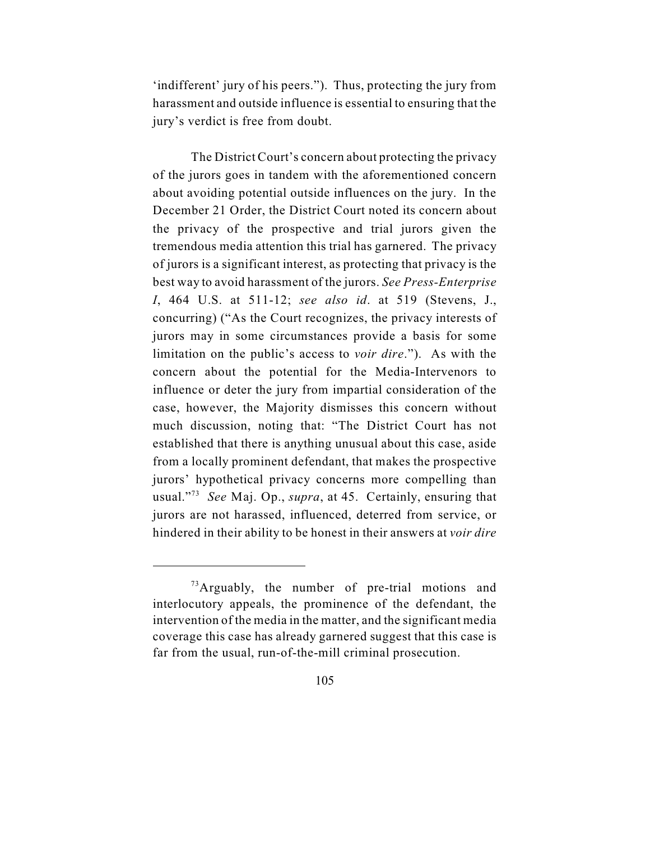'indifferent' jury of his peers."). Thus, protecting the jury from harassment and outside influence is essential to ensuring that the jury's verdict is free from doubt.

The District Court's concern about protecting the privacy of the jurors goes in tandem with the aforementioned concern about avoiding potential outside influences on the jury. In the December 21 Order, the District Court noted its concern about the privacy of the prospective and trial jurors given the tremendous media attention this trial has garnered. The privacy of jurors is a significant interest, as protecting that privacy is the best way to avoid harassment of the jurors. *See Press-Enterprise I*, 464 U.S. at 511-12; *see also id*. at 519 (Stevens, J., concurring) ("As the Court recognizes, the privacy interests of jurors may in some circumstances provide a basis for some limitation on the public's access to *voir dire*."). As with the concern about the potential for the Media-Intervenors to influence or deter the jury from impartial consideration of the case, however, the Majority dismisses this concern without much discussion, noting that: "The District Court has not established that there is anything unusual about this case, aside from a locally prominent defendant, that makes the prospective jurors' hypothetical privacy concerns more compelling than usual."<sup>73</sup> See Maj. Op., *supra*, at 45. Certainly, ensuring that jurors are not harassed, influenced, deterred from service, or hindered in their ability to be honest in their answers at *voir dire*

 $^{73}$ Arguably, the number of pre-trial motions and interlocutory appeals, the prominence of the defendant, the intervention of the media in the matter, and the significant media coverage this case has already garnered suggest that this case is far from the usual, run-of-the-mill criminal prosecution.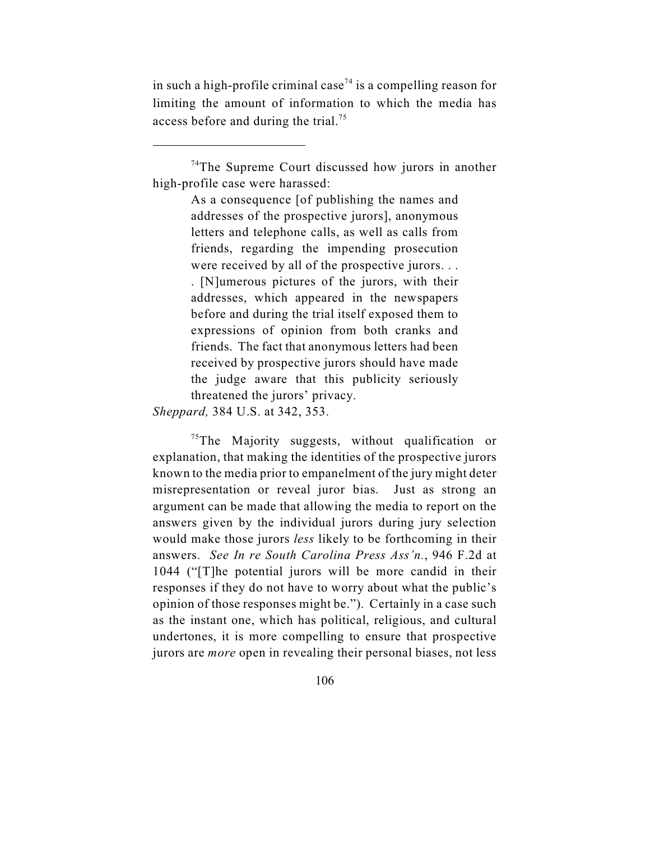in such a high-profile criminal case<sup> $74$ </sup> is a compelling reason for limiting the amount of information to which the media has access before and during the trial.<sup>75</sup>

As a consequence [of publishing the names and addresses of the prospective jurors], anonymous letters and telephone calls, as well as calls from friends, regarding the impending prosecution were received by all of the prospective jurors. . . . [N]umerous pictures of the jurors, with their addresses, which appeared in the newspapers before and during the trial itself exposed them to expressions of opinion from both cranks and friends. The fact that anonymous letters had been received by prospective jurors should have made the judge aware that this publicity seriously threatened the jurors' privacy.

*Sheppard,* 384 U.S. at 342, 353.

 $<sup>75</sup>$ The Majority suggests, without qualification or</sup> explanation, that making the identities of the prospective jurors known to the media prior to empanelment of the jury might deter misrepresentation or reveal juror bias. Just as strong an argument can be made that allowing the media to report on the answers given by the individual jurors during jury selection would make those jurors *less* likely to be forthcoming in their answers. *See In re South Carolina Press Ass'n.*, 946 F.2d at 1044 ("[T]he potential jurors will be more candid in their responses if they do not have to worry about what the public's opinion of those responses might be."). Certainly in a case such as the instant one, which has political, religious, and cultural undertones, it is more compelling to ensure that prospective jurors are *more* open in revealing their personal biases, not less

 $74$ The Supreme Court discussed how jurors in another high-profile case were harassed: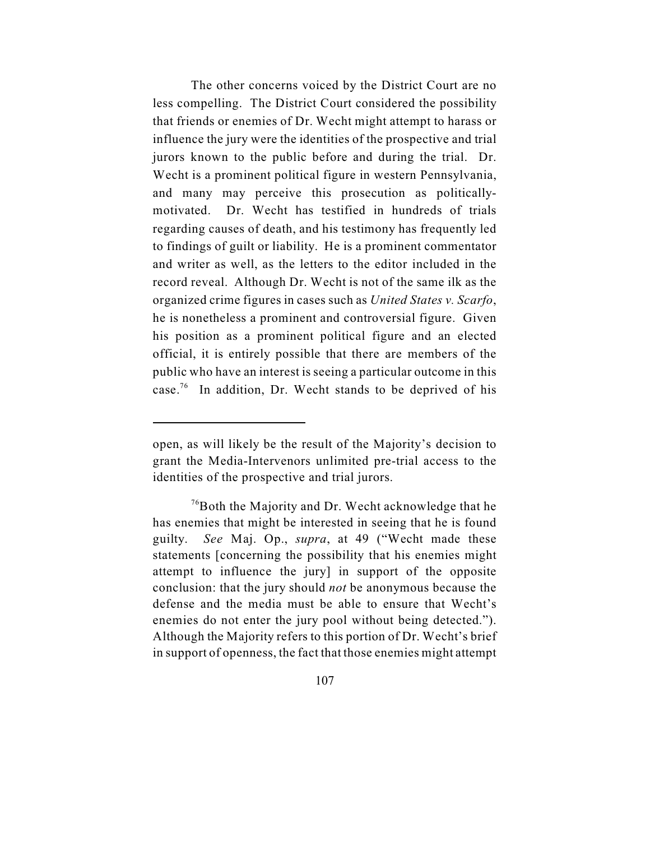The other concerns voiced by the District Court are no less compelling. The District Court considered the possibility that friends or enemies of Dr. Wecht might attempt to harass or influence the jury were the identities of the prospective and trial jurors known to the public before and during the trial. Dr. Wecht is a prominent political figure in western Pennsylvania, and many may perceive this prosecution as politicallymotivated. Dr. Wecht has testified in hundreds of trials regarding causes of death, and his testimony has frequently led to findings of guilt or liability. He is a prominent commentator and writer as well, as the letters to the editor included in the record reveal. Although Dr. Wecht is not of the same ilk as the organized crime figures in cases such as *United States v. Scarfo*, he is nonetheless a prominent and controversial figure. Given his position as a prominent political figure and an elected official, it is entirely possible that there are members of the public who have an interest is seeing a particular outcome in this case.<sup>76</sup> In addition, Dr. Wecht stands to be deprived of his

open, as will likely be the result of the Majority's decision to grant the Media-Intervenors unlimited pre-trial access to the identities of the prospective and trial jurors.

 $76$ Both the Majority and Dr. Wecht acknowledge that he has enemies that might be interested in seeing that he is found guilty. *See* Maj. Op., *supra*, at 49 ("Wecht made these statements [concerning the possibility that his enemies might attempt to influence the jury] in support of the opposite conclusion: that the jury should *not* be anonymous because the defense and the media must be able to ensure that Wecht's enemies do not enter the jury pool without being detected."). Although the Majority refers to this portion of Dr. Wecht's brief in support of openness, the fact that those enemies might attempt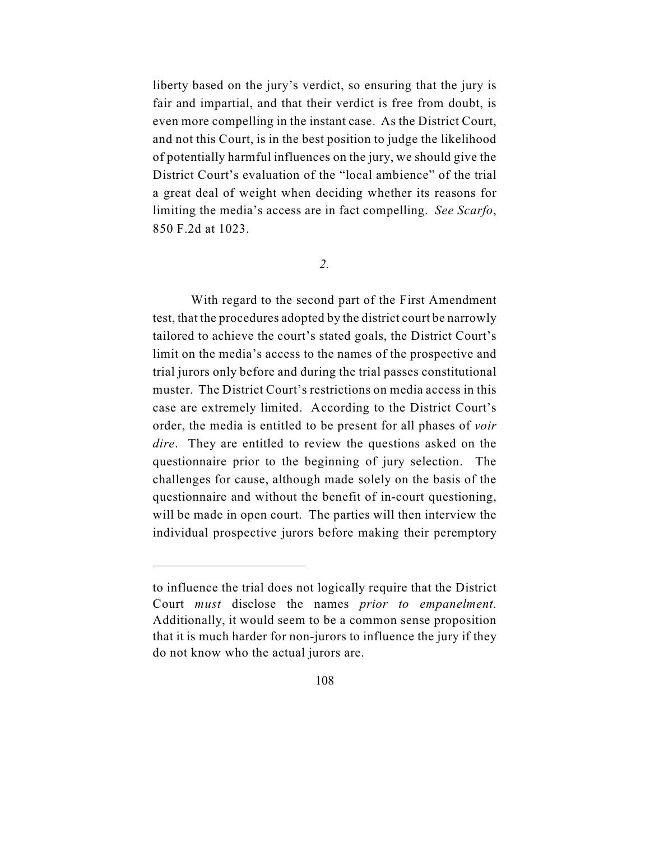liberty based on the jury's verdict, so ensuring that the jury is fair and impartial, and that their verdict is free from doubt, is even more compelling in the instant case. As the District Court, and not this Court, is in the best position to judge the likelihood of potentially harmful influences on the jury, we should give the District Court's evaluation of the "local ambience" of the trial a great deal of weight when deciding whether its reasons for limiting the media's access are in fact compelling. *See Scarfo*, 850 F.2d at 1023.

*2.*

With regard to the second part of the First Amendment test, that the procedures adopted by the district court be narrowly tailored to achieve the court's stated goals, the District Court's limit on the media's access to the names of the prospective and trial jurors only before and during the trial passes constitutional muster. The District Court's restrictions on media access in this case are extremely limited. According to the District Court's order, the media is entitled to be present for all phases of *voir dire*. They are entitled to review the questions asked on the questionnaire prior to the beginning of jury selection. The challenges for cause, although made solely on the basis of the questionnaire and without the benefit of in-court questioning, will be made in open court. The parties will then interview the individual prospective jurors before making their peremptory

to influence the trial does not logically require that the District Court *must* disclose the names *prior to empanelment*. Additionally, it would seem to be a common sense proposition that it is much harder for non-jurors to influence the jury if they do not know who the actual jurors are.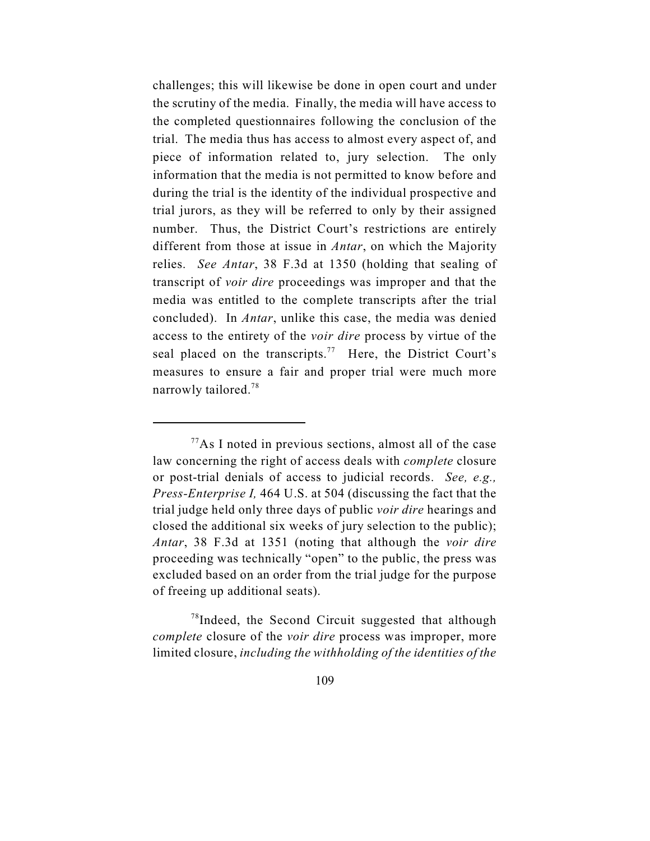challenges; this will likewise be done in open court and under the scrutiny of the media. Finally, the media will have access to the completed questionnaires following the conclusion of the trial. The media thus has access to almost every aspect of, and piece of information related to, jury selection. The only information that the media is not permitted to know before and during the trial is the identity of the individual prospective and trial jurors, as they will be referred to only by their assigned number. Thus, the District Court's restrictions are entirely different from those at issue in *Antar*, on which the Majority relies. *See Antar*, 38 F.3d at 1350 (holding that sealing of transcript of *voir dire* proceedings was improper and that the media was entitled to the complete transcripts after the trial concluded). In *Antar*, unlike this case, the media was denied access to the entirety of the *voir dire* process by virtue of the seal placed on the transcripts.<sup>77</sup> Here, the District Court's measures to ensure a fair and proper trial were much more narrowly tailored.<sup>78</sup>

 $^{78}$ Indeed, the Second Circuit suggested that although *complete* closure of the *voir dire* process was improper, more limited closure, *including the withholding of the identities of the*

 $77\text{As } I$  noted in previous sections, almost all of the case law concerning the right of access deals with *complete* closure or post-trial denials of access to judicial records. *See, e.g., Press-Enterprise I,* 464 U.S. at 504 (discussing the fact that the trial judge held only three days of public *voir dire* hearings and closed the additional six weeks of jury selection to the public); *Antar*, 38 F.3d at 1351 (noting that although the *voir dire* proceeding was technically "open" to the public, the press was excluded based on an order from the trial judge for the purpose of freeing up additional seats).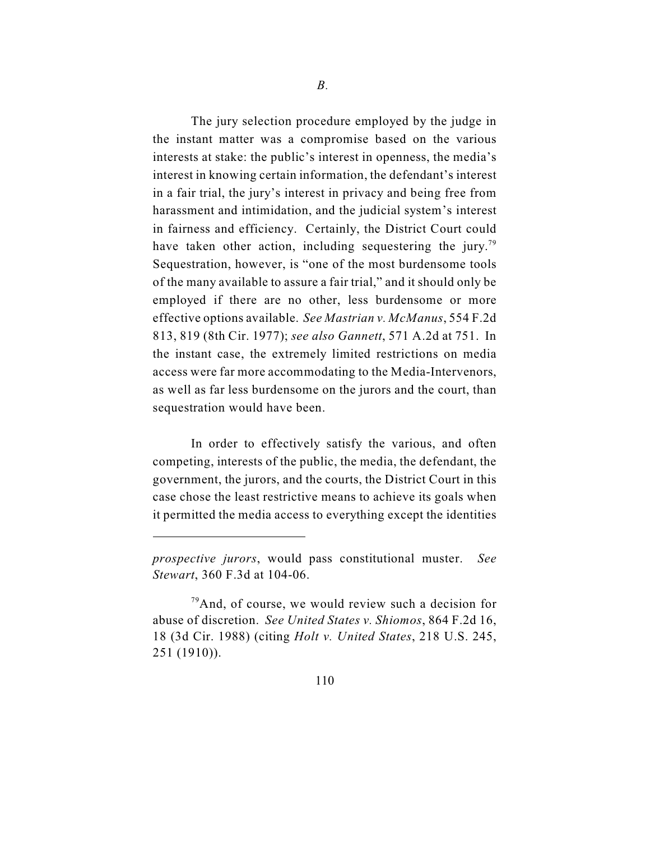The jury selection procedure employed by the judge in the instant matter was a compromise based on the various interests at stake: the public's interest in openness, the media's interest in knowing certain information, the defendant's interest in a fair trial, the jury's interest in privacy and being free from harassment and intimidation, and the judicial system's interest in fairness and efficiency. Certainly, the District Court could have taken other action, including sequestering the jury.<sup>79</sup> Sequestration, however, is "one of the most burdensome tools of the many available to assure a fair trial," and it should only be employed if there are no other, less burdensome or more effective options available. *See Mastrian v. McManus*, 554 F.2d 813, 819 (8th Cir. 1977); *see also Gannett*, 571 A.2d at 751. In the instant case, the extremely limited restrictions on media access were far more accommodating to the Media-Intervenors, as well as far less burdensome on the jurors and the court, than sequestration would have been.

In order to effectively satisfy the various, and often competing, interests of the public, the media, the defendant, the government, the jurors, and the courts, the District Court in this case chose the least restrictive means to achieve its goals when it permitted the media access to everything except the identities

*prospective jurors*, would pass constitutional muster. *See Stewart*, 360 F.3d at 104-06.

 $^{79}$ And, of course, we would review such a decision for abuse of discretion. *See United States v. Shiomos*, 864 F.2d 16, 18 (3d Cir. 1988) (citing *Holt v. United States*, 218 U.S. 245, 251 (1910)).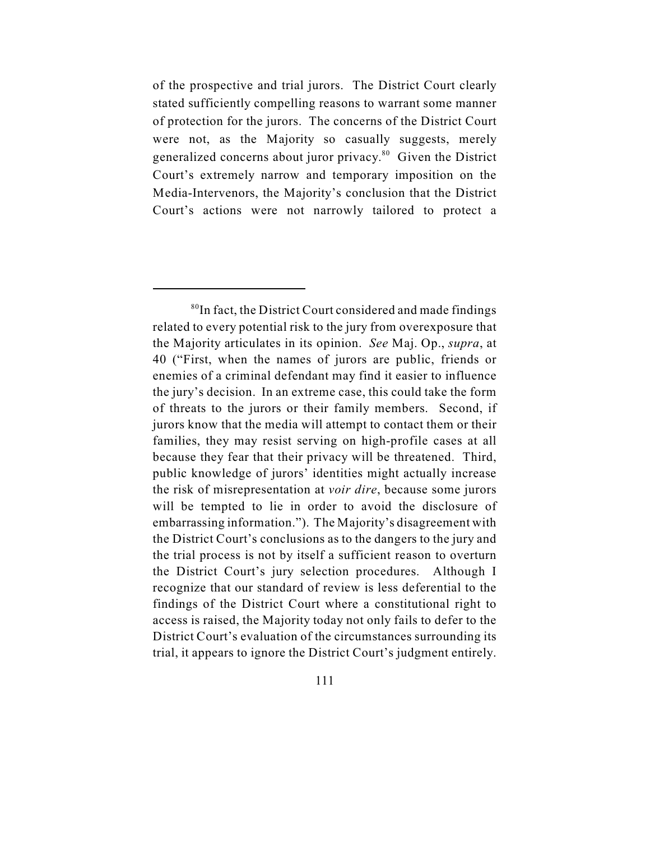of the prospective and trial jurors. The District Court clearly stated sufficiently compelling reasons to warrant some manner of protection for the jurors. The concerns of the District Court were not, as the Majority so casually suggests, merely generalized concerns about juror privacy. $80$  Given the District Court's extremely narrow and temporary imposition on the Media-Intervenors, the Majority's conclusion that the District Court's actions were not narrowly tailored to protect a

 ${}^{80}$ In fact, the District Court considered and made findings related to every potential risk to the jury from overexposure that the Majority articulates in its opinion. *See* Maj. Op., *supra*, at 40 ("First, when the names of jurors are public, friends or enemies of a criminal defendant may find it easier to influence the jury's decision. In an extreme case, this could take the form of threats to the jurors or their family members. Second, if jurors know that the media will attempt to contact them or their families, they may resist serving on high-profile cases at all because they fear that their privacy will be threatened. Third, public knowledge of jurors' identities might actually increase the risk of misrepresentation at *voir dire*, because some jurors will be tempted to lie in order to avoid the disclosure of embarrassing information."). The Majority's disagreement with the District Court's conclusions as to the dangers to the jury and the trial process is not by itself a sufficient reason to overturn the District Court's jury selection procedures. Although I recognize that our standard of review is less deferential to the findings of the District Court where a constitutional right to access is raised, the Majority today not only fails to defer to the District Court's evaluation of the circumstances surrounding its trial, it appears to ignore the District Court's judgment entirely.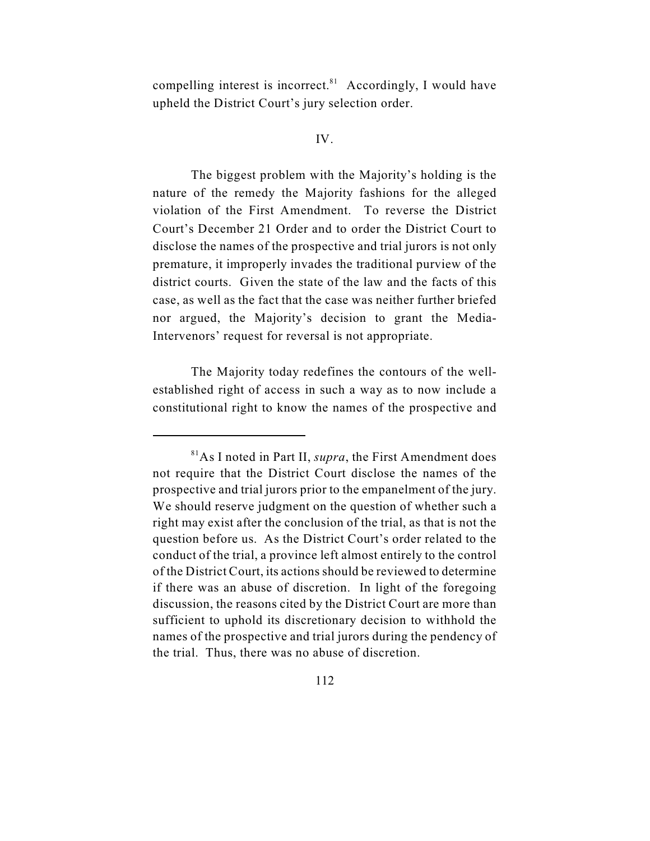compelling interest is incorrect. $81$  Accordingly, I would have upheld the District Court's jury selection order.

## IV.

The biggest problem with the Majority's holding is the nature of the remedy the Majority fashions for the alleged violation of the First Amendment. To reverse the District Court's December 21 Order and to order the District Court to disclose the names of the prospective and trial jurors is not only premature, it improperly invades the traditional purview of the district courts. Given the state of the law and the facts of this case, as well as the fact that the case was neither further briefed nor argued, the Majority's decision to grant the Media-Intervenors' request for reversal is not appropriate.

The Majority today redefines the contours of the wellestablished right of access in such a way as to now include a constitutional right to know the names of the prospective and

 ${}^{81}$ As I noted in Part II, *supra*, the First Amendment does not require that the District Court disclose the names of the prospective and trial jurors prior to the empanelment of the jury. We should reserve judgment on the question of whether such a right may exist after the conclusion of the trial, as that is not the question before us. As the District Court's order related to the conduct of the trial, a province left almost entirely to the control of the District Court, its actions should be reviewed to determine if there was an abuse of discretion. In light of the foregoing discussion, the reasons cited by the District Court are more than sufficient to uphold its discretionary decision to withhold the names of the prospective and trial jurors during the pendency of the trial. Thus, there was no abuse of discretion.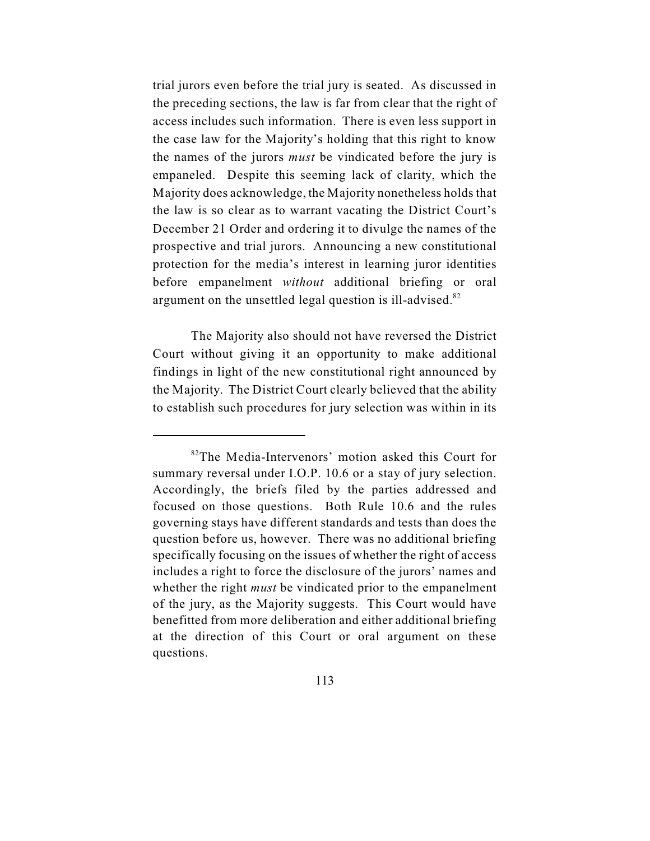trial jurors even before the trial jury is seated. As discussed in the preceding sections, the law is far from clear that the right of access includes such information. There is even less support in the case law for the Majority's holding that this right to know the names of the jurors *must* be vindicated before the jury is empaneled. Despite this seeming lack of clarity, which the Majority does acknowledge, the Majority nonetheless holds that the law is so clear as to warrant vacating the District Court's December 21 Order and ordering it to divulge the names of the prospective and trial jurors. Announcing a new constitutional protection for the media's interest in learning juror identities before empanelment *without* additional briefing or oral argument on the unsettled legal question is ill-advised.<sup>82</sup>

The Majority also should not have reversed the District Court without giving it an opportunity to make additional findings in light of the new constitutional right announced by the Majority. The District Court clearly believed that the ability to establish such procedures for jury selection was within in its

 $82$ The Media-Intervenors' motion asked this Court for summary reversal under I.O.P. 10.6 or a stay of jury selection. Accordingly, the briefs filed by the parties addressed and focused on those questions. Both Rule 10.6 and the rules governing stays have different standards and tests than does the question before us, however. There was no additional briefing specifically focusing on the issues of whether the right of access includes a right to force the disclosure of the jurors' names and whether the right *must* be vindicated prior to the empanelment of the jury, as the Majority suggests. This Court would have benefitted from more deliberation and either additional briefing at the direction of this Court or oral argument on these questions.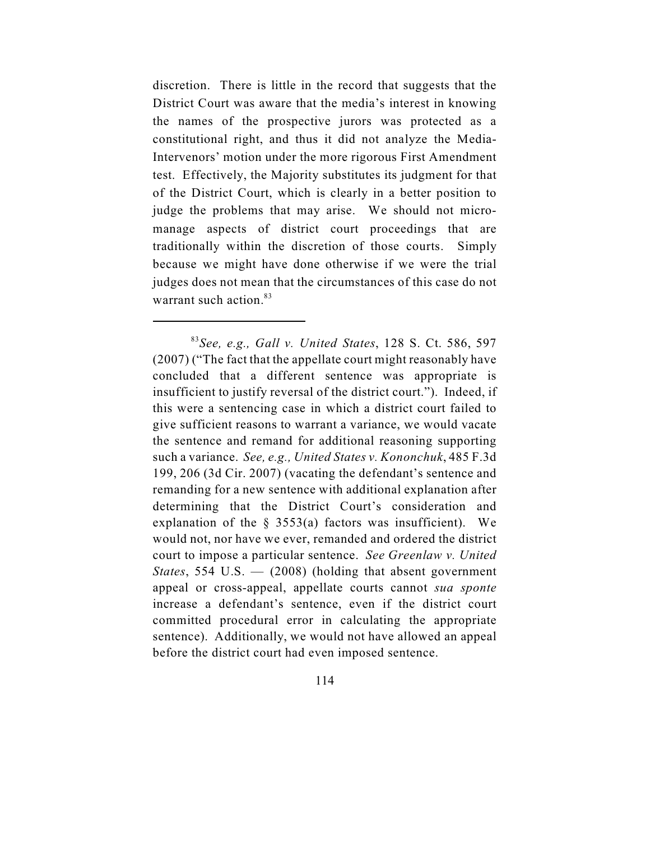discretion. There is little in the record that suggests that the District Court was aware that the media's interest in knowing the names of the prospective jurors was protected as a constitutional right, and thus it did not analyze the Media-Intervenors' motion under the more rigorous First Amendment test. Effectively, the Majority substitutes its judgment for that of the District Court, which is clearly in a better position to judge the problems that may arise. We should not micromanage aspects of district court proceedings that are traditionally within the discretion of those courts. Simply because we might have done otherwise if we were the trial judges does not mean that the circumstances of this case do not warrant such action.<sup>83</sup>

*See, e.g., Gall v. United States*, 128 S. Ct. 586, 597 <sup>83</sup> (2007) ("The fact that the appellate court might reasonably have concluded that a different sentence was appropriate is insufficient to justify reversal of the district court."). Indeed, if this were a sentencing case in which a district court failed to give sufficient reasons to warrant a variance, we would vacate the sentence and remand for additional reasoning supporting such a variance. *See, e.g., United States v. Kononchuk*, 485 F.3d 199, 206 (3d Cir. 2007) (vacating the defendant's sentence and remanding for a new sentence with additional explanation after determining that the District Court's consideration and explanation of the  $\S$  3553(a) factors was insufficient). We would not, nor have we ever, remanded and ordered the district court to impose a particular sentence. *See Greenlaw v. United States*, 554 U.S. — (2008) (holding that absent government appeal or cross-appeal, appellate courts cannot *sua sponte* increase a defendant's sentence, even if the district court committed procedural error in calculating the appropriate sentence). Additionally, we would not have allowed an appeal before the district court had even imposed sentence.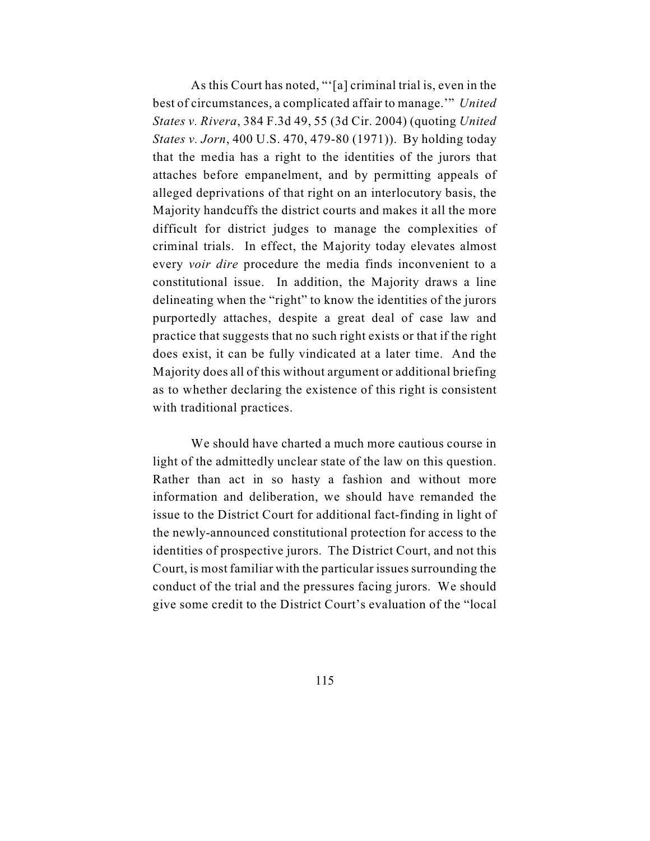As this Court has noted, "'[a] criminal trial is, even in the best of circumstances, a complicated affair to manage.'" *United States v. Rivera*, 384 F.3d 49, 55 (3d Cir. 2004) (quoting *United States v. Jorn*, 400 U.S. 470, 479-80 (1971)). By holding today that the media has a right to the identities of the jurors that attaches before empanelment, and by permitting appeals of alleged deprivations of that right on an interlocutory basis, the Majority handcuffs the district courts and makes it all the more difficult for district judges to manage the complexities of criminal trials. In effect, the Majority today elevates almost every *voir dire* procedure the media finds inconvenient to a constitutional issue. In addition, the Majority draws a line delineating when the "right" to know the identities of the jurors purportedly attaches, despite a great deal of case law and practice that suggests that no such right exists or that if the right does exist, it can be fully vindicated at a later time. And the Majority does all of this without argument or additional briefing as to whether declaring the existence of this right is consistent with traditional practices.

We should have charted a much more cautious course in light of the admittedly unclear state of the law on this question. Rather than act in so hasty a fashion and without more information and deliberation, we should have remanded the issue to the District Court for additional fact-finding in light of the newly-announced constitutional protection for access to the identities of prospective jurors. The District Court, and not this Court, is most familiar with the particular issues surrounding the conduct of the trial and the pressures facing jurors. We should give some credit to the District Court's evaluation of the "local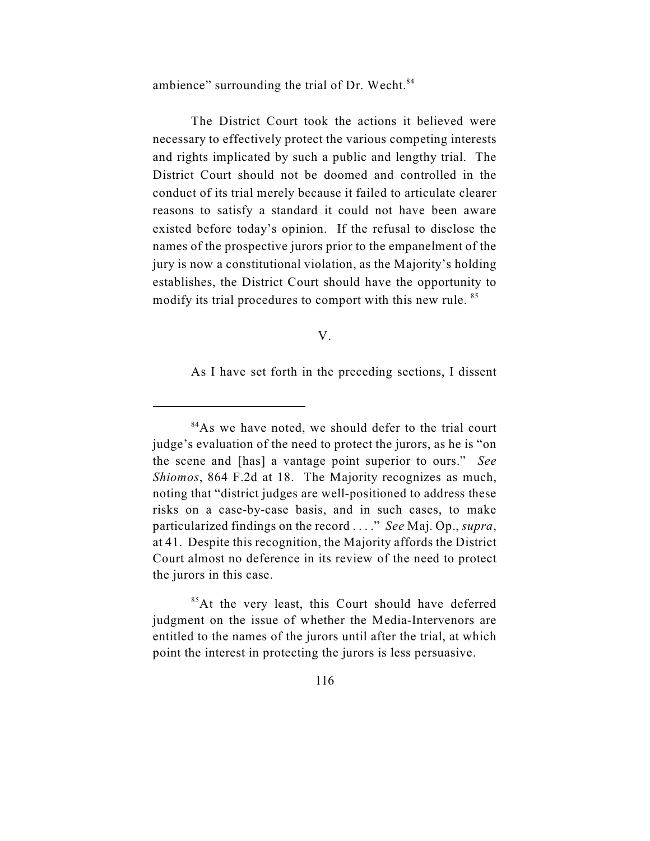ambience" surrounding the trial of Dr. Wecht. $84$ 

The District Court took the actions it believed were necessary to effectively protect the various competing interests and rights implicated by such a public and lengthy trial. The District Court should not be doomed and controlled in the conduct of its trial merely because it failed to articulate clearer reasons to satisfy a standard it could not have been aware existed before today's opinion. If the refusal to disclose the names of the prospective jurors prior to the empanelment of the jury is now a constitutional violation, as the Majority's holding establishes, the District Court should have the opportunity to modify its trial procedures to comport with this new rule. <sup>85</sup>

## V.

As I have set forth in the preceding sections, I dissent

 ${}^{84}$ As we have noted, we should defer to the trial court judge's evaluation of the need to protect the jurors, as he is "on the scene and [has] a vantage point superior to ours." *See Shiomos*, 864 F.2d at 18. The Majority recognizes as much, noting that "district judges are well-positioned to address these risks on a case-by-case basis, and in such cases, to make particularized findings on the record . . . ." *See* Maj. Op., *supra*, at 41. Despite this recognition, the Majority affords the District Court almost no deference in its review of the need to protect the jurors in this case.

 $85$ At the very least, this Court should have deferred judgment on the issue of whether the Media-Intervenors are entitled to the names of the jurors until after the trial, at which point the interest in protecting the jurors is less persuasive.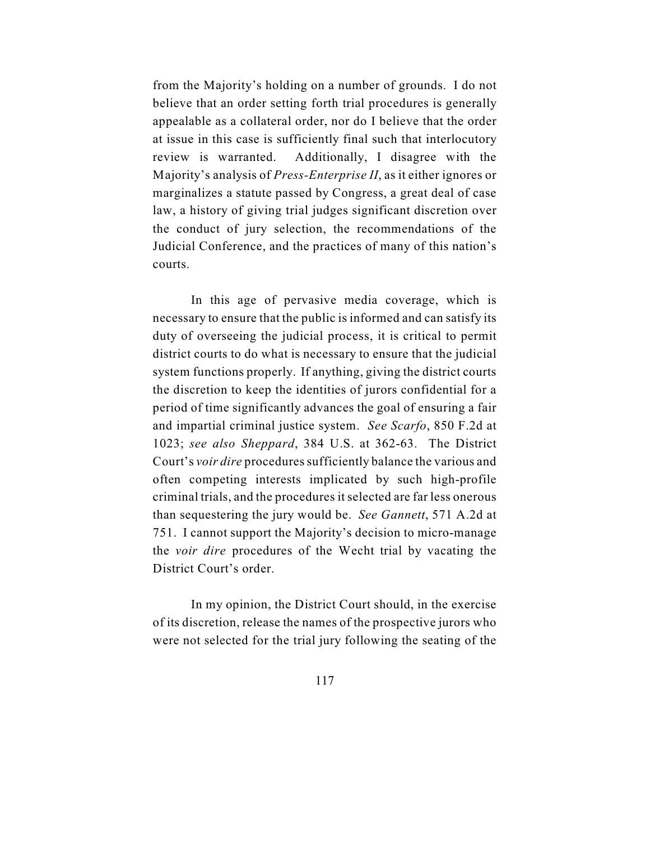from the Majority's holding on a number of grounds. I do not believe that an order setting forth trial procedures is generally appealable as a collateral order, nor do I believe that the order at issue in this case is sufficiently final such that interlocutory review is warranted. Additionally, I disagree with the Majority's analysis of *Press-Enterprise II*, as it either ignores or marginalizes a statute passed by Congress, a great deal of case law, a history of giving trial judges significant discretion over the conduct of jury selection, the recommendations of the Judicial Conference, and the practices of many of this nation's courts.

In this age of pervasive media coverage, which is necessary to ensure that the public is informed and can satisfy its duty of overseeing the judicial process, it is critical to permit district courts to do what is necessary to ensure that the judicial system functions properly. If anything, giving the district courts the discretion to keep the identities of jurors confidential for a period of time significantly advances the goal of ensuring a fair and impartial criminal justice system. *See Scarfo*, 850 F.2d at 1023; *see also Sheppard*, 384 U.S. at 362-63. The District Court's *voir dire* procedures sufficiently balance the various and often competing interests implicated by such high-profile criminal trials, and the procedures it selected are far less onerous than sequestering the jury would be. *See Gannett*, 571 A.2d at 751. I cannot support the Majority's decision to micro-manage the *voir dire* procedures of the Wecht trial by vacating the District Court's order.

In my opinion, the District Court should, in the exercise of its discretion, release the names of the prospective jurors who were not selected for the trial jury following the seating of the